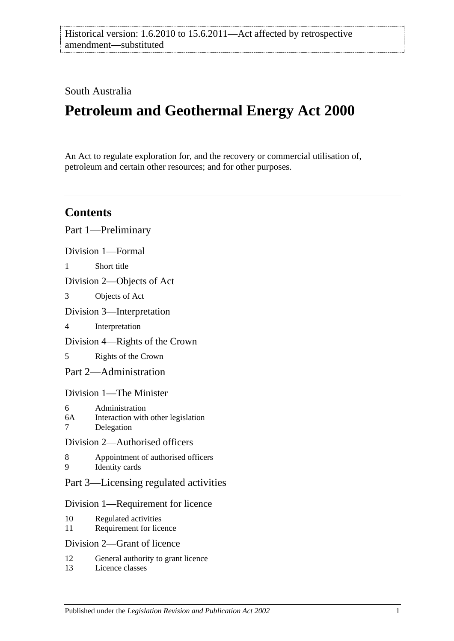# South Australia

# **Petroleum and Geothermal Energy Act 2000**

An Act to regulate exploration for, and the recovery or commercial utilisation of, petroleum and certain other resources; and for other purposes.

# **Contents**

|                                    | Part 1—Preliminary                                                 |
|------------------------------------|--------------------------------------------------------------------|
|                                    | Division 1-Formal                                                  |
| 1                                  | Short title                                                        |
| Division 2—Objects of Act          |                                                                    |
| 3                                  | Objects of Act                                                     |
| Division 3—Interpretation          |                                                                    |
| 4                                  | Interpretation                                                     |
| Division 4—Rights of the Crown     |                                                                    |
| 5                                  | Rights of the Crown                                                |
|                                    | Part 2—Administration                                              |
| Division 1—The Minister            |                                                                    |
| 6<br>6A<br>7                       | Administration<br>Interaction with other legislation<br>Delegation |
| Division 2—Authorised officers     |                                                                    |
| 8<br>9                             | Appointment of authorised officers<br>Identity cards               |
|                                    | Part 3—Licensing regulated activities                              |
| Division 1—Requirement for licence |                                                                    |
| 10<br>11                           | Regulated activities<br>Requirement for licence                    |
| Division 2—Grant of licence        |                                                                    |
| 12                                 | General authority to grant licence                                 |

13 [Licence classes](#page-14-3)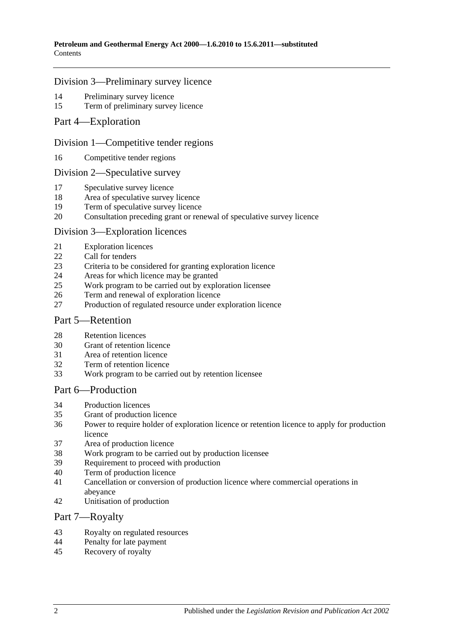### [Division 3—Preliminary survey licence](#page-14-4)

- [Preliminary survey licence](#page-14-5)<br>15 Term of preliminary survey
- [Term of preliminary survey licence](#page-15-0)
- [Part 4—Exploration](#page-15-1)

### [Division 1—Competitive tender regions](#page-15-2)

[Competitive tender regions](#page-15-3)

#### [Division 2—Speculative survey](#page-15-4)

- [Speculative survey licence](#page-15-5)
- [Area of speculative survey licence](#page-15-6)
- [Term of speculative survey licence](#page-15-7)
- [Consultation preceding grant or renewal of speculative survey licence](#page-16-0)

### [Division 3—Exploration licences](#page-16-1)

- [Exploration licences](#page-16-2)
- [Call for tenders](#page-16-3)
- [Criteria to be considered for granting exploration licence](#page-17-0)
- [Areas for which licence may be granted](#page-17-1)
- [Work program to be carried out by exploration licensee](#page-17-2)
- [Term and renewal of exploration licence](#page-18-0)
- [Production of regulated resource under exploration licence](#page-19-0)

### [Part 5—Retention](#page-19-1)

- [Retention licences](#page-19-2)
- [Grant of retention licence](#page-20-0)
- [Area of retention](#page-20-1) licence
- [Term of retention licence](#page-21-0)
- [Work program to be carried out by retention licensee](#page-21-1)

### [Part 6—Production](#page-21-2)

- [Production licences](#page-21-3)
- [Grant of production licence](#page-22-0)
- [Power to require holder of exploration licence or retention licence to apply for production](#page-23-0)  [licence](#page-23-0)
- [Area of production licence](#page-23-1)
- [Work program to be carried out by production licensee](#page-23-2)
- [Requirement to proceed with production](#page-24-0)
- [Term of production licence](#page-24-1)
- [Cancellation or conversion of production licence where commercial operations in](#page-24-2) [abeyance](#page-24-2)
- [Unitisation of production](#page-25-0)

### [Part 7—Royalty](#page-25-1)

- [Royalty on regulated resources](#page-25-2)<br>44 Penalty for late nayment
- [Penalty for late payment](#page-27-0)
- [Recovery of royalty](#page-27-1)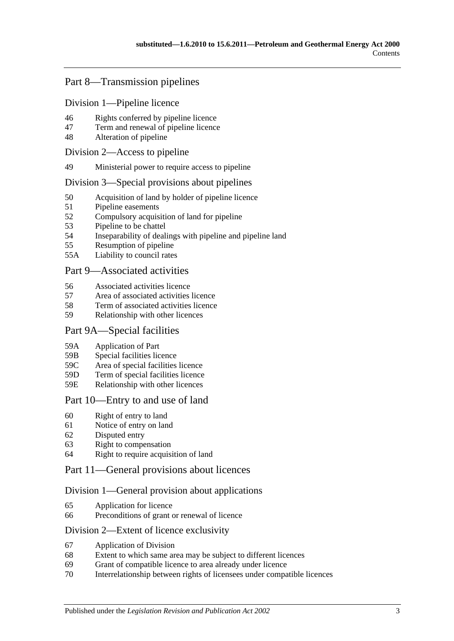# [Part 8—Transmission pipelines](#page-27-2)

### [Division 1—Pipeline licence](#page-27-3)

- 46 [Rights conferred by pipeline licence](#page-27-4)
- 47 [Term and renewal of pipeline licence](#page-27-5)
- 48 [Alteration of pipeline](#page-28-0)

### [Division 2—Access to pipeline](#page-28-1)

49 [Ministerial power to require access to pipeline](#page-28-2)

### [Division 3—Special provisions about pipelines](#page-28-3)

- 50 [Acquisition of land by holder of pipeline licence](#page-28-4)
- 51 [Pipeline easements](#page-29-0)
- 52 [Compulsory acquisition of land for pipeline](#page-29-1)
- 53 [Pipeline to be chattel](#page-29-2)
- 54 [Inseparability of dealings with pipeline and pipeline land](#page-29-3)
- 55 [Resumption of pipeline](#page-29-4)
- 55A [Liability to council rates](#page-30-0)

### [Part 9—Associated activities](#page-30-1)

- 56 [Associated activities licence](#page-30-2)
- 57 [Area of associated activities licence](#page-31-0)
- 58 [Term of associated activities licence](#page-31-1)
- 59 [Relationship with other licences](#page-31-2)

### [Part 9A—Special facilities](#page-32-0)

- 59A [Application of Part](#page-32-1)
- 59B [Special facilities licence](#page-32-2)
- 59C [Area of special facilities licence](#page-33-0)
- 59D [Term of special facilities licence](#page-33-1)
- 59E [Relationship with other licences](#page-33-2)

# [Part 10—Entry to and use of land](#page-34-0)

- 60 [Right of entry to land](#page-34-1)
- 61 [Notice of entry on land](#page-34-2)
- 62 [Disputed entry](#page-35-0)
- 63 [Right to compensation](#page-35-1)
- 64 [Right to require acquisition of land](#page-36-0)

### [Part 11—General provisions about licences](#page-36-1)

### [Division 1—General provision about applications](#page-36-2)

- 65 [Application for licence](#page-36-3)
- 66 [Preconditions of grant or renewal of licence](#page-37-0)

### [Division 2—Extent of licence exclusivity](#page-38-0)

- 67 [Application of Division](#page-38-1)
- 68 [Extent to which same area may be subject to different licences](#page-38-2)
- 69 [Grant of compatible licence to area already under licence](#page-38-3)
- 70 [Interrelationship between rights of licensees under compatible licences](#page-39-0)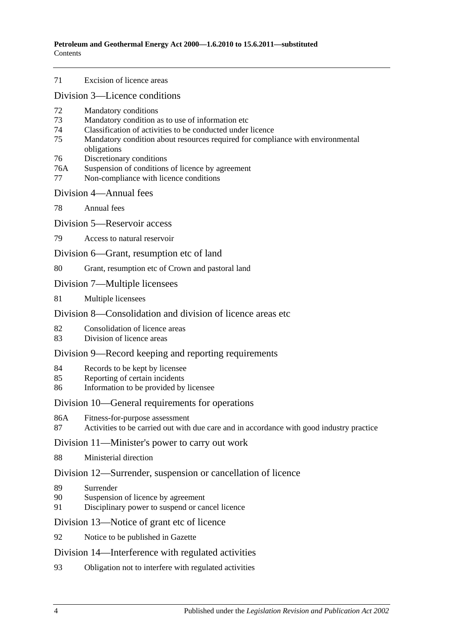71 [Excision of licence areas](#page-39-1)

[Division 3—Licence conditions](#page-39-2)

- 72 [Mandatory conditions](#page-39-3)
- 73 [Mandatory condition as to use of information etc](#page-39-4)
- 74 [Classification of activities to be conducted under licence](#page-39-5)
- 75 [Mandatory condition about resources required for compliance with environmental](#page-40-0)  [obligations](#page-40-0)
- 76 [Discretionary conditions](#page-40-1)
- 76A [Suspension of conditions of licence by agreement](#page-40-2)
- 77 [Non-compliance with licence conditions](#page-40-3)

#### [Division 4—Annual fees](#page-41-0)

78 [Annual fees](#page-41-1)

[Division 5—Reservoir access](#page-41-2)

79 [Access to natural reservoir](#page-41-3)

[Division 6—Grant, resumption etc of land](#page-42-0)

80 [Grant, resumption etc of Crown and pastoral land](#page-42-1)

- [Division 7—Multiple licensees](#page-42-2)
- 81 [Multiple licensees](#page-42-3)

# [Division 8—Consolidation and division of licence areas etc](#page-43-0).

- 82 [Consolidation of licence areas](#page-43-1)
- 83 [Division of licence areas](#page-43-2)

### [Division 9—Record keeping and reporting requirements](#page-43-3)

- 84 [Records to be kept by licensee](#page-43-4)
- 85 [Reporting of certain incidents](#page-44-0)
- 86 [Information to be provided by licensee](#page-44-1)

### [Division 10—General requirements for operations](#page-45-0)

- 86A [Fitness-for-purpose assessment](#page-45-1)
- 87 [Activities to be carried out with due care and in accordance with good industry practice](#page-46-0)

### [Division 11—Minister's power to carry out work](#page-46-1)

88 [Ministerial direction](#page-46-2)

### [Division 12—Surrender, suspension or cancellation of licence](#page-46-3)

- 89 [Surrender](#page-46-4)
- 90 [Suspension of licence by agreement](#page-47-0)
- 91 [Disciplinary power to suspend or cancel licence](#page-47-1)

[Division 13—Notice of grant etc of licence](#page-47-2)

92 [Notice to be published in Gazette](#page-47-3)

### [Division 14—Interference with regulated activities](#page-48-0)

93 [Obligation not to interfere with regulated activities](#page-48-1)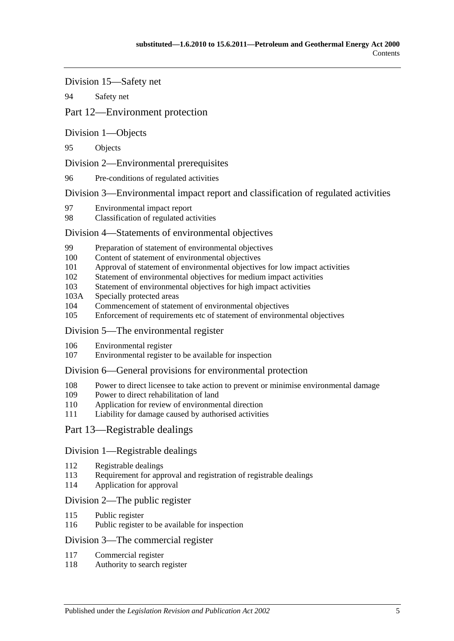[Division 15—Safety net](#page-48-2)

94 [Safety net](#page-48-3)

# [Part 12—Environment protection](#page-48-4)

[Division 1—Objects](#page-48-5)

95 [Objects](#page-48-6)

[Division 2—Environmental prerequisites](#page-48-7)

96 [Pre-conditions of regulated activities](#page-48-8)

[Division 3—Environmental impact report and classification of regulated activities](#page-49-0)

- 97 [Environmental impact report](#page-49-1)
- 98 [Classification of regulated activities](#page-49-2)

# [Division 4—Statements of environmental objectives](#page-50-0)

- 99 [Preparation of statement of environmental objectives](#page-50-1)
- 100 [Content of statement of environmental objectives](#page-50-2)
- 101 [Approval of statement of environmental objectives for low impact activities](#page-51-0)
- 102 [Statement of environmental objectives for medium impact activities](#page-51-1)
- 103 [Statement of environmental objectives for high impact activities](#page-52-0)
- 103A [Specially protected areas](#page-52-1)
- 104 [Commencement of statement of environmental objectives](#page-52-2)<br>105 Enforcement of requirements etc of statement of environments
- [Enforcement of requirements etc of statement of environmental objectives](#page-52-3)

# [Division 5—The environmental register](#page-53-0)

- 106 [Environmental register](#page-53-1)
- 107 [Environmental register to be available for inspection](#page-53-2)

# [Division 6—General provisions for environmental protection](#page-53-3)

- 108 [Power to direct licensee to take action to prevent or minimise environmental damage](#page-53-4)
- 109 [Power to direct rehabilitation of land](#page-54-0)
- 110 [Application for review of environmental direction](#page-54-1)
- 111 [Liability for damage caused by authorised activities](#page-54-2)

# [Part 13—Registrable dealings](#page-55-0)

# [Division 1—Registrable dealings](#page-55-1)

- 112 [Registrable dealings](#page-55-2)
- 113 [Requirement for approval and registration of registrable dealings](#page-55-3)
- 114 [Application for approval](#page-55-4)

# [Division 2—The public register](#page-56-0)

- 115 Public [register](#page-56-1)
- 116 [Public register to be available for inspection](#page-56-2)

# [Division 3—The commercial register](#page-56-3)

- 117 [Commercial register](#page-56-4)
- 118 [Authority to search register](#page-57-0)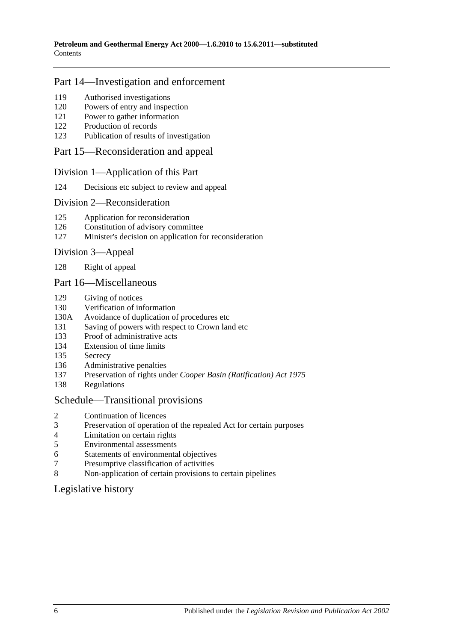# [Part 14—Investigation and enforcement](#page-57-1)

- [Authorised investigations](#page-57-2)
- [Powers of entry and inspection](#page-57-3)
- [Power to gather information](#page-58-0)
- [Production of records](#page-58-1)
- [Publication of results of investigation](#page-58-2)

### [Part 15—Reconsideration and appeal](#page-59-0)

### [Division 1—Application of this Part](#page-59-1)

[Decisions etc subject to review and appeal](#page-59-2)

### [Division 2—Reconsideration](#page-59-3)

- [Application for reconsideration](#page-59-4)
- [Constitution of advisory committee](#page-59-5)
- [Minister's decision on application for reconsideration](#page-60-0)

### [Division 3—Appeal](#page-60-1)

[Right of appeal](#page-60-2)

### [Part 16—Miscellaneous](#page-60-3)

- [Giving of notices](#page-60-4)
- [Verification of information](#page-60-5)
- 130A [Avoidance of duplication of procedures etc](#page-61-0)
- [Saving of powers with respect to Crown land etc](#page-63-0)
- [Proof of administrative acts](#page-63-1)
- [Extension of time limits](#page-63-2)
- [Secrecy](#page-63-3)
- [Administrative penalties](#page-63-4)
- Preservation of rights under *[Cooper Basin \(Ratification\) Act](#page-64-0) 1975*
- [Regulations](#page-64-1)

### [Schedule—Transitional provisions](#page-64-2)

- [Continuation of licences](#page-64-3)
- [Preservation of operation of the repealed Act for certain purposes](#page-65-0)
- [Limitation on certain rights](#page-65-1)
- [Environmental assessments](#page-66-0)<br>6 Statements of environmental
- [Statements of environmental objectives](#page-66-1)
- [Presumptive classification of activities](#page-66-2)
- [Non-application of certain provisions to certain pipelines](#page-66-3)

# [Legislative history](#page-67-0)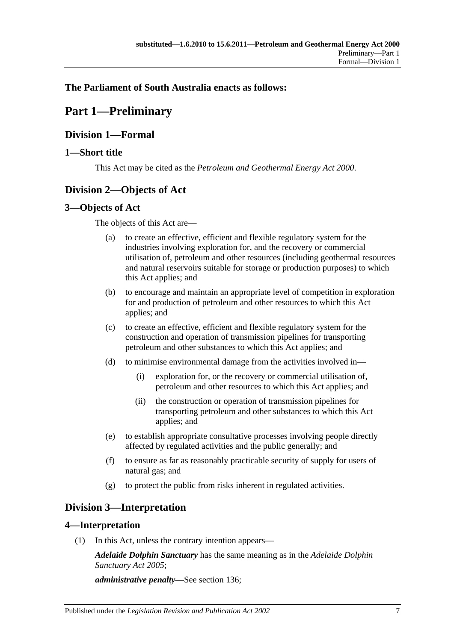# <span id="page-6-0"></span>**The Parliament of South Australia enacts as follows:**

# **Part 1—Preliminary**

# <span id="page-6-1"></span>**Division 1—Formal**

# <span id="page-6-2"></span>**1—Short title**

This Act may be cited as the *Petroleum and Geothermal Energy Act 2000*.

# <span id="page-6-3"></span>**Division 2—Objects of Act**

# <span id="page-6-4"></span>**3—Objects of Act**

The objects of this Act are—

- (a) to create an effective, efficient and flexible regulatory system for the industries involving exploration for, and the recovery or commercial utilisation of, petroleum and other resources (including geothermal resources and natural reservoirs suitable for storage or production purposes) to which this Act applies; and
- (b) to encourage and maintain an appropriate level of competition in exploration for and production of petroleum and other resources to which this Act applies; and
- (c) to create an effective, efficient and flexible regulatory system for the construction and operation of transmission pipelines for transporting petroleum and other substances to which this Act applies; and
- (d) to minimise environmental damage from the activities involved in—
	- (i) exploration for, or the recovery or commercial utilisation of, petroleum and other resources to which this Act applies; and
	- (ii) the construction or operation of transmission pipelines for transporting petroleum and other substances to which this Act applies; and
- (e) to establish appropriate consultative processes involving people directly affected by regulated activities and the public generally; and
- (f) to ensure as far as reasonably practicable security of supply for users of natural gas; and
- (g) to protect the public from risks inherent in regulated activities.

# <span id="page-6-5"></span>**Division 3—Interpretation**

# <span id="page-6-6"></span>**4—Interpretation**

(1) In this Act, unless the contrary intention appears—

*Adelaide Dolphin Sanctuary* has the same meaning as in the *[Adelaide Dolphin](http://www.legislation.sa.gov.au/index.aspx?action=legref&type=act&legtitle=Adelaide%20Dolphin%20Sanctuary%20Act%202005)  [Sanctuary Act](http://www.legislation.sa.gov.au/index.aspx?action=legref&type=act&legtitle=Adelaide%20Dolphin%20Sanctuary%20Act%202005) 2005*;

*administrative penalty*—See [section](#page-63-4) 136;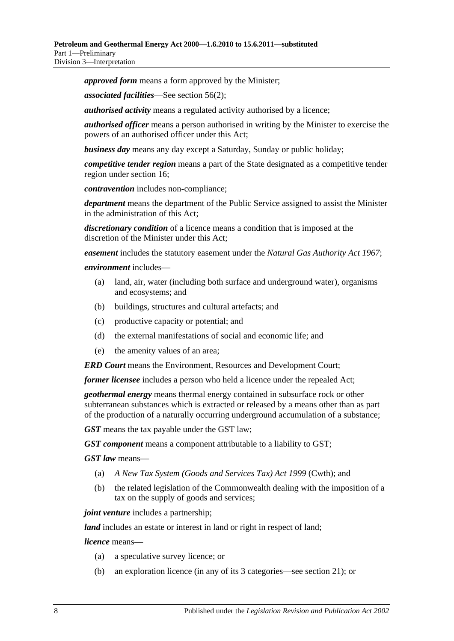*approved form* means a form approved by the Minister;

*associated facilities*—See [section](#page-30-3) 56(2);

*authorised activity* means a regulated activity authorised by a licence;

*authorised officer* means a person authorised in writing by the Minister to exercise the powers of an authorised officer under this Act;

*business day* means any day except a Saturday, Sunday or public holiday;

*competitive tender region* means a part of the State designated as a competitive tender region under [section](#page-15-3) 16;

*contravention* includes non-compliance;

*department* means the department of the Public Service assigned to assist the Minister in the administration of this Act;

*discretionary condition* of a licence means a condition that is imposed at the discretion of the Minister under this Act;

*easement* includes the statutory easement under the *[Natural Gas Authority Act](http://www.legislation.sa.gov.au/index.aspx?action=legref&type=act&legtitle=Natural%20Gas%20Authority%20Act%201967) 1967*;

#### *environment* includes—

- (a) land, air, water (including both surface and underground water), organisms and ecosystems; and
- (b) buildings, structures and cultural artefacts; and
- (c) productive capacity or potential; and
- (d) the external manifestations of social and economic life; and
- (e) the amenity values of an area;

*ERD Court* means the Environment, Resources and Development Court;

*former licensee* includes a person who held a licence under the repealed Act;

*geothermal energy* means thermal energy contained in subsurface rock or other subterranean substances which is extracted or released by a means other than as part of the production of a naturally occurring underground accumulation of a substance;

*GST* means the tax payable under the GST law;

*GST component* means a component attributable to a liability to GST;

*GST law* means—

- (a) *A New Tax System (Goods and Services Tax) Act 1999* (Cwth); and
- (b) the related legislation of the Commonwealth dealing with the imposition of a tax on the supply of goods and services;

*joint venture* includes a partnership;

*land* includes an estate or interest in land or right in respect of land;

*licence* means—

- (a) a speculative survey licence; or
- (b) an exploration licence (in any of its 3 categories—see [section](#page-16-2) 21); or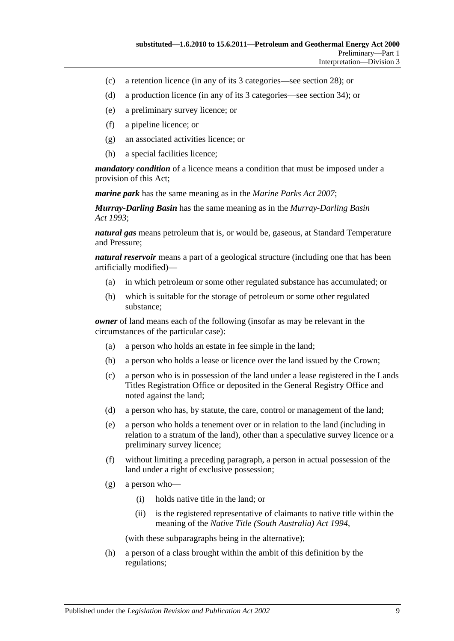- (c) a retention licence (in any of its 3 categories—see [section](#page-19-2) 28); or
- (d) a production licence (in any of its 3 categories—see [section](#page-21-3) 34); or
- (e) a preliminary survey licence; or
- (f) a pipeline licence; or
- (g) an associated activities licence; or
- (h) a special facilities licence;

*mandatory condition* of a licence means a condition that must be imposed under a provision of this Act;

*marine park* has the same meaning as in the *[Marine Parks Act](http://www.legislation.sa.gov.au/index.aspx?action=legref&type=act&legtitle=Marine%20Parks%20Act%202007) 2007*;

*Murray-Darling Basin* has the same meaning as in the *[Murray-Darling Basin](http://www.legislation.sa.gov.au/index.aspx?action=legref&type=act&legtitle=Murray-Darling%20Basin%20Act%201993)  Act [1993](http://www.legislation.sa.gov.au/index.aspx?action=legref&type=act&legtitle=Murray-Darling%20Basin%20Act%201993)*;

*natural gas* means petroleum that is, or would be, gaseous, at Standard Temperature and Pressure;

*natural reservoir* means a part of a geological structure (including one that has been artificially modified)—

- (a) in which petroleum or some other regulated substance has accumulated; or
- (b) which is suitable for the storage of petroleum or some other regulated substance;

*owner* of land means each of the following (insofar as may be relevant in the circumstances of the particular case):

- (a) a person who holds an estate in fee simple in the land;
- (b) a person who holds a lease or licence over the land issued by the Crown;
- (c) a person who is in possession of the land under a lease registered in the Lands Titles Registration Office or deposited in the General Registry Office and noted against the land;
- (d) a person who has, by statute, the care, control or management of the land;
- (e) a person who holds a tenement over or in relation to the land (including in relation to a stratum of the land), other than a speculative survey licence or a preliminary survey licence;
- (f) without limiting a preceding paragraph, a person in actual possession of the land under a right of exclusive possession;
- (g) a person who—
	- (i) holds native title in the land; or
	- (ii) is the registered representative of claimants to native title within the meaning of the *Native Title [\(South Australia\) Act](http://www.legislation.sa.gov.au/index.aspx?action=legref&type=act&legtitle=Native%20Title%20(South%20Australia)%20Act%201994) 1994*,

(with these subparagraphs being in the alternative);

(h) a person of a class brought within the ambit of this definition by the regulations;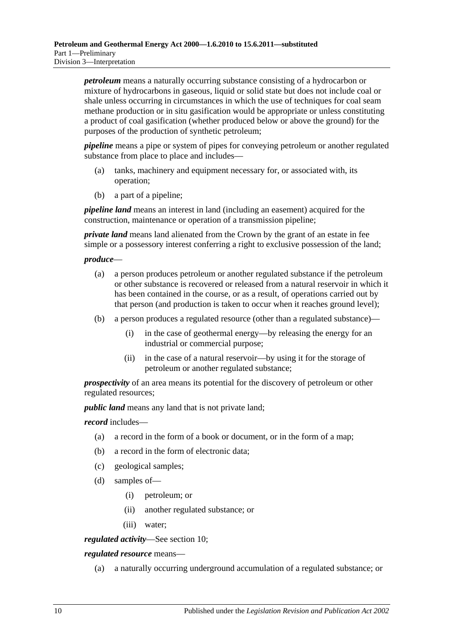*petroleum* means a naturally occurring substance consisting of a hydrocarbon or mixture of hydrocarbons in gaseous, liquid or solid state but does not include coal or shale unless occurring in circumstances in which the use of techniques for coal seam methane production or in situ gasification would be appropriate or unless constituting a product of coal gasification (whether produced below or above the ground) for the purposes of the production of synthetic petroleum;

*pipeline* means a pipe or system of pipes for conveying petroleum or another regulated substance from place to place and includes—

- (a) tanks, machinery and equipment necessary for, or associated with, its operation;
- (b) a part of a pipeline;

*pipeline land* means an interest in land (including an easement) acquired for the construction, maintenance or operation of a transmission pipeline;

*private land* means land alienated from the Crown by the grant of an estate in fee simple or a possessory interest conferring a right to exclusive possession of the land;

#### *produce*—

- (a) a person produces petroleum or another regulated substance if the petroleum or other substance is recovered or released from a natural reservoir in which it has been contained in the course, or as a result, of operations carried out by that person (and production is taken to occur when it reaches ground level);
- (b) a person produces a regulated resource (other than a regulated substance)—
	- (i) in the case of geothermal energy—by releasing the energy for an industrial or commercial purpose;
	- (ii) in the case of a natural reservoir—by using it for the storage of petroleum or another regulated substance;

*prospectivity* of an area means its potential for the discovery of petroleum or other regulated resources;

*public land* means any land that is not private land;

*record* includes—

- (a) a record in the form of a book or document, or in the form of a map;
- (b) a record in the form of electronic data;
- (c) geological samples;
- (d) samples of—
	- (i) petroleum; or
	- (ii) another regulated substance; or
	- (iii) water;

*regulated activity*—See [section](#page-13-2) 10;

#### *regulated resource* means—

(a) a naturally occurring underground accumulation of a regulated substance; or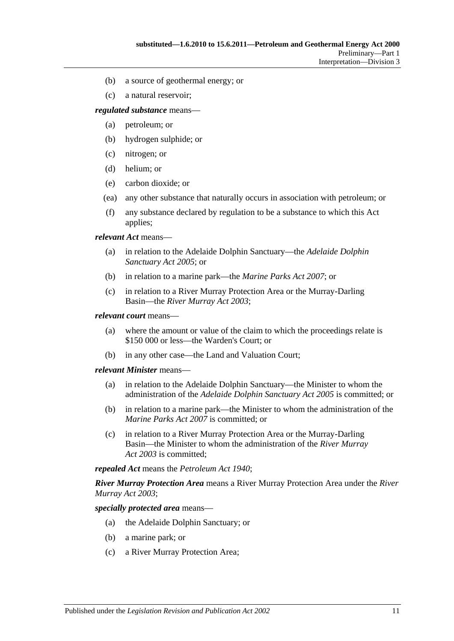- (b) a source of geothermal energy; or
- (c) a natural reservoir;

*regulated substance* means—

- (a) petroleum; or
- (b) hydrogen sulphide; or
- (c) nitrogen; or
- (d) helium; or
- (e) carbon dioxide; or
- (ea) any other substance that naturally occurs in association with petroleum; or
- (f) any substance declared by regulation to be a substance to which this Act applies;

*relevant Act* means—

- (a) in relation to the Adelaide Dolphin Sanctuary—the *[Adelaide Dolphin](http://www.legislation.sa.gov.au/index.aspx?action=legref&type=act&legtitle=Adelaide%20Dolphin%20Sanctuary%20Act%202005)  [Sanctuary Act](http://www.legislation.sa.gov.au/index.aspx?action=legref&type=act&legtitle=Adelaide%20Dolphin%20Sanctuary%20Act%202005) 2005*; or
- (b) in relation to a marine park—the *[Marine Parks Act](http://www.legislation.sa.gov.au/index.aspx?action=legref&type=act&legtitle=Marine%20Parks%20Act%202007) 2007*; or
- (c) in relation to a River Murray Protection Area or the Murray-Darling Basin—the *[River Murray Act](http://www.legislation.sa.gov.au/index.aspx?action=legref&type=act&legtitle=River%20Murray%20Act%202003) 2003*;

#### *relevant court* means—

- (a) where the amount or value of the claim to which the proceedings relate is \$150 000 or less—the Warden's Court; or
- (b) in any other case—the Land and Valuation Court;

#### *relevant Minister* means—

- (a) in relation to the Adelaide Dolphin Sanctuary—the Minister to whom the administration of the *[Adelaide Dolphin Sanctuary Act](http://www.legislation.sa.gov.au/index.aspx?action=legref&type=act&legtitle=Adelaide%20Dolphin%20Sanctuary%20Act%202005) 2005* is committed; or
- (b) in relation to a marine park—the Minister to whom the administration of the *[Marine Parks Act](http://www.legislation.sa.gov.au/index.aspx?action=legref&type=act&legtitle=Marine%20Parks%20Act%202007) 2007* is committed; or
- (c) in relation to a River Murray Protection Area or the Murray-Darling Basin—the Minister to whom the administration of the *[River Murray](http://www.legislation.sa.gov.au/index.aspx?action=legref&type=act&legtitle=River%20Murray%20Act%202003)  Act [2003](http://www.legislation.sa.gov.au/index.aspx?action=legref&type=act&legtitle=River%20Murray%20Act%202003)* is committed;

*repealed Act* means the *[Petroleum Act](http://www.legislation.sa.gov.au/index.aspx?action=legref&type=act&legtitle=Petroleum%20Act%201940) 1940*;

*River Murray Protection Area* means a River Murray Protection Area under the *[River](http://www.legislation.sa.gov.au/index.aspx?action=legref&type=act&legtitle=River%20Murray%20Act%202003)  [Murray Act](http://www.legislation.sa.gov.au/index.aspx?action=legref&type=act&legtitle=River%20Murray%20Act%202003) 2003*;

*specially protected area* means—

- (a) the Adelaide Dolphin Sanctuary; or
- (b) a marine park; or
- (c) a River Murray Protection Area;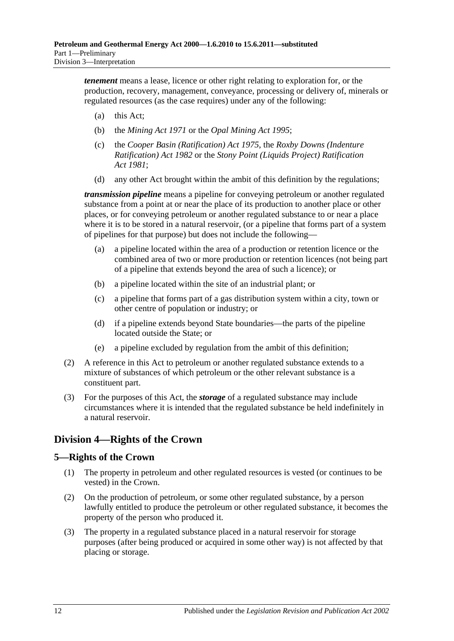*tenement* means a lease, licence or other right relating to exploration for, or the production, recovery, management, conveyance, processing or delivery of, minerals or regulated resources (as the case requires) under any of the following:

- (a) this Act;
- (b) the *[Mining Act](http://www.legislation.sa.gov.au/index.aspx?action=legref&type=act&legtitle=Mining%20Act%201971) 1971* or the *[Opal Mining Act](http://www.legislation.sa.gov.au/index.aspx?action=legref&type=act&legtitle=Opal%20Mining%20Act%201995) 1995*;
- (c) the *[Cooper Basin \(Ratification\) Act](http://www.legislation.sa.gov.au/index.aspx?action=legref&type=act&legtitle=Cooper%20Basin%20(Ratification)%20Act%201975) 1975*, the *[Roxby Downs \(Indenture](http://www.legislation.sa.gov.au/index.aspx?action=legref&type=act&legtitle=Roxby%20Downs%20(Indenture%20Ratification)%20Act%201982)  [Ratification\) Act](http://www.legislation.sa.gov.au/index.aspx?action=legref&type=act&legtitle=Roxby%20Downs%20(Indenture%20Ratification)%20Act%201982) 1982* or the *[Stony Point \(Liquids Project\) Ratification](http://www.legislation.sa.gov.au/index.aspx?action=legref&type=act&legtitle=Stony%20Point%20(Liquids%20Project)%20Ratification%20Act%201981)  Act [1981](http://www.legislation.sa.gov.au/index.aspx?action=legref&type=act&legtitle=Stony%20Point%20(Liquids%20Project)%20Ratification%20Act%201981)*;
- (d) any other Act brought within the ambit of this definition by the regulations;

*transmission pipeline* means a pipeline for conveying petroleum or another regulated substance from a point at or near the place of its production to another place or other places, or for conveying petroleum or another regulated substance to or near a place where it is to be stored in a natural reservoir, (or a pipeline that forms part of a system of pipelines for that purpose) but does not include the following—

- (a) a pipeline located within the area of a production or retention licence or the combined area of two or more production or retention licences (not being part of a pipeline that extends beyond the area of such a licence); or
- (b) a pipeline located within the site of an industrial plant; or
- (c) a pipeline that forms part of a gas distribution system within a city, town or other centre of population or industry; or
- (d) if a pipeline extends beyond State boundaries—the parts of the pipeline located outside the State; or
- (e) a pipeline excluded by regulation from the ambit of this definition;
- (2) A reference in this Act to petroleum or another regulated substance extends to a mixture of substances of which petroleum or the other relevant substance is a constituent part.
- (3) For the purposes of this Act, the *storage* of a regulated substance may include circumstances where it is intended that the regulated substance be held indefinitely in a natural reservoir.

# <span id="page-11-0"></span>**Division 4—Rights of the Crown**

# <span id="page-11-1"></span>**5—Rights of the Crown**

- (1) The property in petroleum and other regulated resources is vested (or continues to be vested) in the Crown.
- (2) On the production of petroleum, or some other regulated substance, by a person lawfully entitled to produce the petroleum or other regulated substance, it becomes the property of the person who produced it.
- (3) The property in a regulated substance placed in a natural reservoir for storage purposes (after being produced or acquired in some other way) is not affected by that placing or storage.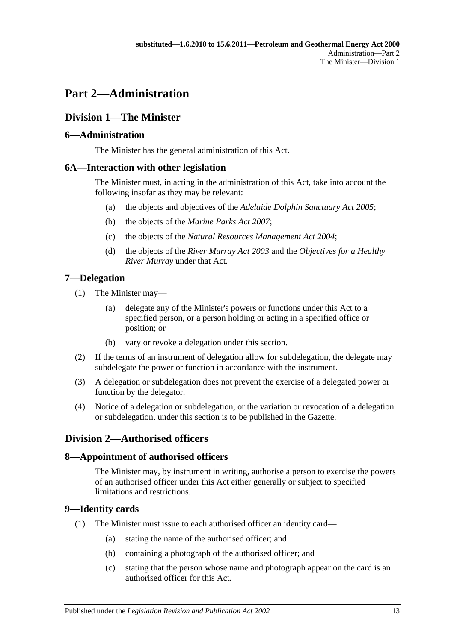# <span id="page-12-0"></span>**Part 2—Administration**

# <span id="page-12-1"></span>**Division 1—The Minister**

# <span id="page-12-2"></span>**6—Administration**

The Minister has the general administration of this Act.

# <span id="page-12-3"></span>**6A—Interaction with other legislation**

The Minister must, in acting in the administration of this Act, take into account the following insofar as they may be relevant:

- (a) the objects and objectives of the *[Adelaide Dolphin Sanctuary Act](http://www.legislation.sa.gov.au/index.aspx?action=legref&type=act&legtitle=Adelaide%20Dolphin%20Sanctuary%20Act%202005) 2005*;
- (b) the objects of the *[Marine Parks Act](http://www.legislation.sa.gov.au/index.aspx?action=legref&type=act&legtitle=Marine%20Parks%20Act%202007) 2007*;
- (c) the objects of the *[Natural Resources Management Act](http://www.legislation.sa.gov.au/index.aspx?action=legref&type=act&legtitle=Natural%20Resources%20Management%20Act%202004) 2004*;
- (d) the objects of the *[River Murray Act](http://www.legislation.sa.gov.au/index.aspx?action=legref&type=act&legtitle=River%20Murray%20Act%202003) 2003* and the *Objectives for a Healthy River Murray* under that Act.

# <span id="page-12-4"></span>**7—Delegation**

- (1) The Minister may—
	- (a) delegate any of the Minister's powers or functions under this Act to a specified person, or a person holding or acting in a specified office or position; or
	- (b) vary or revoke a delegation under this section.
- (2) If the terms of an instrument of delegation allow for subdelegation, the delegate may subdelegate the power or function in accordance with the instrument.
- (3) A delegation or subdelegation does not prevent the exercise of a delegated power or function by the delegator.
- (4) Notice of a delegation or subdelegation, or the variation or revocation of a delegation or subdelegation, under this section is to be published in the Gazette.

# <span id="page-12-5"></span>**Division 2—Authorised officers**

# <span id="page-12-6"></span>**8—Appointment of authorised officers**

The Minister may, by instrument in writing, authorise a person to exercise the powers of an authorised officer under this Act either generally or subject to specified limitations and restrictions.

# <span id="page-12-7"></span>**9—Identity cards**

- (1) The Minister must issue to each authorised officer an identity card—
	- (a) stating the name of the authorised officer; and
	- (b) containing a photograph of the authorised officer; and
	- (c) stating that the person whose name and photograph appear on the card is an authorised officer for this Act.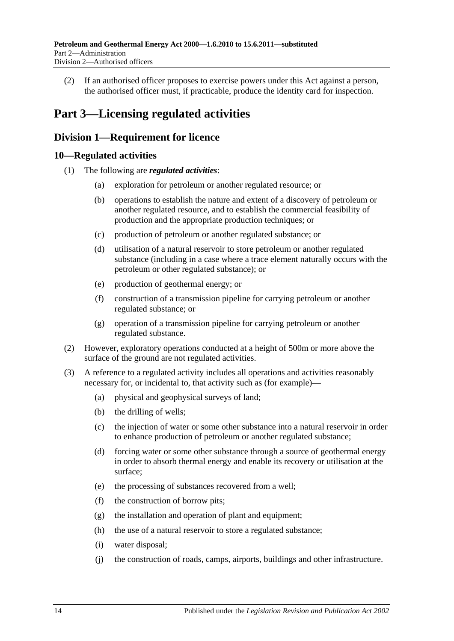(2) If an authorised officer proposes to exercise powers under this Act against a person, the authorised officer must, if practicable, produce the identity card for inspection.

# <span id="page-13-0"></span>**Part 3—Licensing regulated activities**

# <span id="page-13-1"></span>**Division 1—Requirement for licence**

# <span id="page-13-2"></span>**10—Regulated activities**

- (1) The following are *regulated activities*:
	- (a) exploration for petroleum or another regulated resource; or
	- (b) operations to establish the nature and extent of a discovery of petroleum or another regulated resource, and to establish the commercial feasibility of production and the appropriate production techniques; or
	- (c) production of petroleum or another regulated substance; or
	- (d) utilisation of a natural reservoir to store petroleum or another regulated substance (including in a case where a trace element naturally occurs with the petroleum or other regulated substance); or
	- (e) production of geothermal energy; or
	- (f) construction of a transmission pipeline for carrying petroleum or another regulated substance; or
	- (g) operation of a transmission pipeline for carrying petroleum or another regulated substance.
- (2) However, exploratory operations conducted at a height of 500m or more above the surface of the ground are not regulated activities.
- (3) A reference to a regulated activity includes all operations and activities reasonably necessary for, or incidental to, that activity such as (for example)—
	- (a) physical and geophysical surveys of land;
	- (b) the drilling of wells;
	- (c) the injection of water or some other substance into a natural reservoir in order to enhance production of petroleum or another regulated substance;
	- (d) forcing water or some other substance through a source of geothermal energy in order to absorb thermal energy and enable its recovery or utilisation at the surface;
	- (e) the processing of substances recovered from a well;
	- (f) the construction of borrow pits;
	- (g) the installation and operation of plant and equipment;
	- (h) the use of a natural reservoir to store a regulated substance;
	- (i) water disposal;
	- (j) the construction of roads, camps, airports, buildings and other infrastructure.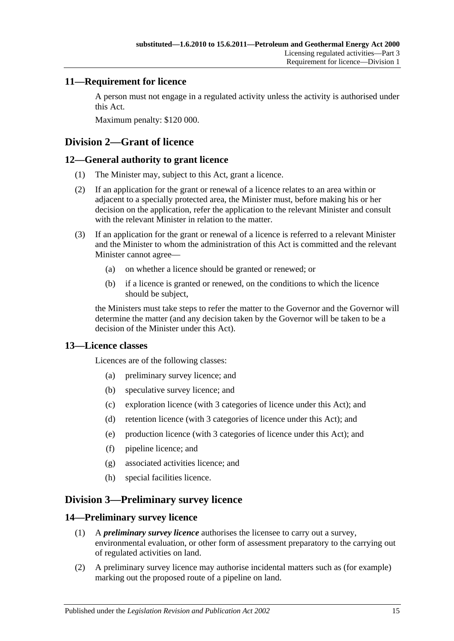# <span id="page-14-0"></span>**11—Requirement for licence**

A person must not engage in a regulated activity unless the activity is authorised under this Act.

Maximum penalty: \$120 000.

# <span id="page-14-1"></span>**Division 2—Grant of licence**

# <span id="page-14-2"></span>**12—General authority to grant licence**

- (1) The Minister may, subject to this Act, grant a licence.
- (2) If an application for the grant or renewal of a licence relates to an area within or adjacent to a specially protected area, the Minister must, before making his or her decision on the application, refer the application to the relevant Minister and consult with the relevant Minister in relation to the matter.
- (3) If an application for the grant or renewal of a licence is referred to a relevant Minister and the Minister to whom the administration of this Act is committed and the relevant Minister cannot agree—
	- (a) on whether a licence should be granted or renewed; or
	- (b) if a licence is granted or renewed, on the conditions to which the licence should be subject,

the Ministers must take steps to refer the matter to the Governor and the Governor will determine the matter (and any decision taken by the Governor will be taken to be a decision of the Minister under this Act).

# <span id="page-14-3"></span>**13—Licence classes**

Licences are of the following classes:

- (a) preliminary survey licence; and
- (b) speculative survey licence; and
- (c) exploration licence (with 3 categories of licence under this Act); and
- (d) retention licence (with 3 categories of licence under this Act); and
- (e) production licence (with 3 categories of licence under this Act); and
- (f) pipeline licence; and
- (g) associated activities licence; and
- (h) special facilities licence.

# <span id="page-14-4"></span>**Division 3—Preliminary survey licence**

### <span id="page-14-5"></span>**14—Preliminary survey licence**

- (1) A *preliminary survey licence* authorises the licensee to carry out a survey, environmental evaluation, or other form of assessment preparatory to the carrying out of regulated activities on land.
- (2) A preliminary survey licence may authorise incidental matters such as (for example) marking out the proposed route of a pipeline on land.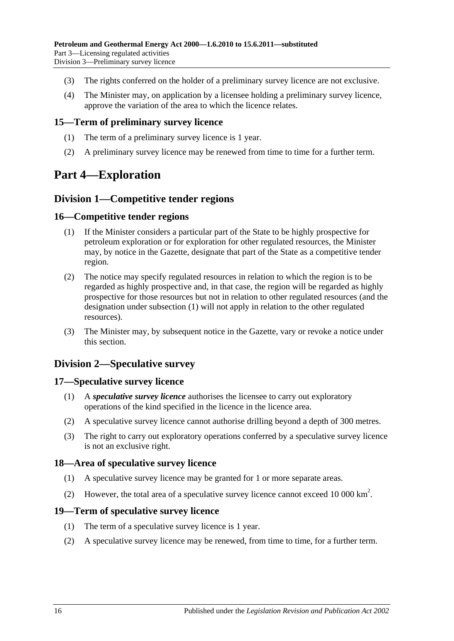- (3) The rights conferred on the holder of a preliminary survey licence are not exclusive.
- (4) The Minister may, on application by a licensee holding a preliminary survey licence, approve the variation of the area to which the licence relates.

### <span id="page-15-0"></span>**15—Term of preliminary survey licence**

- (1) The term of a preliminary survey licence is 1 year.
- (2) A preliminary survey licence may be renewed from time to time for a further term.

# <span id="page-15-1"></span>**Part 4—Exploration**

# <span id="page-15-2"></span>**Division 1—Competitive tender regions**

### <span id="page-15-8"></span><span id="page-15-3"></span>**16—Competitive tender regions**

- (1) If the Minister considers a particular part of the State to be highly prospective for petroleum exploration or for exploration for other regulated resources, the Minister may, by notice in the Gazette, designate that part of the State as a competitive tender region.
- (2) The notice may specify regulated resources in relation to which the region is to be regarded as highly prospective and, in that case, the region will be regarded as highly prospective for those resources but not in relation to other regulated resources (and the designation under [subsection](#page-15-8) (1) will not apply in relation to the other regulated resources).
- (3) The Minister may, by subsequent notice in the Gazette, vary or revoke a notice under this section.

# <span id="page-15-4"></span>**Division 2—Speculative survey**

### <span id="page-15-5"></span>**17—Speculative survey licence**

- (1) A *speculative survey licence* authorises the licensee to carry out exploratory operations of the kind specified in the licence in the licence area.
- (2) A speculative survey licence cannot authorise drilling beyond a depth of 300 metres.
- (3) The right to carry out exploratory operations conferred by a speculative survey licence is not an exclusive right.

# <span id="page-15-6"></span>**18—Area of speculative survey licence**

- (1) A speculative survey licence may be granted for 1 or more separate areas.
- (2) However, the total area of a speculative survey licence cannot exceed 10 000 km<sup>2</sup>.

### <span id="page-15-7"></span>**19—Term of speculative survey licence**

- (1) The term of a speculative survey licence is 1 year.
- (2) A speculative survey licence may be renewed, from time to time, for a further term.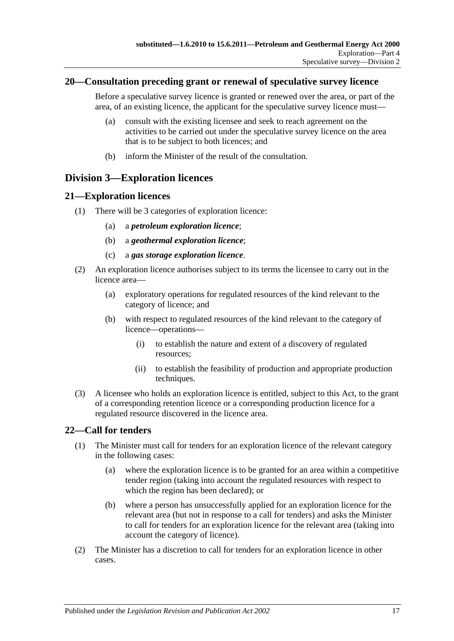### <span id="page-16-0"></span>**20—Consultation preceding grant or renewal of speculative survey licence**

Before a speculative survey licence is granted or renewed over the area, or part of the area, of an existing licence, the applicant for the speculative survey licence must—

- (a) consult with the existing licensee and seek to reach agreement on the activities to be carried out under the speculative survey licence on the area that is to be subject to both licences; and
- (b) inform the Minister of the result of the consultation.

# <span id="page-16-1"></span>**Division 3—Exploration licences**

# <span id="page-16-2"></span>**21—Exploration licences**

- (1) There will be 3 categories of exploration licence:
	- (a) a *petroleum exploration licence*;
	- (b) a *geothermal exploration licence*;
	- (c) a *gas storage exploration licence*.
- (2) An exploration licence authorises subject to its terms the licensee to carry out in the licence area—
	- (a) exploratory operations for regulated resources of the kind relevant to the category of licence; and
	- (b) with respect to regulated resources of the kind relevant to the category of licence—operations—
		- (i) to establish the nature and extent of a discovery of regulated resources;
		- (ii) to establish the feasibility of production and appropriate production techniques.
- (3) A licensee who holds an exploration licence is entitled, subject to this Act, to the grant of a corresponding retention licence or a corresponding production licence for a regulated resource discovered in the licence area.

# <span id="page-16-3"></span>**22—Call for tenders**

- (1) The Minister must call for tenders for an exploration licence of the relevant category in the following cases:
	- (a) where the exploration licence is to be granted for an area within a competitive tender region (taking into account the regulated resources with respect to which the region has been declared); or
	- (b) where a person has unsuccessfully applied for an exploration licence for the relevant area (but not in response to a call for tenders) and asks the Minister to call for tenders for an exploration licence for the relevant area (taking into account the category of licence).
- (2) The Minister has a discretion to call for tenders for an exploration licence in other cases.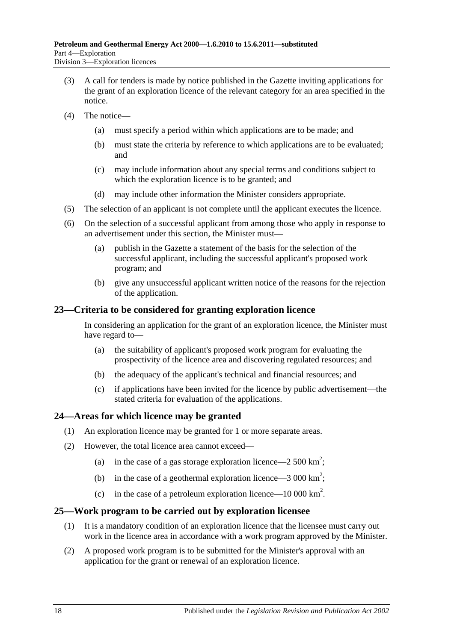- (3) A call for tenders is made by notice published in the Gazette inviting applications for the grant of an exploration licence of the relevant category for an area specified in the notice.
- (4) The notice—
	- (a) must specify a period within which applications are to be made; and
	- (b) must state the criteria by reference to which applications are to be evaluated; and
	- (c) may include information about any special terms and conditions subject to which the exploration licence is to be granted; and
	- (d) may include other information the Minister considers appropriate.
- (5) The selection of an applicant is not complete until the applicant executes the licence.
- (6) On the selection of a successful applicant from among those who apply in response to an advertisement under this section, the Minister must—
	- (a) publish in the Gazette a statement of the basis for the selection of the successful applicant, including the successful applicant's proposed work program; and
	- (b) give any unsuccessful applicant written notice of the reasons for the rejection of the application.

### <span id="page-17-0"></span>**23—Criteria to be considered for granting exploration licence**

In considering an application for the grant of an exploration licence, the Minister must have regard to—

- (a) the suitability of applicant's proposed work program for evaluating the prospectivity of the licence area and discovering regulated resources; and
- (b) the adequacy of the applicant's technical and financial resources; and
- (c) if applications have been invited for the licence by public advertisement—the stated criteria for evaluation of the applications.

### <span id="page-17-1"></span>**24—Areas for which licence may be granted**

- (1) An exploration licence may be granted for 1 or more separate areas.
- (2) However, the total licence area cannot exceed—
	- (a) in the case of a gas storage exploration licence  $-2500 \text{ km}^2$ ;
	- (b) in the case of a geothermal exploration licence  $-3000 \text{ km}^2$ ;
	- (c) in the case of a petroleum exploration licence—10 000 km<sup>2</sup>.

### <span id="page-17-2"></span>**25—Work program to be carried out by exploration licensee**

- (1) It is a mandatory condition of an exploration licence that the licensee must carry out work in the licence area in accordance with a work program approved by the Minister.
- (2) A proposed work program is to be submitted for the Minister's approval with an application for the grant or renewal of an exploration licence.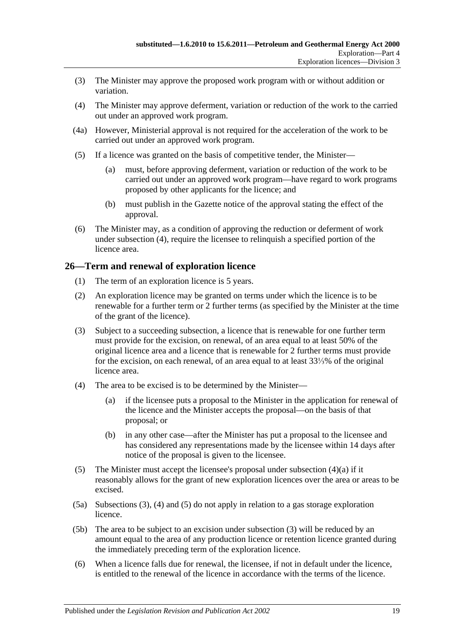- (3) The Minister may approve the proposed work program with or without addition or variation.
- <span id="page-18-1"></span>(4) The Minister may approve deferment, variation or reduction of the work to the carried out under an approved work program.
- (4a) However, Ministerial approval is not required for the acceleration of the work to be carried out under an approved work program.
- (5) If a licence was granted on the basis of competitive tender, the Minister—
	- (a) must, before approving deferment, variation or reduction of the work to be carried out under an approved work program—have regard to work programs proposed by other applicants for the licence; and
	- (b) must publish in the Gazette notice of the approval stating the effect of the approval.
- (6) The Minister may, as a condition of approving the reduction or deferment of work under [subsection](#page-18-1) (4), require the licensee to relinquish a specified portion of the licence area.

# <span id="page-18-0"></span>**26—Term and renewal of exploration licence**

- (1) The term of an exploration licence is 5 years.
- (2) An exploration licence may be granted on terms under which the licence is to be renewable for a further term or 2 further terms (as specified by the Minister at the time of the grant of the licence).
- <span id="page-18-3"></span>(3) Subject to a succeeding subsection, a licence that is renewable for one further term must provide for the excision, on renewal, of an area equal to at least 50% of the original licence area and a licence that is renewable for 2 further terms must provide for the excision, on each renewal, of an area equal to at least 33⅓% of the original licence area.
- <span id="page-18-4"></span><span id="page-18-2"></span>(4) The area to be excised is to be determined by the Minister—
	- (a) if the licensee puts a proposal to the Minister in the application for renewal of the licence and the Minister accepts the proposal—on the basis of that proposal; or
	- (b) in any other case—after the Minister has put a proposal to the licensee and has considered any representations made by the licensee within 14 days after notice of the proposal is given to the licensee.
- <span id="page-18-5"></span>(5) The Minister must accept the licensee's proposal under [subsection](#page-18-2) (4)(a) if it reasonably allows for the grant of new exploration licences over the area or areas to be excised.
- (5a) [Subsections](#page-18-3) (3), [\(4\)](#page-18-4) and [\(5\)](#page-18-5) do not apply in relation to a gas storage exploration licence.
- (5b) The area to be subject to an excision under [subsection](#page-18-3) (3) will be reduced by an amount equal to the area of any production licence or retention licence granted during the immediately preceding term of the exploration licence.
- (6) When a licence falls due for renewal, the licensee, if not in default under the licence, is entitled to the renewal of the licence in accordance with the terms of the licence.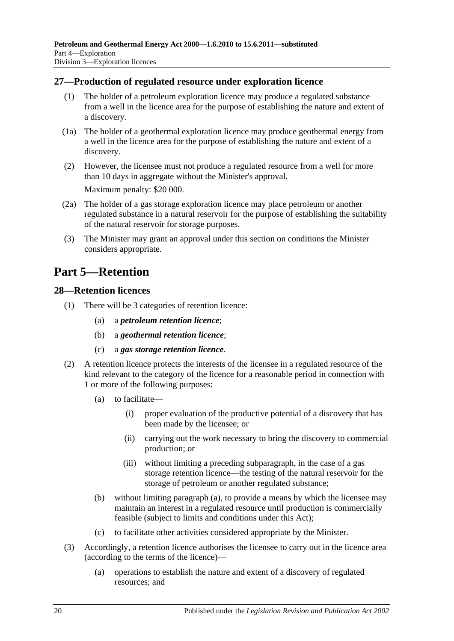# <span id="page-19-0"></span>**27—Production of regulated resource under exploration licence**

- (1) The holder of a petroleum exploration licence may produce a regulated substance from a well in the licence area for the purpose of establishing the nature and extent of a discovery.
- (1a) The holder of a geothermal exploration licence may produce geothermal energy from a well in the licence area for the purpose of establishing the nature and extent of a discovery.
- (2) However, the licensee must not produce a regulated resource from a well for more than 10 days in aggregate without the Minister's approval. Maximum penalty: \$20 000.
- (2a) The holder of a gas storage exploration licence may place petroleum or another regulated substance in a natural reservoir for the purpose of establishing the suitability of the natural reservoir for storage purposes.
- (3) The Minister may grant an approval under this section on conditions the Minister considers appropriate.

# <span id="page-19-1"></span>**Part 5—Retention**

### <span id="page-19-2"></span>**28—Retention licences**

- (1) There will be 3 categories of retention licence:
	- (a) a *petroleum retention licence*;
	- (b) a *geothermal retention licence*;
	- (c) a *gas storage retention licence*.
- <span id="page-19-3"></span>(2) A retention licence protects the interests of the licensee in a regulated resource of the kind relevant to the category of the licence for a reasonable period in connection with 1 or more of the following purposes:
	- (a) to facilitate—
		- (i) proper evaluation of the productive potential of a discovery that has been made by the licensee; or
		- (ii) carrying out the work necessary to bring the discovery to commercial production; or
		- (iii) without limiting a preceding subparagraph, in the case of a gas storage retention licence—the testing of the natural reservoir for the storage of petroleum or another regulated substance;
	- (b) without limiting [paragraph](#page-19-3) (a), to provide a means by which the licensee may maintain an interest in a regulated resource until production is commercially feasible (subject to limits and conditions under this Act);
	- (c) to facilitate other activities considered appropriate by the Minister.
- (3) Accordingly, a retention licence authorises the licensee to carry out in the licence area (according to the terms of the licence)—
	- (a) operations to establish the nature and extent of a discovery of regulated resources; and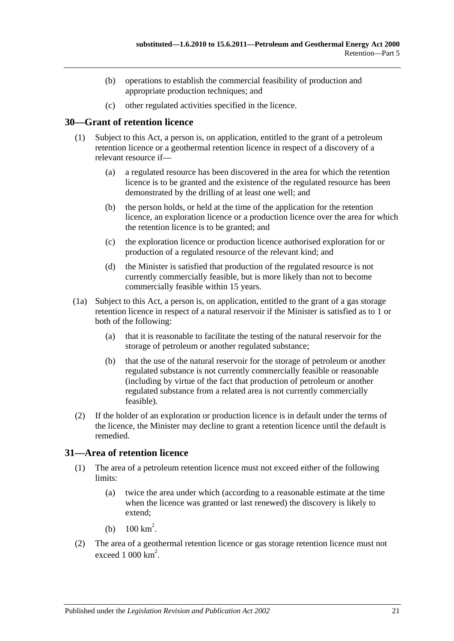- (b) operations to establish the commercial feasibility of production and appropriate production techniques; and
- (c) other regulated activities specified in the licence.

# <span id="page-20-0"></span>**30—Grant of retention licence**

- (1) Subject to this Act, a person is, on application, entitled to the grant of a petroleum retention licence or a geothermal retention licence in respect of a discovery of a relevant resource if—
	- (a) a regulated resource has been discovered in the area for which the retention licence is to be granted and the existence of the regulated resource has been demonstrated by the drilling of at least one well; and
	- (b) the person holds, or held at the time of the application for the retention licence, an exploration licence or a production licence over the area for which the retention licence is to be granted; and
	- (c) the exploration licence or production licence authorised exploration for or production of a regulated resource of the relevant kind; and
	- (d) the Minister is satisfied that production of the regulated resource is not currently commercially feasible, but is more likely than not to become commercially feasible within 15 years.
- (1a) Subject to this Act, a person is, on application, entitled to the grant of a gas storage retention licence in respect of a natural reservoir if the Minister is satisfied as to 1 or both of the following:
	- (a) that it is reasonable to facilitate the testing of the natural reservoir for the storage of petroleum or another regulated substance;
	- (b) that the use of the natural reservoir for the storage of petroleum or another regulated substance is not currently commercially feasible or reasonable (including by virtue of the fact that production of petroleum or another regulated substance from a related area is not currently commercially feasible).
- (2) If the holder of an exploration or production licence is in default under the terms of the licence, the Minister may decline to grant a retention licence until the default is remedied.

# <span id="page-20-1"></span>**31—Area of retention licence**

- (1) The area of a petroleum retention licence must not exceed either of the following limits:
	- (a) twice the area under which (according to a reasonable estimate at the time when the licence was granted or last renewed) the discovery is likely to extend;
	- (b)  $100 \text{ km}^2$ .
- (2) The area of a geothermal retention licence or gas storage retention licence must not exceed  $1000 \mathrm{km}^2$ .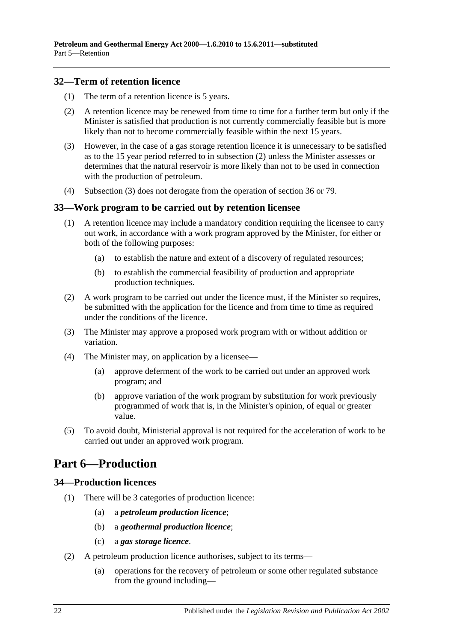# <span id="page-21-0"></span>**32—Term of retention licence**

- (1) The term of a retention licence is 5 years.
- <span id="page-21-4"></span>(2) A retention licence may be renewed from time to time for a further term but only if the Minister is satisfied that production is not currently commercially feasible but is more likely than not to become commercially feasible within the next 15 years.
- <span id="page-21-5"></span>(3) However, in the case of a gas storage retention licence it is unnecessary to be satisfied as to the 15 year period referred to in [subsection](#page-21-4) (2) unless the Minister assesses or determines that the natural reservoir is more likely than not to be used in connection with the production of petroleum.
- (4) [Subsection](#page-21-5) (3) does not derogate from the operation of [section](#page-23-0) 36 or [79.](#page-41-3)

### <span id="page-21-1"></span>**33—Work program to be carried out by retention licensee**

- (1) A retention licence may include a mandatory condition requiring the licensee to carry out work, in accordance with a work program approved by the Minister, for either or both of the following purposes:
	- (a) to establish the nature and extent of a discovery of regulated resources;
	- (b) to establish the commercial feasibility of production and appropriate production techniques.
- (2) A work program to be carried out under the licence must, if the Minister so requires, be submitted with the application for the licence and from time to time as required under the conditions of the licence.
- (3) The Minister may approve a proposed work program with or without addition or variation.
- (4) The Minister may, on application by a licensee—
	- (a) approve deferment of the work to be carried out under an approved work program; and
	- (b) approve variation of the work program by substitution for work previously programmed of work that is, in the Minister's opinion, of equal or greater value.
- (5) To avoid doubt, Ministerial approval is not required for the acceleration of work to be carried out under an approved work program.

# <span id="page-21-2"></span>**Part 6—Production**

# <span id="page-21-3"></span>**34—Production licences**

- (1) There will be 3 categories of production licence:
	- (a) a *petroleum production licence*;
	- (b) a *geothermal production licence*;
	- (c) a *gas storage licence*.
- (2) A petroleum production licence authorises, subject to its terms—
	- (a) operations for the recovery of petroleum or some other regulated substance from the ground including—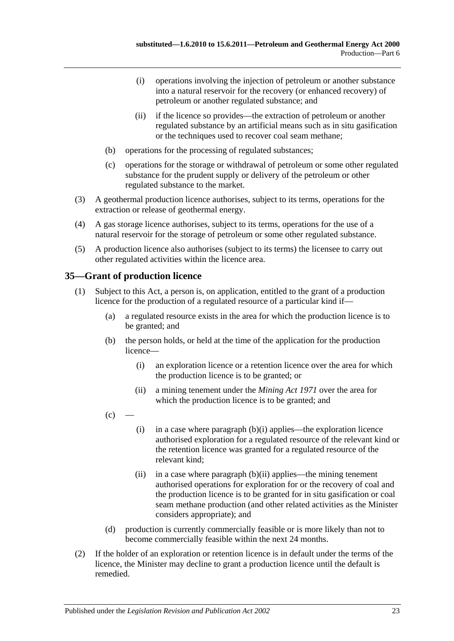- (i) operations involving the injection of petroleum or another substance into a natural reservoir for the recovery (or enhanced recovery) of petroleum or another regulated substance; and
- (ii) if the licence so provides—the extraction of petroleum or another regulated substance by an artificial means such as in situ gasification or the techniques used to recover coal seam methane;
- (b) operations for the processing of regulated substances;
- (c) operations for the storage or withdrawal of petroleum or some other regulated substance for the prudent supply or delivery of the petroleum or other regulated substance to the market.
- (3) A geothermal production licence authorises, subject to its terms, operations for the extraction or release of geothermal energy.
- (4) A gas storage licence authorises, subject to its terms, operations for the use of a natural reservoir for the storage of petroleum or some other regulated substance.
- (5) A production licence also authorises (subject to its terms) the licensee to carry out other regulated activities within the licence area.

# <span id="page-22-3"></span><span id="page-22-0"></span>**35—Grant of production licence**

- <span id="page-22-4"></span><span id="page-22-1"></span>(1) Subject to this Act, a person is, on application, entitled to the grant of a production licence for the production of a regulated resource of a particular kind if—
	- (a) a regulated resource exists in the area for which the production licence is to be granted; and
	- (b) the person holds, or held at the time of the application for the production licence—
		- (i) an exploration licence or a retention licence over the area for which the production licence is to be granted; or
		- (ii) a mining tenement under the *[Mining Act](http://www.legislation.sa.gov.au/index.aspx?action=legref&type=act&legtitle=Mining%20Act%201971) 1971* over the area for which the production licence is to be granted; and
	- $(c)$
- <span id="page-22-5"></span><span id="page-22-2"></span>(i) in a case where [paragraph](#page-22-1)  $(b)(i)$  applies—the exploration licence authorised exploration for a regulated resource of the relevant kind or the retention licence was granted for a regulated resource of the relevant kind;
- (ii) in a case where [paragraph](#page-22-2)  $(b)(ii)$  applies—the mining tenement authorised operations for exploration for or the recovery of coal and the production licence is to be granted for in situ gasification or coal seam methane production (and other related activities as the Minister considers appropriate); and
- (d) production is currently commercially feasible or is more likely than not to become commercially feasible within the next 24 months.
- (2) If the holder of an exploration or retention licence is in default under the terms of the licence, the Minister may decline to grant a production licence until the default is remedied.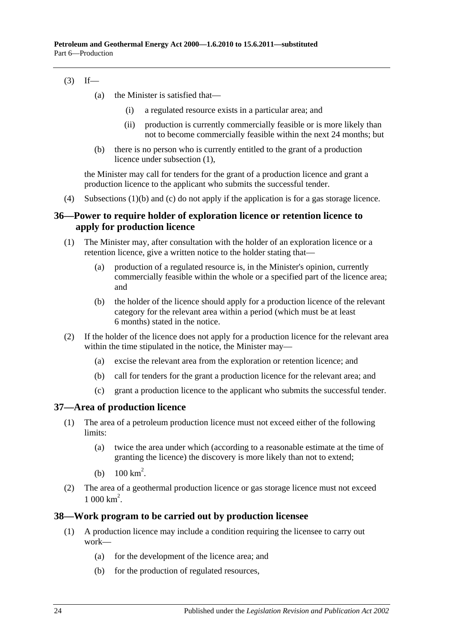# $(3)$  If—

- (a) the Minister is satisfied that—
	- (i) a regulated resource exists in a particular area; and
	- (ii) production is currently commercially feasible or is more likely than not to become commercially feasible within the next 24 months; but
- (b) there is no person who is currently entitled to the grant of a production licence under [subsection](#page-22-3) (1),

the Minister may call for tenders for the grant of a production licence and grant a production licence to the applicant who submits the successful tender.

(4) [Subsections](#page-22-4) (1)(b) and [\(c\)](#page-22-5) do not apply if the application is for a gas storage licence.

# <span id="page-23-0"></span>**36—Power to require holder of exploration licence or retention licence to apply for production licence**

- (1) The Minister may, after consultation with the holder of an exploration licence or a retention licence, give a written notice to the holder stating that—
	- (a) production of a regulated resource is, in the Minister's opinion, currently commercially feasible within the whole or a specified part of the licence area; and
	- (b) the holder of the licence should apply for a production licence of the relevant category for the relevant area within a period (which must be at least 6 months) stated in the notice.
- (2) If the holder of the licence does not apply for a production licence for the relevant area within the time stipulated in the notice, the Minister may—
	- (a) excise the relevant area from the exploration or retention licence; and
	- (b) call for tenders for the grant a production licence for the relevant area; and
	- (c) grant a production licence to the applicant who submits the successful tender.

# <span id="page-23-1"></span>**37—Area of production licence**

- (1) The area of a petroleum production licence must not exceed either of the following limits:
	- (a) twice the area under which (according to a reasonable estimate at the time of granting the licence) the discovery is more likely than not to extend;
	- (b)  $100 \text{ km}^2$ .
- (2) The area of a geothermal production licence or gas storage licence must not exceed  $1000 \text{ km}^2$ .

# <span id="page-23-2"></span>**38—Work program to be carried out by production licensee**

- (1) A production licence may include a condition requiring the licensee to carry out work—
	- (a) for the development of the licence area; and
	- (b) for the production of regulated resources,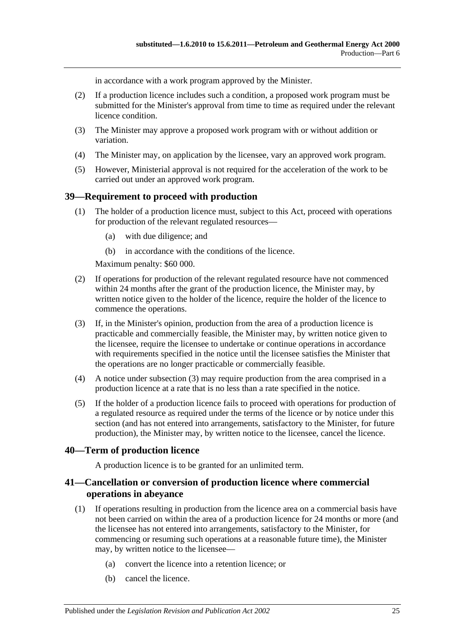in accordance with a work program approved by the Minister.

- (2) If a production licence includes such a condition, a proposed work program must be submitted for the Minister's approval from time to time as required under the relevant licence condition.
- (3) The Minister may approve a proposed work program with or without addition or variation.
- (4) The Minister may, on application by the licensee, vary an approved work program.
- (5) However, Ministerial approval is not required for the acceleration of the work to be carried out under an approved work program.

# <span id="page-24-0"></span>**39—Requirement to proceed with production**

- (1) The holder of a production licence must, subject to this Act, proceed with operations for production of the relevant regulated resources—
	- (a) with due diligence; and
	- (b) in accordance with the conditions of the licence.

Maximum penalty: \$60 000.

- (2) If operations for production of the relevant regulated resource have not commenced within 24 months after the grant of the production licence, the Minister may, by written notice given to the holder of the licence, require the holder of the licence to commence the operations.
- <span id="page-24-3"></span>(3) If, in the Minister's opinion, production from the area of a production licence is practicable and commercially feasible, the Minister may, by written notice given to the licensee, require the licensee to undertake or continue operations in accordance with requirements specified in the notice until the licensee satisfies the Minister that the operations are no longer practicable or commercially feasible.
- (4) A notice under [subsection](#page-24-3) (3) may require production from the area comprised in a production licence at a rate that is no less than a rate specified in the notice.
- (5) If the holder of a production licence fails to proceed with operations for production of a regulated resource as required under the terms of the licence or by notice under this section (and has not entered into arrangements, satisfactory to the Minister, for future production), the Minister may, by written notice to the licensee, cancel the licence.

# <span id="page-24-1"></span>**40—Term of production licence**

A production licence is to be granted for an unlimited term.

# <span id="page-24-2"></span>**41—Cancellation or conversion of production licence where commercial operations in abeyance**

- (1) If operations resulting in production from the licence area on a commercial basis have not been carried on within the area of a production licence for 24 months or more (and the licensee has not entered into arrangements, satisfactory to the Minister, for commencing or resuming such operations at a reasonable future time), the Minister may, by written notice to the licensee—
	- (a) convert the licence into a retention licence; or
	- (b) cancel the licence.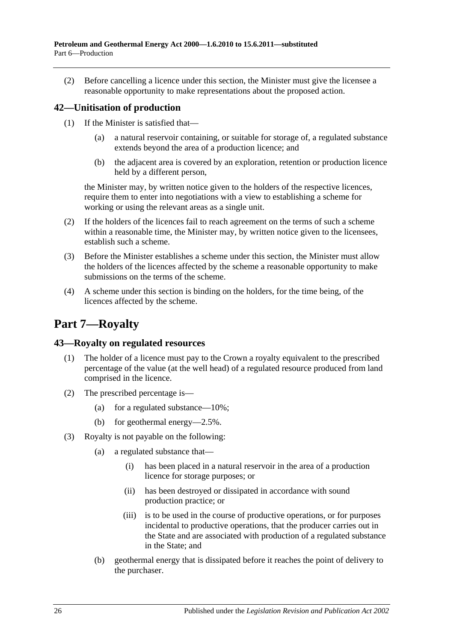(2) Before cancelling a licence under this section, the Minister must give the licensee a reasonable opportunity to make representations about the proposed action.

# <span id="page-25-0"></span>**42—Unitisation of production**

- (1) If the Minister is satisfied that—
	- (a) a natural reservoir containing, or suitable for storage of, a regulated substance extends beyond the area of a production licence; and
	- (b) the adjacent area is covered by an exploration, retention or production licence held by a different person,

the Minister may, by written notice given to the holders of the respective licences, require them to enter into negotiations with a view to establishing a scheme for working or using the relevant areas as a single unit.

- (2) If the holders of the licences fail to reach agreement on the terms of such a scheme within a reasonable time, the Minister may, by written notice given to the licensees, establish such a scheme.
- (3) Before the Minister establishes a scheme under this section, the Minister must allow the holders of the licences affected by the scheme a reasonable opportunity to make submissions on the terms of the scheme.
- (4) A scheme under this section is binding on the holders, for the time being, of the licences affected by the scheme.

# <span id="page-25-1"></span>**Part 7—Royalty**

# <span id="page-25-2"></span>**43—Royalty on regulated resources**

- (1) The holder of a licence must pay to the Crown a royalty equivalent to the prescribed percentage of the value (at the well head) of a regulated resource produced from land comprised in the licence.
- (2) The prescribed percentage is—
	- (a) for a regulated substance— $10\%$ ;
	- (b) for geothermal energy—2.5%.
- (3) Royalty is not payable on the following:
	- (a) a regulated substance that—
		- (i) has been placed in a natural reservoir in the area of a production licence for storage purposes; or
		- (ii) has been destroyed or dissipated in accordance with sound production practice; or
		- (iii) is to be used in the course of productive operations, or for purposes incidental to productive operations, that the producer carries out in the State and are associated with production of a regulated substance in the State; and
	- (b) geothermal energy that is dissipated before it reaches the point of delivery to the purchaser.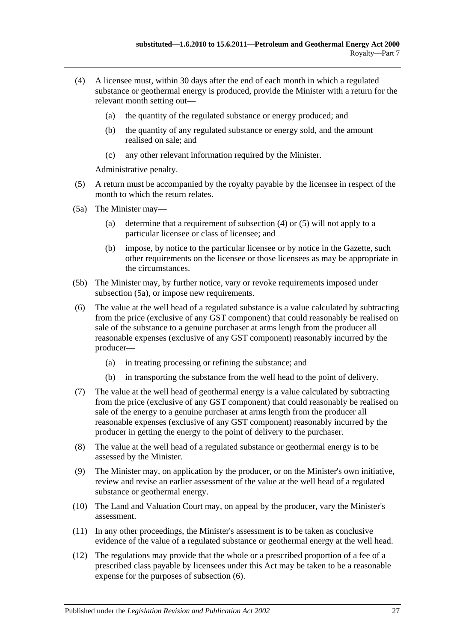- <span id="page-26-0"></span>(4) A licensee must, within 30 days after the end of each month in which a regulated substance or geothermal energy is produced, provide the Minister with a return for the relevant month setting out—
	- (a) the quantity of the regulated substance or energy produced; and
	- (b) the quantity of any regulated substance or energy sold, and the amount realised on sale; and
	- (c) any other relevant information required by the Minister.

Administrative penalty.

- <span id="page-26-1"></span>(5) A return must be accompanied by the royalty payable by the licensee in respect of the month to which the return relates.
- <span id="page-26-2"></span>(5a) The Minister may—
	- (a) determine that a requirement of [subsection](#page-26-0) (4) or [\(5\)](#page-26-1) will not apply to a particular licensee or class of licensee; and
	- (b) impose, by notice to the particular licensee or by notice in the Gazette, such other requirements on the licensee or those licensees as may be appropriate in the circumstances.
- (5b) The Minister may, by further notice, vary or revoke requirements imposed under [subsection](#page-26-2) (5a), or impose new requirements.
- <span id="page-26-3"></span>(6) The value at the well head of a regulated substance is a value calculated by subtracting from the price (exclusive of any GST component) that could reasonably be realised on sale of the substance to a genuine purchaser at arms length from the producer all reasonable expenses (exclusive of any GST component) reasonably incurred by the producer—
	- (a) in treating processing or refining the substance; and
	- (b) in transporting the substance from the well head to the point of delivery.
- (7) The value at the well head of geothermal energy is a value calculated by subtracting from the price (exclusive of any GST component) that could reasonably be realised on sale of the energy to a genuine purchaser at arms length from the producer all reasonable expenses (exclusive of any GST component) reasonably incurred by the producer in getting the energy to the point of delivery to the purchaser.
- (8) The value at the well head of a regulated substance or geothermal energy is to be assessed by the Minister.
- (9) The Minister may, on application by the producer, or on the Minister's own initiative, review and revise an earlier assessment of the value at the well head of a regulated substance or geothermal energy.
- (10) The Land and Valuation Court may, on appeal by the producer, vary the Minister's assessment.
- (11) In any other proceedings, the Minister's assessment is to be taken as conclusive evidence of the value of a regulated substance or geothermal energy at the well head.
- (12) The regulations may provide that the whole or a prescribed proportion of a fee of a prescribed class payable by licensees under this Act may be taken to be a reasonable expense for the purposes of [subsection](#page-26-3) (6).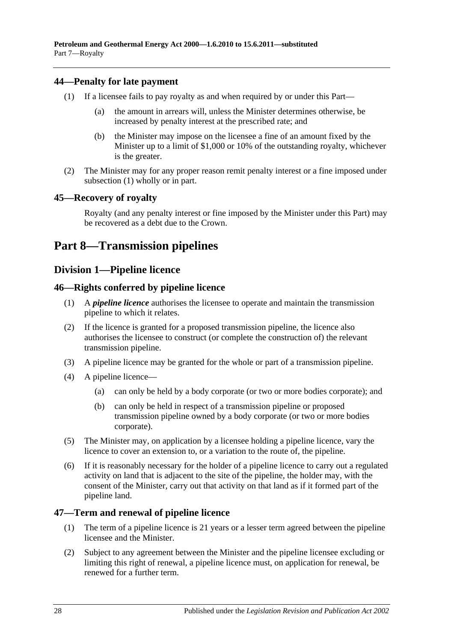# <span id="page-27-6"></span><span id="page-27-0"></span>**44—Penalty for late payment**

- (1) If a licensee fails to pay royalty as and when required by or under this Part—
	- (a) the amount in arrears will, unless the Minister determines otherwise, be increased by penalty interest at the prescribed rate; and
	- (b) the Minister may impose on the licensee a fine of an amount fixed by the Minister up to a limit of \$1,000 or 10% of the outstanding royalty, whichever is the greater.
- (2) The Minister may for any proper reason remit penalty interest or a fine imposed under [subsection](#page-27-6) (1) wholly or in part.

# <span id="page-27-1"></span>**45—Recovery of royalty**

Royalty (and any penalty interest or fine imposed by the Minister under this Part) may be recovered as a debt due to the Crown.

# <span id="page-27-2"></span>**Part 8—Transmission pipelines**

# <span id="page-27-3"></span>**Division 1—Pipeline licence**

# <span id="page-27-4"></span>**46—Rights conferred by pipeline licence**

- (1) A *pipeline licence* authorises the licensee to operate and maintain the transmission pipeline to which it relates.
- (2) If the licence is granted for a proposed transmission pipeline, the licence also authorises the licensee to construct (or complete the construction of) the relevant transmission pipeline.
- (3) A pipeline licence may be granted for the whole or part of a transmission pipeline.
- (4) A pipeline licence—
	- (a) can only be held by a body corporate (or two or more bodies corporate); and
	- (b) can only be held in respect of a transmission pipeline or proposed transmission pipeline owned by a body corporate (or two or more bodies corporate).
- (5) The Minister may, on application by a licensee holding a pipeline licence, vary the licence to cover an extension to, or a variation to the route of, the pipeline.
- (6) If it is reasonably necessary for the holder of a pipeline licence to carry out a regulated activity on land that is adjacent to the site of the pipeline, the holder may, with the consent of the Minister, carry out that activity on that land as if it formed part of the pipeline land.

# <span id="page-27-5"></span>**47—Term and renewal of pipeline licence**

- (1) The term of a pipeline licence is 21 years or a lesser term agreed between the pipeline licensee and the Minister.
- (2) Subject to any agreement between the Minister and the pipeline licensee excluding or limiting this right of renewal, a pipeline licence must, on application for renewal, be renewed for a further term.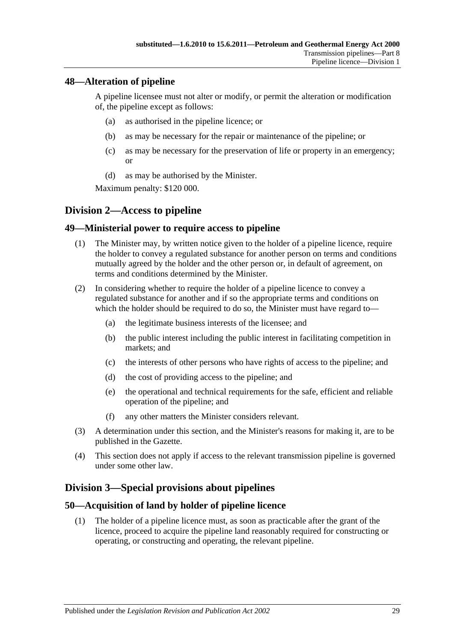# <span id="page-28-0"></span>**48—Alteration of pipeline**

A pipeline licensee must not alter or modify, or permit the alteration or modification of, the pipeline except as follows:

- (a) as authorised in the pipeline licence; or
- (b) as may be necessary for the repair or maintenance of the pipeline; or
- (c) as may be necessary for the preservation of life or property in an emergency; or
- (d) as may be authorised by the Minister.

Maximum penalty: \$120 000.

# <span id="page-28-1"></span>**Division 2—Access to pipeline**

# <span id="page-28-2"></span>**49—Ministerial power to require access to pipeline**

- (1) The Minister may, by written notice given to the holder of a pipeline licence, require the holder to convey a regulated substance for another person on terms and conditions mutually agreed by the holder and the other person or, in default of agreement, on terms and conditions determined by the Minister.
- (2) In considering whether to require the holder of a pipeline licence to convey a regulated substance for another and if so the appropriate terms and conditions on which the holder should be required to do so, the Minister must have regard to—
	- (a) the legitimate business interests of the licensee; and
	- (b) the public interest including the public interest in facilitating competition in markets; and
	- (c) the interests of other persons who have rights of access to the pipeline; and
	- (d) the cost of providing access to the pipeline; and
	- (e) the operational and technical requirements for the safe, efficient and reliable operation of the pipeline; and
	- (f) any other matters the Minister considers relevant.
- (3) A determination under this section, and the Minister's reasons for making it, are to be published in the Gazette.
- (4) This section does not apply if access to the relevant transmission pipeline is governed under some other law.

# <span id="page-28-3"></span>**Division 3—Special provisions about pipelines**

# <span id="page-28-4"></span>**50—Acquisition of land by holder of pipeline licence**

(1) The holder of a pipeline licence must, as soon as practicable after the grant of the licence, proceed to acquire the pipeline land reasonably required for constructing or operating, or constructing and operating, the relevant pipeline.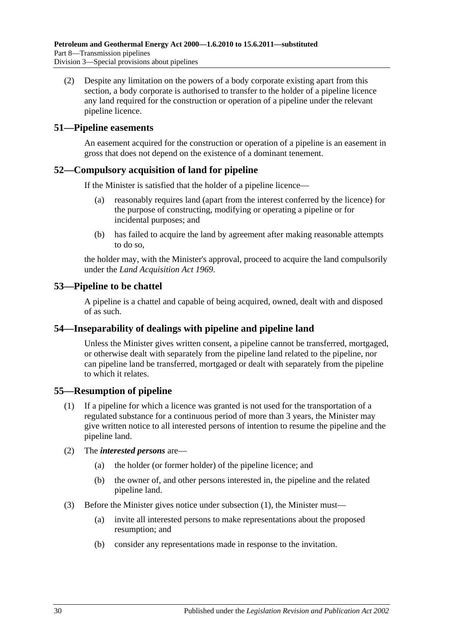(2) Despite any limitation on the powers of a body corporate existing apart from this section, a body corporate is authorised to transfer to the holder of a pipeline licence any land required for the construction or operation of a pipeline under the relevant pipeline licence.

### <span id="page-29-0"></span>**51—Pipeline easements**

An easement acquired for the construction or operation of a pipeline is an easement in gross that does not depend on the existence of a dominant tenement.

# <span id="page-29-1"></span>**52—Compulsory acquisition of land for pipeline**

If the Minister is satisfied that the holder of a pipeline licence—

- (a) reasonably requires land (apart from the interest conferred by the licence) for the purpose of constructing, modifying or operating a pipeline or for incidental purposes; and
- (b) has failed to acquire the land by agreement after making reasonable attempts to do so,

the holder may, with the Minister's approval, proceed to acquire the land compulsorily under the *[Land Acquisition Act](http://www.legislation.sa.gov.au/index.aspx?action=legref&type=act&legtitle=Land%20Acquisition%20Act%201969) 1969*.

# <span id="page-29-2"></span>**53—Pipeline to be chattel**

A pipeline is a chattel and capable of being acquired, owned, dealt with and disposed of as such.

### <span id="page-29-3"></span>**54—Inseparability of dealings with pipeline and pipeline land**

Unless the Minister gives written consent, a pipeline cannot be transferred, mortgaged, or otherwise dealt with separately from the pipeline land related to the pipeline, nor can pipeline land be transferred, mortgaged or dealt with separately from the pipeline to which it relates.

# <span id="page-29-5"></span><span id="page-29-4"></span>**55—Resumption of pipeline**

- (1) If a pipeline for which a licence was granted is not used for the transportation of a regulated substance for a continuous period of more than 3 years, the Minister may give written notice to all interested persons of intention to resume the pipeline and the pipeline land.
- (2) The *interested persons* are—
	- (a) the holder (or former holder) of the pipeline licence; and
	- (b) the owner of, and other persons interested in, the pipeline and the related pipeline land.
- (3) Before the Minister gives notice under [subsection](#page-29-5) (1), the Minister must—
	- (a) invite all interested persons to make representations about the proposed resumption; and
	- (b) consider any representations made in response to the invitation.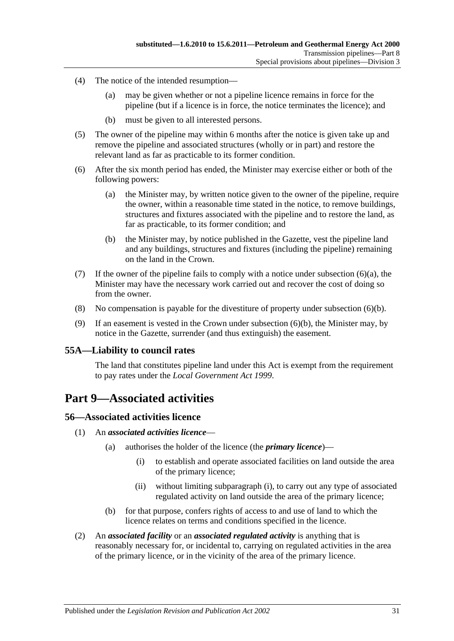- (4) The notice of the intended resumption—
	- (a) may be given whether or not a pipeline licence remains in force for the pipeline (but if a licence is in force, the notice terminates the licence); and
	- (b) must be given to all interested persons.
- (5) The owner of the pipeline may within 6 months after the notice is given take up and remove the pipeline and associated structures (wholly or in part) and restore the relevant land as far as practicable to its former condition.
- <span id="page-30-4"></span>(6) After the six month period has ended, the Minister may exercise either or both of the following powers:
	- (a) the Minister may, by written notice given to the owner of the pipeline, require the owner, within a reasonable time stated in the notice, to remove buildings, structures and fixtures associated with the pipeline and to restore the land, as far as practicable, to its former condition; and
	- (b) the Minister may, by notice published in the Gazette, vest the pipeline land and any buildings, structures and fixtures (including the pipeline) remaining on the land in the Crown.
- <span id="page-30-5"></span>(7) If the owner of the pipeline fails to comply with a notice under [subsection](#page-30-4)  $(6)(a)$ , the Minister may have the necessary work carried out and recover the cost of doing so from the owner.
- (8) No compensation is payable for the divestiture of property under [subsection](#page-30-5) (6)(b).
- (9) If an easement is vested in the Crown under [subsection](#page-30-5) (6)(b), the Minister may, by notice in the Gazette, surrender (and thus extinguish) the easement.

### <span id="page-30-0"></span>**55A—Liability to council rates**

The land that constitutes pipeline land under this Act is exempt from the requirement to pay rates under the *[Local Government Act](http://www.legislation.sa.gov.au/index.aspx?action=legref&type=act&legtitle=Local%20Government%20Act%201999) 1999*.

# <span id="page-30-1"></span>**Part 9—Associated activities**

### <span id="page-30-2"></span>**56—Associated activities licence**

- <span id="page-30-6"></span>(1) An *associated activities licence*—
	- (a) authorises the holder of the licence (the *primary licence*)—
		- (i) to establish and operate associated facilities on land outside the area of the primary licence;
		- (ii) without limiting [subparagraph](#page-30-6) (i), to carry out any type of associated regulated activity on land outside the area of the primary licence;
	- (b) for that purpose, confers rights of access to and use of land to which the licence relates on terms and conditions specified in the licence.
- <span id="page-30-3"></span>(2) An *associated facility* or an *associated regulated activity* is anything that is reasonably necessary for, or incidental to, carrying on regulated activities in the area of the primary licence, or in the vicinity of the area of the primary licence.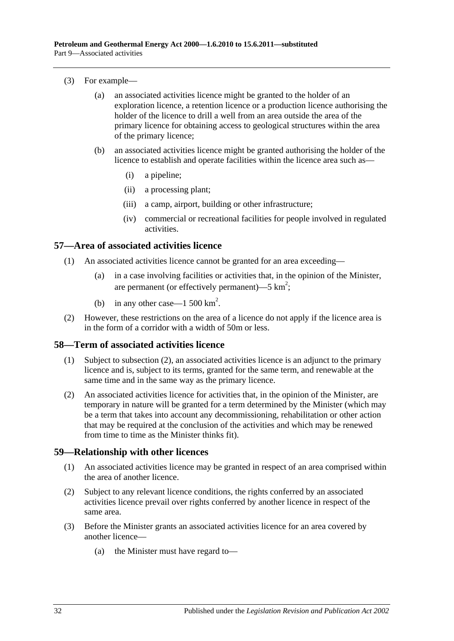#### (3) For example—

- (a) an associated activities licence might be granted to the holder of an exploration licence, a retention licence or a production licence authorising the holder of the licence to drill a well from an area outside the area of the primary licence for obtaining access to geological structures within the area of the primary licence;
- (b) an associated activities licence might be granted authorising the holder of the licence to establish and operate facilities within the licence area such as—
	- (i) a pipeline;
	- (ii) a processing plant;
	- (iii) a camp, airport, building or other infrastructure;
	- (iv) commercial or recreational facilities for people involved in regulated activities.

### <span id="page-31-0"></span>**57—Area of associated activities licence**

- (1) An associated activities licence cannot be granted for an area exceeding—
	- (a) in a case involving facilities or activities that, in the opinion of the Minister, are permanent (or effectively permanent)—5  $km^2$ ;
	- (b) in any other case—1 500  $\text{km}^2$ .
- (2) However, these restrictions on the area of a licence do not apply if the licence area is in the form of a corridor with a width of 50m or less.

### <span id="page-31-1"></span>**58—Term of associated activities licence**

- (1) Subject to [subsection](#page-31-3) (2), an associated activities licence is an adjunct to the primary licence and is, subject to its terms, granted for the same term, and renewable at the same time and in the same way as the primary licence.
- <span id="page-31-3"></span>(2) An associated activities licence for activities that, in the opinion of the Minister, are temporary in nature will be granted for a term determined by the Minister (which may be a term that takes into account any decommissioning, rehabilitation or other action that may be required at the conclusion of the activities and which may be renewed from time to time as the Minister thinks fit).

### <span id="page-31-2"></span>**59—Relationship with other licences**

- (1) An associated activities licence may be granted in respect of an area comprised within the area of another licence.
- (2) Subject to any relevant licence conditions, the rights conferred by an associated activities licence prevail over rights conferred by another licence in respect of the same area.
- <span id="page-31-4"></span>(3) Before the Minister grants an associated activities licence for an area covered by another licence—
	- (a) the Minister must have regard to—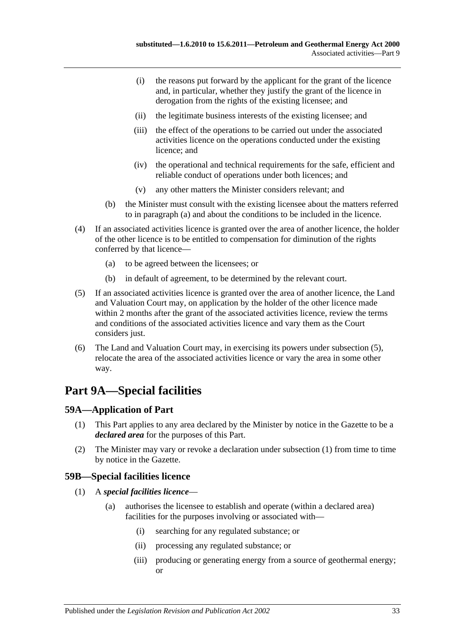- (i) the reasons put forward by the applicant for the grant of the licence and, in particular, whether they justify the grant of the licence in derogation from the rights of the existing licensee; and
- (ii) the legitimate business interests of the existing licensee; and
- (iii) the effect of the operations to be carried out under the associated activities licence on the operations conducted under the existing licence; and
- (iv) the operational and technical requirements for the safe, efficient and reliable conduct of operations under both licences; and
- (v) any other matters the Minister considers relevant; and
- (b) the Minister must consult with the existing licensee about the matters referred to in [paragraph](#page-31-4) (a) and about the conditions to be included in the licence.
- (4) If an associated activities licence is granted over the area of another licence, the holder of the other licence is to be entitled to compensation for diminution of the rights conferred by that licence—
	- (a) to be agreed between the licensees; or
	- (b) in default of agreement, to be determined by the relevant court.
- <span id="page-32-3"></span>(5) If an associated activities licence is granted over the area of another licence, the Land and Valuation Court may, on application by the holder of the other licence made within 2 months after the grant of the associated activities licence, review the terms and conditions of the associated activities licence and vary them as the Court considers just.
- (6) The Land and Valuation Court may, in exercising its powers under [subsection](#page-32-3) (5), relocate the area of the associated activities licence or vary the area in some other way.

# <span id="page-32-0"></span>**Part 9A—Special facilities**

# <span id="page-32-4"></span><span id="page-32-1"></span>**59A—Application of Part**

- (1) This Part applies to any area declared by the Minister by notice in the Gazette to be a *declared area* for the purposes of this Part.
- (2) The Minister may vary or revoke a declaration under [subsection](#page-32-4) (1) from time to time by notice in the Gazette.

# <span id="page-32-2"></span>**59B—Special facilities licence**

- (1) A *special facilities licence*
	- (a) authorises the licensee to establish and operate (within a declared area) facilities for the purposes involving or associated with—
		- (i) searching for any regulated substance; or
		- (ii) processing any regulated substance; or
		- (iii) producing or generating energy from a source of geothermal energy; or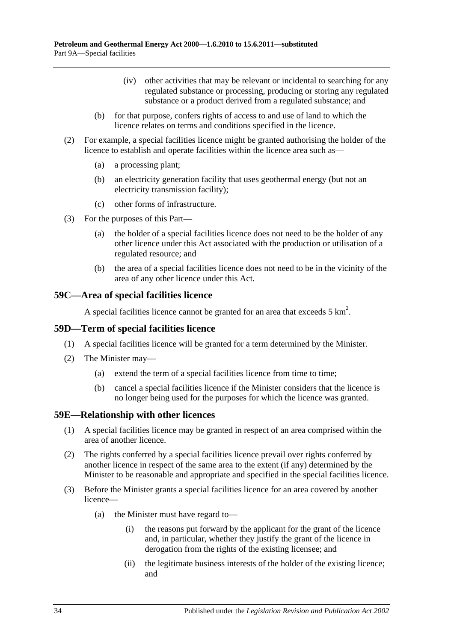- (iv) other activities that may be relevant or incidental to searching for any regulated substance or processing, producing or storing any regulated substance or a product derived from a regulated substance; and
- (b) for that purpose, confers rights of access to and use of land to which the licence relates on terms and conditions specified in the licence.
- (2) For example, a special facilities licence might be granted authorising the holder of the licence to establish and operate facilities within the licence area such as—
	- (a) a processing plant;
	- (b) an electricity generation facility that uses geothermal energy (but not an electricity transmission facility);
	- (c) other forms of infrastructure.
- (3) For the purposes of this Part—
	- (a) the holder of a special facilities licence does not need to be the holder of any other licence under this Act associated with the production or utilisation of a regulated resource; and
	- (b) the area of a special facilities licence does not need to be in the vicinity of the area of any other licence under this Act.

### <span id="page-33-0"></span>**59C—Area of special facilities licence**

A special facilities licence cannot be granted for an area that exceeds  $5 \text{ km}^2$ .

### <span id="page-33-1"></span>**59D—Term of special facilities licence**

- (1) A special facilities licence will be granted for a term determined by the Minister.
- (2) The Minister may—
	- (a) extend the term of a special facilities licence from time to time;
	- (b) cancel a special facilities licence if the Minister considers that the licence is no longer being used for the purposes for which the licence was granted.

### <span id="page-33-2"></span>**59E—Relationship with other licences**

- (1) A special facilities licence may be granted in respect of an area comprised within the area of another licence.
- (2) The rights conferred by a special facilities licence prevail over rights conferred by another licence in respect of the same area to the extent (if any) determined by the Minister to be reasonable and appropriate and specified in the special facilities licence.
- <span id="page-33-3"></span>(3) Before the Minister grants a special facilities licence for an area covered by another licence—
	- (a) the Minister must have regard to—
		- (i) the reasons put forward by the applicant for the grant of the licence and, in particular, whether they justify the grant of the licence in derogation from the rights of the existing licensee; and
		- (ii) the legitimate business interests of the holder of the existing licence; and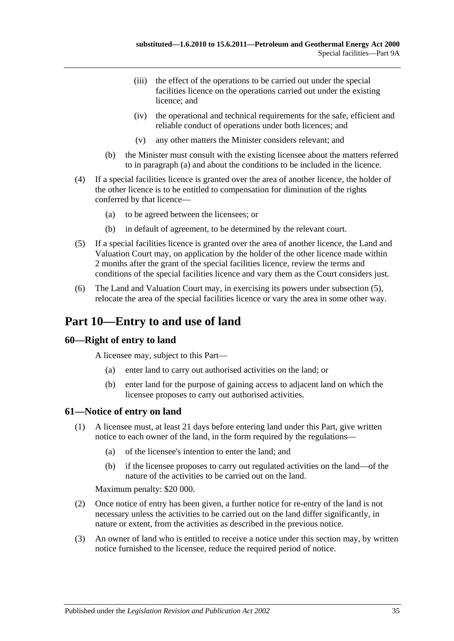- (iii) the effect of the operations to be carried out under the special facilities licence on the operations carried out under the existing licence; and
- (iv) the operational and technical requirements for the safe, efficient and reliable conduct of operations under both licences; and
- (v) any other matters the Minister considers relevant; and
- (b) the Minister must consult with the existing licensee about the matters referred to in [paragraph](#page-33-3) (a) and about the conditions to be included in the licence.
- (4) If a special facilities licence is granted over the area of another licence, the holder of the other licence is to be entitled to compensation for diminution of the rights conferred by that licence—
	- (a) to be agreed between the licensees; or
	- (b) in default of agreement, to be determined by the relevant court.
- <span id="page-34-3"></span>(5) If a special facilities licence is granted over the area of another licence, the Land and Valuation Court may, on application by the holder of the other licence made within 2 months after the grant of the special facilities licence, review the terms and conditions of the special facilities licence and vary them as the Court considers just.
- (6) The Land and Valuation Court may, in exercising its powers under [subsection](#page-34-3) (5), relocate the area of the special facilities licence or vary the area in some other way.

# <span id="page-34-0"></span>**Part 10—Entry to and use of land**

### <span id="page-34-1"></span>**60—Right of entry to land**

A licensee may, subject to this Part—

- (a) enter land to carry out authorised activities on the land; or
- (b) enter land for the purpose of gaining access to adjacent land on which the licensee proposes to carry out authorised activities.

### <span id="page-34-2"></span>**61—Notice of entry on land**

- (1) A licensee must, at least 21 days before entering land under this Part, give written notice to each owner of the land, in the form required by the regulations—
	- (a) of the licensee's intention to enter the land; and
	- (b) if the licensee proposes to carry out regulated activities on the land—of the nature of the activities to be carried out on the land.

Maximum penalty: \$20 000.

- (2) Once notice of entry has been given, a further notice for re-entry of the land is not necessary unless the activities to be carried out on the land differ significantly, in nature or extent, from the activities as described in the previous notice.
- (3) An owner of land who is entitled to receive a notice under this section may, by written notice furnished to the licensee, reduce the required period of notice.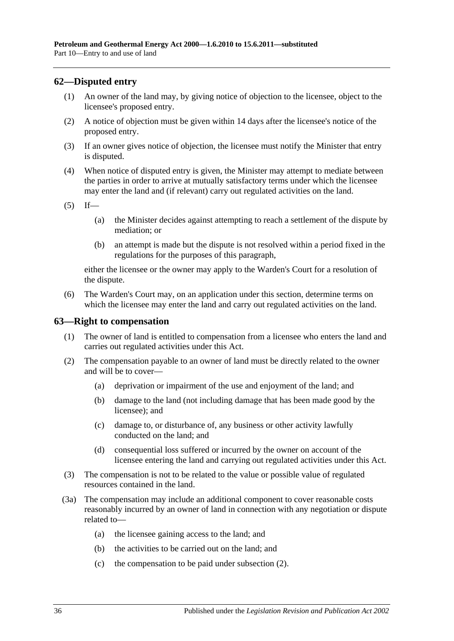# <span id="page-35-0"></span>**62—Disputed entry**

- (1) An owner of the land may, by giving notice of objection to the licensee, object to the licensee's proposed entry.
- (2) A notice of objection must be given within 14 days after the licensee's notice of the proposed entry.
- (3) If an owner gives notice of objection, the licensee must notify the Minister that entry is disputed.
- (4) When notice of disputed entry is given, the Minister may attempt to mediate between the parties in order to arrive at mutually satisfactory terms under which the licensee may enter the land and (if relevant) carry out regulated activities on the land.
- $(5)$  If—
	- (a) the Minister decides against attempting to reach a settlement of the dispute by mediation; or
	- (b) an attempt is made but the dispute is not resolved within a period fixed in the regulations for the purposes of this paragraph,

either the licensee or the owner may apply to the Warden's Court for a resolution of the dispute.

(6) The Warden's Court may, on an application under this section, determine terms on which the licensee may enter the land and carry out regulated activities on the land.

### <span id="page-35-1"></span>**63—Right to compensation**

- (1) The owner of land is entitled to compensation from a licensee who enters the land and carries out regulated activities under this Act.
- <span id="page-35-2"></span>(2) The compensation payable to an owner of land must be directly related to the owner and will be to cover—
	- (a) deprivation or impairment of the use and enjoyment of the land; and
	- (b) damage to the land (not including damage that has been made good by the licensee); and
	- (c) damage to, or disturbance of, any business or other activity lawfully conducted on the land; and
	- (d) consequential loss suffered or incurred by the owner on account of the licensee entering the land and carrying out regulated activities under this Act.
- (3) The compensation is not to be related to the value or possible value of regulated resources contained in the land.
- (3a) The compensation may include an additional component to cover reasonable costs reasonably incurred by an owner of land in connection with any negotiation or dispute related to—
	- (a) the licensee gaining access to the land; and
	- (b) the activities to be carried out on the land; and
	- (c) the compensation to be paid under [subsection](#page-35-2) (2).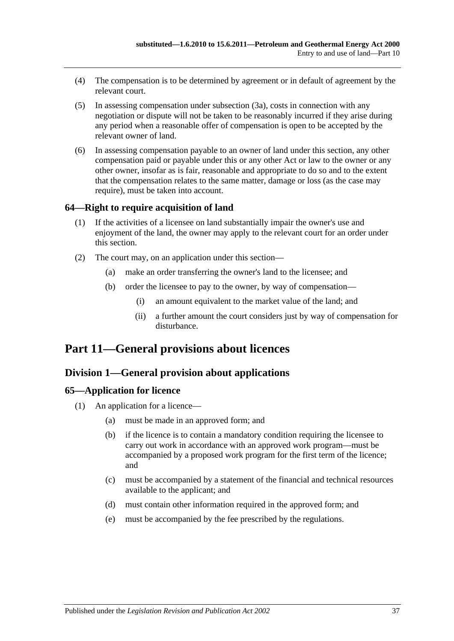- (4) The compensation is to be determined by agreement or in default of agreement by the relevant court.
- (5) In assessing compensation under [subsection](#page-35-0) (3a), costs in connection with any negotiation or dispute will not be taken to be reasonably incurred if they arise during any period when a reasonable offer of compensation is open to be accepted by the relevant owner of land.
- (6) In assessing compensation payable to an owner of land under this section, any other compensation paid or payable under this or any other Act or law to the owner or any other owner, insofar as is fair, reasonable and appropriate to do so and to the extent that the compensation relates to the same matter, damage or loss (as the case may require), must be taken into account.

### **64—Right to require acquisition of land**

- (1) If the activities of a licensee on land substantially impair the owner's use and enjoyment of the land, the owner may apply to the relevant court for an order under this section.
- (2) The court may, on an application under this section—
	- (a) make an order transferring the owner's land to the licensee; and
	- (b) order the licensee to pay to the owner, by way of compensation—
		- (i) an amount equivalent to the market value of the land; and
		- (ii) a further amount the court considers just by way of compensation for disturbance.

# **Part 11—General provisions about licences**

### **Division 1—General provision about applications**

### **65—Application for licence**

- (1) An application for a licence—
	- (a) must be made in an approved form; and
	- (b) if the licence is to contain a mandatory condition requiring the licensee to carry out work in accordance with an approved work program—must be accompanied by a proposed work program for the first term of the licence; and
	- (c) must be accompanied by a statement of the financial and technical resources available to the applicant; and
	- (d) must contain other information required in the approved form; and
	- (e) must be accompanied by the fee prescribed by the regulations.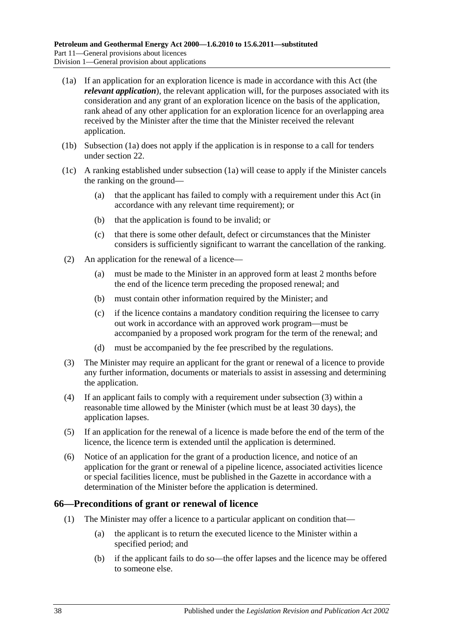- <span id="page-37-0"></span>(1a) If an application for an exploration licence is made in accordance with this Act (the *relevant application*), the relevant application will, for the purposes associated with its consideration and any grant of an exploration licence on the basis of the application, rank ahead of any other application for an exploration licence for an overlapping area received by the Minister after the time that the Minister received the relevant application.
- (1b) [Subsection](#page-37-0) (1a) does not apply if the application is in response to a call for tenders under [section](#page-16-0) 22.
- (1c) A ranking established under [subsection](#page-37-0) (1a) will cease to apply if the Minister cancels the ranking on the ground—
	- (a) that the applicant has failed to comply with a requirement under this Act (in accordance with any relevant time requirement); or
	- (b) that the application is found to be invalid; or
	- (c) that there is some other default, defect or circumstances that the Minister considers is sufficiently significant to warrant the cancellation of the ranking.
- (2) An application for the renewal of a licence—
	- (a) must be made to the Minister in an approved form at least 2 months before the end of the licence term preceding the proposed renewal; and
	- (b) must contain other information required by the Minister; and
	- (c) if the licence contains a mandatory condition requiring the licensee to carry out work in accordance with an approved work program—must be accompanied by a proposed work program for the term of the renewal; and
	- (d) must be accompanied by the fee prescribed by the regulations.
- <span id="page-37-1"></span>(3) The Minister may require an applicant for the grant or renewal of a licence to provide any further information, documents or materials to assist in assessing and determining the application.
- (4) If an applicant fails to comply with a requirement under [subsection](#page-37-1) (3) within a reasonable time allowed by the Minister (which must be at least 30 days), the application lapses.
- (5) If an application for the renewal of a licence is made before the end of the term of the licence, the licence term is extended until the application is determined.
- (6) Notice of an application for the grant of a production licence, and notice of an application for the grant or renewal of a pipeline licence, associated activities licence or special facilities licence, must be published in the Gazette in accordance with a determination of the Minister before the application is determined.

#### **66—Preconditions of grant or renewal of licence**

- (1) The Minister may offer a licence to a particular applicant on condition that—
	- (a) the applicant is to return the executed licence to the Minister within a specified period; and
	- (b) if the applicant fails to do so—the offer lapses and the licence may be offered to someone else.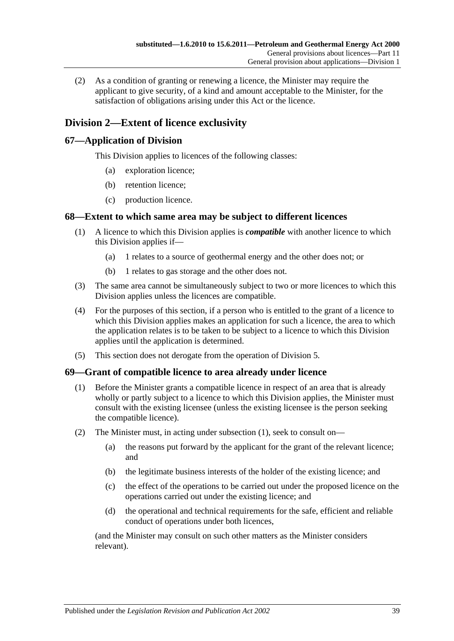(2) As a condition of granting or renewing a licence, the Minister may require the applicant to give security, of a kind and amount acceptable to the Minister, for the satisfaction of obligations arising under this Act or the licence.

## **Division 2—Extent of licence exclusivity**

### **67—Application of Division**

This Division applies to licences of the following classes:

- (a) exploration licence;
- (b) retention licence;
- (c) production licence.

### **68—Extent to which same area may be subject to different licences**

- (1) A licence to which this Division applies is *compatible* with another licence to which this Division applies if—
	- (a) 1 relates to a source of geothermal energy and the other does not; or
	- (b) 1 relates to gas storage and the other does not.
- (3) The same area cannot be simultaneously subject to two or more licences to which this Division applies unless the licences are compatible.
- (4) For the purposes of this section, if a person who is entitled to the grant of a licence to which this Division applies makes an application for such a licence, the area to which the application relates is to be taken to be subject to a licence to which this Division applies until the application is determined.
- (5) This section does not derogate from the operation of [Division 5.](#page-41-0)

### <span id="page-38-0"></span>**69—Grant of compatible licence to area already under licence**

- (1) Before the Minister grants a compatible licence in respect of an area that is already wholly or partly subject to a licence to which this Division applies, the Minister must consult with the existing licensee (unless the existing licensee is the person seeking the compatible licence).
- (2) The Minister must, in acting under [subsection](#page-38-0) (1), seek to consult on—
	- (a) the reasons put forward by the applicant for the grant of the relevant licence; and
	- (b) the legitimate business interests of the holder of the existing licence; and
	- (c) the effect of the operations to be carried out under the proposed licence on the operations carried out under the existing licence; and
	- (d) the operational and technical requirements for the safe, efficient and reliable conduct of operations under both licences,

(and the Minister may consult on such other matters as the Minister considers relevant).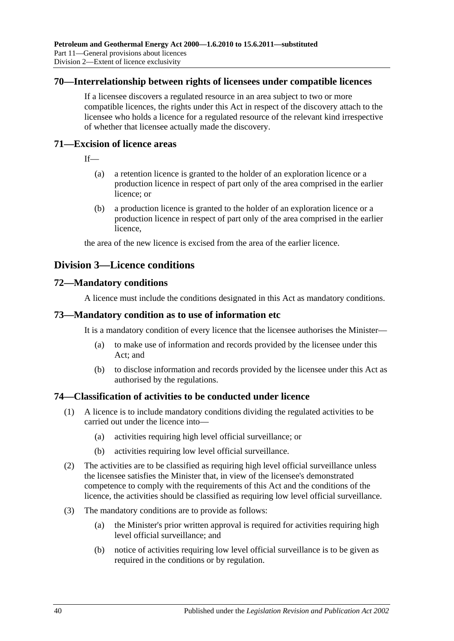#### **70—Interrelationship between rights of licensees under compatible licences**

If a licensee discovers a regulated resource in an area subject to two or more compatible licences, the rights under this Act in respect of the discovery attach to the licensee who holds a licence for a regulated resource of the relevant kind irrespective of whether that licensee actually made the discovery.

#### **71—Excision of licence areas**

- If—
	- (a) a retention licence is granted to the holder of an exploration licence or a production licence in respect of part only of the area comprised in the earlier licence; or
	- (b) a production licence is granted to the holder of an exploration licence or a production licence in respect of part only of the area comprised in the earlier licence,

the area of the new licence is excised from the area of the earlier licence.

## **Division 3—Licence conditions**

#### **72—Mandatory conditions**

A licence must include the conditions designated in this Act as mandatory conditions.

#### **73—Mandatory condition as to use of information etc**

It is a mandatory condition of every licence that the licensee authorises the Minister—

- (a) to make use of information and records provided by the licensee under this Act; and
- (b) to disclose information and records provided by the licensee under this Act as authorised by the regulations.

#### <span id="page-39-0"></span>**74—Classification of activities to be conducted under licence**

- (1) A licence is to include mandatory conditions dividing the regulated activities to be carried out under the licence into—
	- (a) activities requiring high level official surveillance; or
	- (b) activities requiring low level official surveillance.
- (2) The activities are to be classified as requiring high level official surveillance unless the licensee satisfies the Minister that, in view of the licensee's demonstrated competence to comply with the requirements of this Act and the conditions of the licence, the activities should be classified as requiring low level official surveillance.
- (3) The mandatory conditions are to provide as follows:
	- (a) the Minister's prior written approval is required for activities requiring high level official surveillance; and
	- (b) notice of activities requiring low level official surveillance is to be given as required in the conditions or by regulation.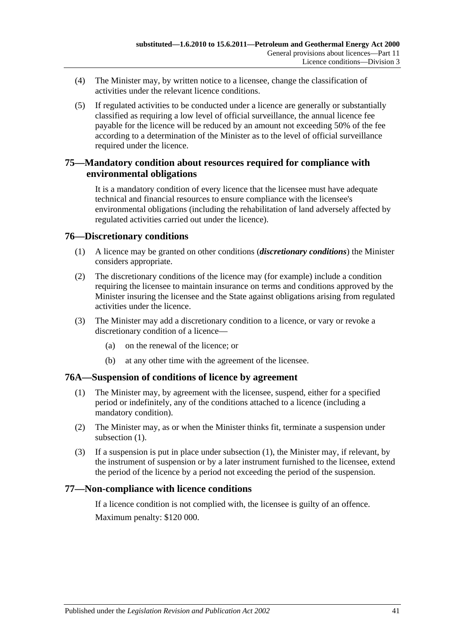- <span id="page-40-1"></span>(4) The Minister may, by written notice to a licensee, change the classification of activities under the relevant licence conditions.
- (5) If regulated activities to be conducted under a licence are generally or substantially classified as requiring a low level of official surveillance, the annual licence fee payable for the licence will be reduced by an amount not exceeding 50% of the fee according to a determination of the Minister as to the level of official surveillance required under the licence.

### **75—Mandatory condition about resources required for compliance with environmental obligations**

It is a mandatory condition of every licence that the licensee must have adequate technical and financial resources to ensure compliance with the licensee's environmental obligations (including the rehabilitation of land adversely affected by regulated activities carried out under the licence).

### **76—Discretionary conditions**

- (1) A licence may be granted on other conditions (*discretionary conditions*) the Minister considers appropriate.
- (2) The discretionary conditions of the licence may (for example) include a condition requiring the licensee to maintain insurance on terms and conditions approved by the Minister insuring the licensee and the State against obligations arising from regulated activities under the licence.
- (3) The Minister may add a discretionary condition to a licence, or vary or revoke a discretionary condition of a licence—
	- (a) on the renewal of the licence; or
	- (b) at any other time with the agreement of the licensee.

#### <span id="page-40-0"></span>**76A—Suspension of conditions of licence by agreement**

- (1) The Minister may, by agreement with the licensee, suspend, either for a specified period or indefinitely, any of the conditions attached to a licence (including a mandatory condition).
- (2) The Minister may, as or when the Minister thinks fit, terminate a suspension under [subsection](#page-40-0) (1).
- (3) If a suspension is put in place under [subsection](#page-40-0) (1), the Minister may, if relevant, by the instrument of suspension or by a later instrument furnished to the licensee, extend the period of the licence by a period not exceeding the period of the suspension.

### **77—Non-compliance with licence conditions**

If a licence condition is not complied with, the licensee is guilty of an offence. Maximum penalty: \$120 000.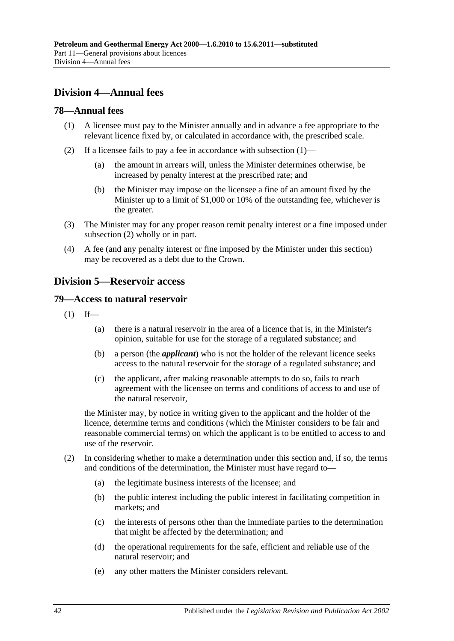## **Division 4—Annual fees**

### <span id="page-41-1"></span>**78—Annual fees**

- (1) A licensee must pay to the Minister annually and in advance a fee appropriate to the relevant licence fixed by, or calculated in accordance with, the prescribed scale.
- <span id="page-41-2"></span>(2) If a licensee fails to pay a fee in accordance with [subsection](#page-41-1) (1)—
	- (a) the amount in arrears will, unless the Minister determines otherwise, be increased by penalty interest at the prescribed rate; and
	- (b) the Minister may impose on the licensee a fine of an amount fixed by the Minister up to a limit of \$1,000 or 10% of the outstanding fee, whichever is the greater.
- (3) The Minister may for any proper reason remit penalty interest or a fine imposed under [subsection](#page-41-2) (2) wholly or in part.
- (4) A fee (and any penalty interest or fine imposed by the Minister under this section) may be recovered as a debt due to the Crown.

### <span id="page-41-0"></span>**Division 5—Reservoir access**

### **79—Access to natural reservoir**

- $(1)$  If—
	- (a) there is a natural reservoir in the area of a licence that is, in the Minister's opinion, suitable for use for the storage of a regulated substance; and
	- (b) a person (the *applicant*) who is not the holder of the relevant licence seeks access to the natural reservoir for the storage of a regulated substance; and
	- (c) the applicant, after making reasonable attempts to do so, fails to reach agreement with the licensee on terms and conditions of access to and use of the natural reservoir,

the Minister may, by notice in writing given to the applicant and the holder of the licence, determine terms and conditions (which the Minister considers to be fair and reasonable commercial terms) on which the applicant is to be entitled to access to and use of the reservoir.

- (2) In considering whether to make a determination under this section and, if so, the terms and conditions of the determination, the Minister must have regard to—
	- (a) the legitimate business interests of the licensee; and
	- (b) the public interest including the public interest in facilitating competition in markets; and
	- (c) the interests of persons other than the immediate parties to the determination that might be affected by the determination; and
	- (d) the operational requirements for the safe, efficient and reliable use of the natural reservoir; and
	- (e) any other matters the Minister considers relevant.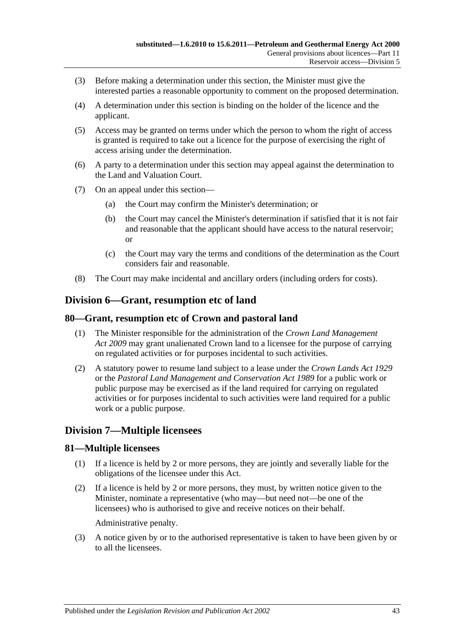- (3) Before making a determination under this section, the Minister must give the interested parties a reasonable opportunity to comment on the proposed determination.
- (4) A determination under this section is binding on the holder of the licence and the applicant.
- (5) Access may be granted on terms under which the person to whom the right of access is granted is required to take out a licence for the purpose of exercising the right of access arising under the determination.
- (6) A party to a determination under this section may appeal against the determination to the Land and Valuation Court.
- (7) On an appeal under this section—
	- (a) the Court may confirm the Minister's determination; or
	- (b) the Court may cancel the Minister's determination if satisfied that it is not fair and reasonable that the applicant should have access to the natural reservoir; or
	- (c) the Court may vary the terms and conditions of the determination as the Court considers fair and reasonable.
- (8) The Court may make incidental and ancillary orders (including orders for costs).

### **Division 6—Grant, resumption etc of land**

#### **80—Grant, resumption etc of Crown and pastoral land**

- (1) The Minister responsible for the administration of the *[Crown Land Management](http://www.legislation.sa.gov.au/index.aspx?action=legref&type=act&legtitle=Crown%20Land%20Management%20Act%202009)  Act [2009](http://www.legislation.sa.gov.au/index.aspx?action=legref&type=act&legtitle=Crown%20Land%20Management%20Act%202009)* may grant unalienated Crown land to a licensee for the purpose of carrying on regulated activities or for purposes incidental to such activities.
- (2) A statutory power to resume land subject to a lease under the *[Crown Lands Act](http://www.legislation.sa.gov.au/index.aspx?action=legref&type=act&legtitle=Crown%20Lands%20Act%201929) 1929* or the *[Pastoral Land Management and Conservation Act](http://www.legislation.sa.gov.au/index.aspx?action=legref&type=act&legtitle=Pastoral%20Land%20Management%20and%20Conservation%20Act%201989) 1989* for a public work or public purpose may be exercised as if the land required for carrying on regulated activities or for purposes incidental to such activities were land required for a public work or a public purpose.

### **Division 7—Multiple licensees**

#### **81—Multiple licensees**

- (1) If a licence is held by 2 or more persons, they are jointly and severally liable for the obligations of the licensee under this Act.
- (2) If a licence is held by 2 or more persons, they must, by written notice given to the Minister, nominate a representative (who may—but need not—be one of the licensees) who is authorised to give and receive notices on their behalf.

Administrative penalty.

(3) A notice given by or to the authorised representative is taken to have been given by or to all the licensees.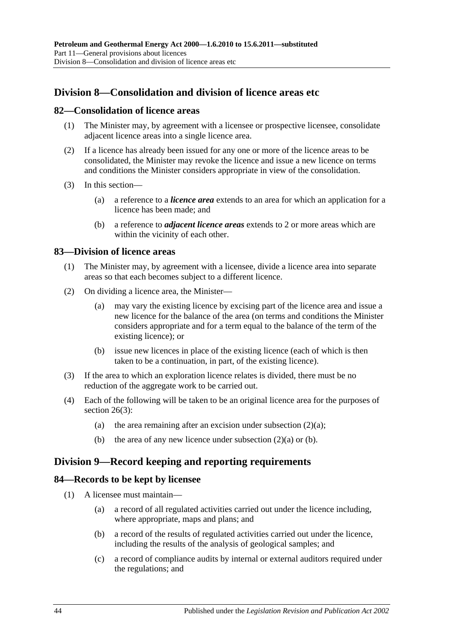## **Division 8—Consolidation and division of licence areas etc**

### <span id="page-43-2"></span>**82—Consolidation of licence areas**

- (1) The Minister may, by agreement with a licensee or prospective licensee, consolidate adjacent licence areas into a single licence area.
- (2) If a licence has already been issued for any one or more of the licence areas to be consolidated, the Minister may revoke the licence and issue a new licence on terms and conditions the Minister considers appropriate in view of the consolidation.
- (3) In this section—
	- (a) a reference to a *licence area* extends to an area for which an application for a licence has been made; and
	- (b) a reference to *adjacent licence areas* extends to 2 or more areas which are within the vicinity of each other.

#### <span id="page-43-3"></span>**83—Division of licence areas**

- (1) The Minister may, by agreement with a licensee, divide a licence area into separate areas so that each becomes subject to a different licence.
- <span id="page-43-0"></span>(2) On dividing a licence area, the Minister—
	- (a) may vary the existing licence by excising part of the licence area and issue a new licence for the balance of the area (on terms and conditions the Minister considers appropriate and for a term equal to the balance of the term of the existing licence); or
	- (b) issue new licences in place of the existing licence (each of which is then taken to be a continuation, in part, of the existing licence).
- <span id="page-43-1"></span>(3) If the area to which an exploration licence relates is divided, there must be no reduction of the aggregate work to be carried out.
- (4) Each of the following will be taken to be an original licence area for the purposes of [section](#page-18-0) 26(3):
	- (a) the area remaining after an excision under [subsection](#page-43-0)  $(2)(a)$ ;
	- (b) the area of any new licence under [subsection](#page-43-0)  $(2)(a)$  or [\(b\).](#page-43-1)

### **Division 9—Record keeping and reporting requirements**

#### **84—Records to be kept by licensee**

- (1) A licensee must maintain—
	- (a) a record of all regulated activities carried out under the licence including, where appropriate, maps and plans; and
	- (b) a record of the results of regulated activities carried out under the licence, including the results of the analysis of geological samples; and
	- (c) a record of compliance audits by internal or external auditors required under the regulations; and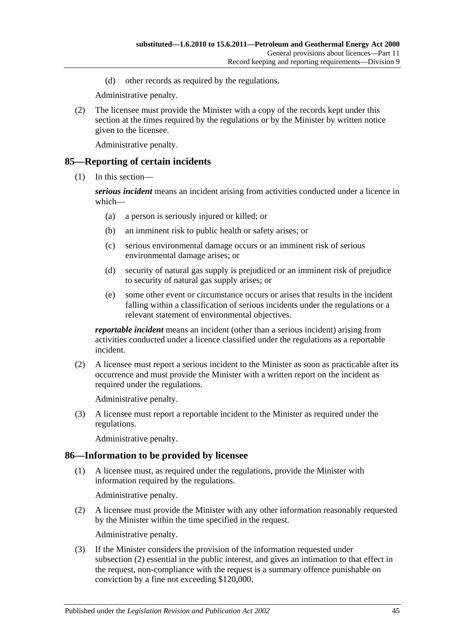(d) other records as required by the regulations.

Administrative penalty.

(2) The licensee must provide the Minister with a copy of the records kept under this section at the times required by the regulations or by the Minister by written notice given to the licensee.

Administrative penalty.

#### <span id="page-44-1"></span>**85—Reporting of certain incidents**

(1) In this section—

*serious incident* means an incident arising from activities conducted under a licence in which—

- (a) a person is seriously injured or killed; or
- (b) an imminent risk to public health or safety arises; or
- (c) serious environmental damage occurs or an imminent risk of serious environmental damage arises; or
- (d) security of natural gas supply is prejudiced or an imminent risk of prejudice to security of natural gas supply arises; or
- (e) some other event or circumstance occurs or arises that results in the incident falling within a classification of serious incidents under the regulations or a relevant statement of environmental objectives.

*reportable incident* means an incident (other than a serious incident) arising from activities conducted under a licence classified under the regulations as a reportable incident.

(2) A licensee must report a serious incident to the Minister as soon as practicable after its occurrence and must provide the Minister with a written report on the incident as required under the regulations.

Administrative penalty.

(3) A licensee must report a reportable incident to the Minister as required under the regulations.

Administrative penalty.

### **86—Information to be provided by licensee**

(1) A licensee must, as required under the regulations, provide the Minister with information required by the regulations.

Administrative penalty.

<span id="page-44-0"></span>(2) A licensee must provide the Minister with any other information reasonably requested by the Minister within the time specified in the request.

Administrative penalty.

(3) If the Minister considers the provision of the information requested under [subsection](#page-44-0) (2) essential in the public interest, and gives an intimation to that effect in the request, non-compliance with the request is a summary offence punishable on conviction by a fine not exceeding \$120,000.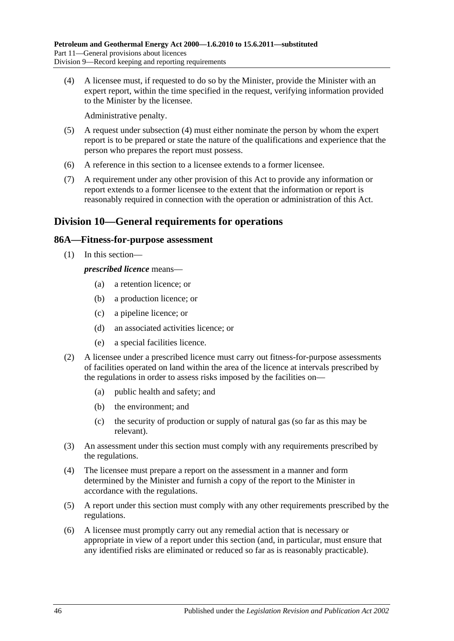<span id="page-45-0"></span>(4) A licensee must, if requested to do so by the Minister, provide the Minister with an expert report, within the time specified in the request, verifying information provided to the Minister by the licensee.

Administrative penalty.

- (5) A request under [subsection](#page-45-0) (4) must either nominate the person by whom the expert report is to be prepared or state the nature of the qualifications and experience that the person who prepares the report must possess.
- (6) A reference in this section to a licensee extends to a former licensee.
- (7) A requirement under any other provision of this Act to provide any information or report extends to a former licensee to the extent that the information or report is reasonably required in connection with the operation or administration of this Act.

## **Division 10—General requirements for operations**

### **86A—Fitness-for-purpose assessment**

(1) In this section—

*prescribed licence* means—

- (a) a retention licence; or
- (b) a production licence; or
- (c) a pipeline licence; or
- (d) an associated activities licence; or
- (e) a special facilities licence.
- (2) A licensee under a prescribed licence must carry out fitness-for-purpose assessments of facilities operated on land within the area of the licence at intervals prescribed by the regulations in order to assess risks imposed by the facilities on—
	- (a) public health and safety; and
	- (b) the environment; and
	- (c) the security of production or supply of natural gas (so far as this may be relevant).
- (3) An assessment under this section must comply with any requirements prescribed by the regulations.
- (4) The licensee must prepare a report on the assessment in a manner and form determined by the Minister and furnish a copy of the report to the Minister in accordance with the regulations.
- (5) A report under this section must comply with any other requirements prescribed by the regulations.
- (6) A licensee must promptly carry out any remedial action that is necessary or appropriate in view of a report under this section (and, in particular, must ensure that any identified risks are eliminated or reduced so far as is reasonably practicable).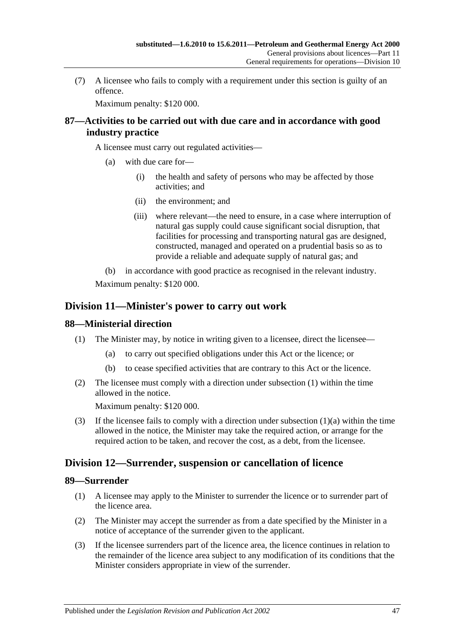(7) A licensee who fails to comply with a requirement under this section is guilty of an offence.

Maximum penalty: \$120 000.

### **87—Activities to be carried out with due care and in accordance with good industry practice**

A licensee must carry out regulated activities—

- (a) with due care for—
	- (i) the health and safety of persons who may be affected by those activities; and
	- (ii) the environment; and
	- (iii) where relevant—the need to ensure, in a case where interruption of natural gas supply could cause significant social disruption, that facilities for processing and transporting natural gas are designed, constructed, managed and operated on a prudential basis so as to provide a reliable and adequate supply of natural gas; and

(b) in accordance with good practice as recognised in the relevant industry. Maximum penalty: \$120 000.

### **Division 11—Minister's power to carry out work**

### <span id="page-46-0"></span>**88—Ministerial direction**

- <span id="page-46-1"></span>(1) The Minister may, by notice in writing given to a licensee, direct the licensee—
	- (a) to carry out specified obligations under this Act or the licence; or
	- (b) to cease specified activities that are contrary to this Act or the licence.
- (2) The licensee must comply with a direction under [subsection](#page-46-0) (1) within the time allowed in the notice.

Maximum penalty: \$120 000.

(3) If the licensee fails to comply with a direction under [subsection](#page-46-1)  $(1)(a)$  within the time allowed in the notice, the Minister may take the required action, or arrange for the required action to be taken, and recover the cost, as a debt, from the licensee.

### **Division 12—Surrender, suspension or cancellation of licence**

### **89—Surrender**

- (1) A licensee may apply to the Minister to surrender the licence or to surrender part of the licence area.
- (2) The Minister may accept the surrender as from a date specified by the Minister in a notice of acceptance of the surrender given to the applicant.
- (3) If the licensee surrenders part of the licence area, the licence continues in relation to the remainder of the licence area subject to any modification of its conditions that the Minister considers appropriate in view of the surrender.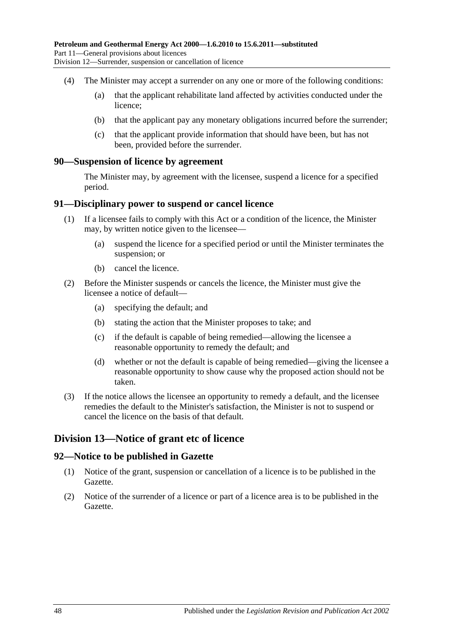- (4) The Minister may accept a surrender on any one or more of the following conditions:
	- (a) that the applicant rehabilitate land affected by activities conducted under the licence;
	- (b) that the applicant pay any monetary obligations incurred before the surrender;
	- (c) that the applicant provide information that should have been, but has not been, provided before the surrender.

#### **90—Suspension of licence by agreement**

The Minister may, by agreement with the licensee, suspend a licence for a specified period.

#### **91—Disciplinary power to suspend or cancel licence**

- (1) If a licensee fails to comply with this Act or a condition of the licence, the Minister may, by written notice given to the licensee—
	- (a) suspend the licence for a specified period or until the Minister terminates the suspension; or
	- (b) cancel the licence.
- (2) Before the Minister suspends or cancels the licence, the Minister must give the licensee a notice of default—
	- (a) specifying the default; and
	- (b) stating the action that the Minister proposes to take; and
	- (c) if the default is capable of being remedied—allowing the licensee a reasonable opportunity to remedy the default; and
	- (d) whether or not the default is capable of being remedied—giving the licensee a reasonable opportunity to show cause why the proposed action should not be taken.
- (3) If the notice allows the licensee an opportunity to remedy a default, and the licensee remedies the default to the Minister's satisfaction, the Minister is not to suspend or cancel the licence on the basis of that default.

### **Division 13—Notice of grant etc of licence**

### **92—Notice to be published in Gazette**

- (1) Notice of the grant, suspension or cancellation of a licence is to be published in the Gazette.
- (2) Notice of the surrender of a licence or part of a licence area is to be published in the Gazette.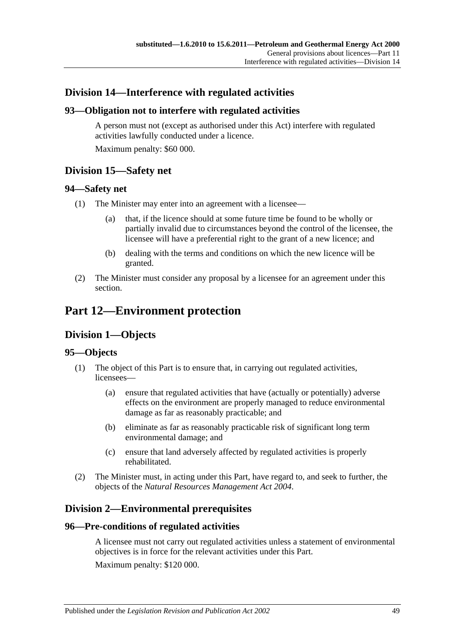## **Division 14—Interference with regulated activities**

### **93—Obligation not to interfere with regulated activities**

A person must not (except as authorised under this Act) interfere with regulated activities lawfully conducted under a licence. Maximum penalty: \$60 000.

**Division 15—Safety net**

### **94—Safety net**

- (1) The Minister may enter into an agreement with a licensee—
	- (a) that, if the licence should at some future time be found to be wholly or partially invalid due to circumstances beyond the control of the licensee, the licensee will have a preferential right to the grant of a new licence; and
	- (b) dealing with the terms and conditions on which the new licence will be granted.
- (2) The Minister must consider any proposal by a licensee for an agreement under this section.

## **Part 12—Environment protection**

## **Division 1—Objects**

### **95—Objects**

- (1) The object of this Part is to ensure that, in carrying out regulated activities, licensees—
	- (a) ensure that regulated activities that have (actually or potentially) adverse effects on the environment are properly managed to reduce environmental damage as far as reasonably practicable; and
	- (b) eliminate as far as reasonably practicable risk of significant long term environmental damage; and
	- (c) ensure that land adversely affected by regulated activities is properly rehabilitated.
- (2) The Minister must, in acting under this Part, have regard to, and seek to further, the objects of the *[Natural Resources Management Act](http://www.legislation.sa.gov.au/index.aspx?action=legref&type=act&legtitle=Natural%20Resources%20Management%20Act%202004) 2004*.

## **Division 2—Environmental prerequisites**

### **96—Pre-conditions of regulated activities**

A licensee must not carry out regulated activities unless a statement of environmental objectives is in force for the relevant activities under this Part. Maximum penalty: \$120 000.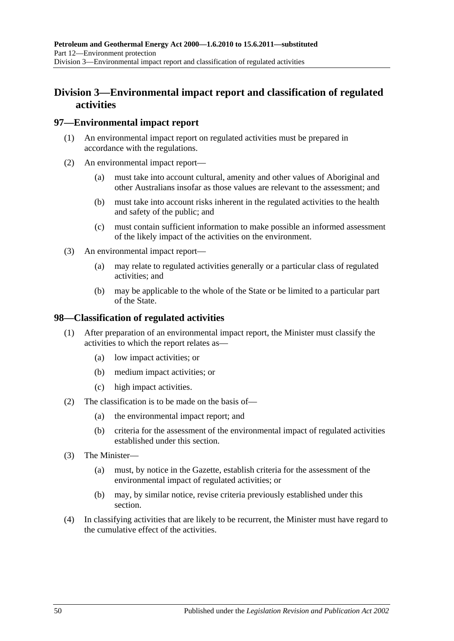## **Division 3—Environmental impact report and classification of regulated activities**

### **97—Environmental impact report**

- (1) An environmental impact report on regulated activities must be prepared in accordance with the regulations.
- (2) An environmental impact report—
	- (a) must take into account cultural, amenity and other values of Aboriginal and other Australians insofar as those values are relevant to the assessment; and
	- (b) must take into account risks inherent in the regulated activities to the health and safety of the public; and
	- (c) must contain sufficient information to make possible an informed assessment of the likely impact of the activities on the environment.
- (3) An environmental impact report—
	- (a) may relate to regulated activities generally or a particular class of regulated activities; and
	- (b) may be applicable to the whole of the State or be limited to a particular part of the State.

#### **98—Classification of regulated activities**

- (1) After preparation of an environmental impact report, the Minister must classify the activities to which the report relates as—
	- (a) low impact activities; or
	- (b) medium impact activities; or
	- (c) high impact activities.
- (2) The classification is to be made on the basis of—
	- (a) the environmental impact report; and
	- (b) criteria for the assessment of the environmental impact of regulated activities established under this section.
- (3) The Minister—
	- (a) must, by notice in the Gazette, establish criteria for the assessment of the environmental impact of regulated activities; or
	- (b) may, by similar notice, revise criteria previously established under this section.
- (4) In classifying activities that are likely to be recurrent, the Minister must have regard to the cumulative effect of the activities.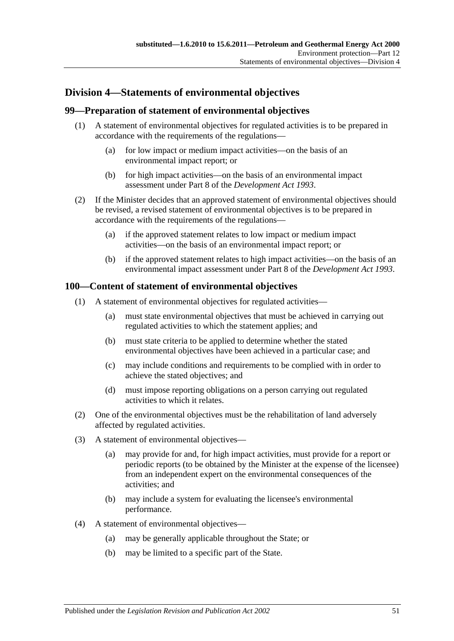## **Division 4—Statements of environmental objectives**

### **99—Preparation of statement of environmental objectives**

- (1) A statement of environmental objectives for regulated activities is to be prepared in accordance with the requirements of the regulations—
	- (a) for low impact or medium impact activities—on the basis of an environmental impact report; or
	- (b) for high impact activities—on the basis of an environmental impact assessment under Part 8 of the *[Development Act](http://www.legislation.sa.gov.au/index.aspx?action=legref&type=act&legtitle=Development%20Act%201993) 1993*.
- (2) If the Minister decides that an approved statement of environmental objectives should be revised, a revised statement of environmental objectives is to be prepared in accordance with the requirements of the regulations—
	- (a) if the approved statement relates to low impact or medium impact activities—on the basis of an environmental impact report; or
	- (b) if the approved statement relates to high impact activities—on the basis of an environmental impact assessment under Part 8 of the *[Development Act](http://www.legislation.sa.gov.au/index.aspx?action=legref&type=act&legtitle=Development%20Act%201993) 1993*.

### **100—Content of statement of environmental objectives**

- (1) A statement of environmental objectives for regulated activities—
	- (a) must state environmental objectives that must be achieved in carrying out regulated activities to which the statement applies; and
	- (b) must state criteria to be applied to determine whether the stated environmental objectives have been achieved in a particular case; and
	- (c) may include conditions and requirements to be complied with in order to achieve the stated objectives; and
	- (d) must impose reporting obligations on a person carrying out regulated activities to which it relates.
- (2) One of the environmental objectives must be the rehabilitation of land adversely affected by regulated activities.
- (3) A statement of environmental objectives—
	- (a) may provide for and, for high impact activities, must provide for a report or periodic reports (to be obtained by the Minister at the expense of the licensee) from an independent expert on the environmental consequences of the activities; and
	- (b) may include a system for evaluating the licensee's environmental performance.
- (4) A statement of environmental objectives—
	- (a) may be generally applicable throughout the State; or
	- (b) may be limited to a specific part of the State.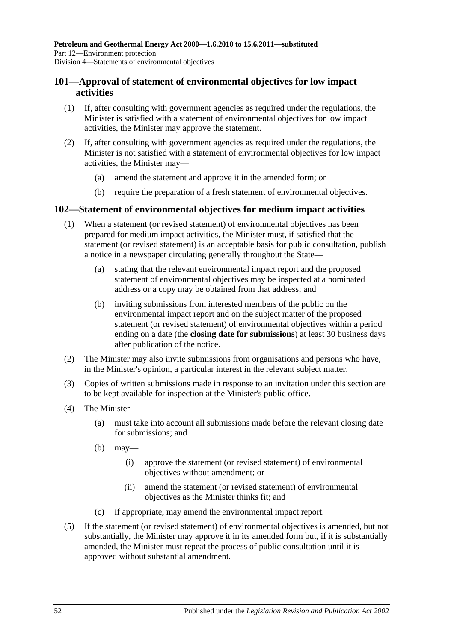### **101—Approval of statement of environmental objectives for low impact activities**

- (1) If, after consulting with government agencies as required under the regulations, the Minister is satisfied with a statement of environmental objectives for low impact activities, the Minister may approve the statement.
- (2) If, after consulting with government agencies as required under the regulations, the Minister is not satisfied with a statement of environmental objectives for low impact activities, the Minister may—
	- (a) amend the statement and approve it in the amended form; or
	- (b) require the preparation of a fresh statement of environmental objectives.

### **102—Statement of environmental objectives for medium impact activities**

- (1) When a statement (or revised statement) of environmental objectives has been prepared for medium impact activities, the Minister must, if satisfied that the statement (or revised statement) is an acceptable basis for public consultation, publish a notice in a newspaper circulating generally throughout the State—
	- (a) stating that the relevant environmental impact report and the proposed statement of environmental objectives may be inspected at a nominated address or a copy may be obtained from that address; and
	- (b) inviting submissions from interested members of the public on the environmental impact report and on the subject matter of the proposed statement (or revised statement) of environmental objectives within a period ending on a date (the **closing date for submissions**) at least 30 business days after publication of the notice.
- (2) The Minister may also invite submissions from organisations and persons who have, in the Minister's opinion, a particular interest in the relevant subject matter.
- (3) Copies of written submissions made in response to an invitation under this section are to be kept available for inspection at the Minister's public office.
- (4) The Minister—
	- (a) must take into account all submissions made before the relevant closing date for submissions; and
	- (b) may—
		- (i) approve the statement (or revised statement) of environmental objectives without amendment; or
		- (ii) amend the statement (or revised statement) of environmental objectives as the Minister thinks fit; and
	- (c) if appropriate, may amend the environmental impact report.
- (5) If the statement (or revised statement) of environmental objectives is amended, but not substantially, the Minister may approve it in its amended form but, if it is substantially amended, the Minister must repeat the process of public consultation until it is approved without substantial amendment.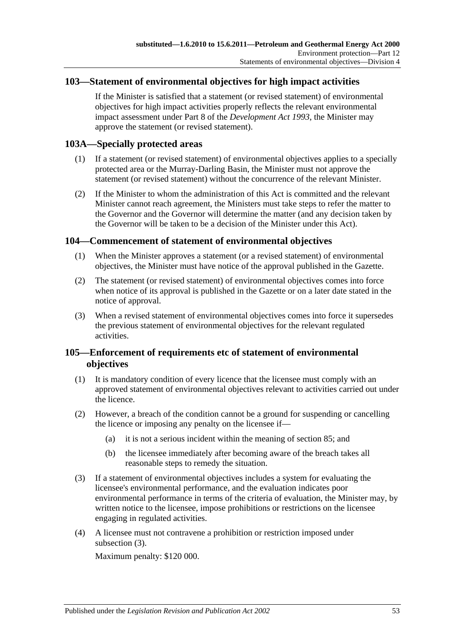### **103—Statement of environmental objectives for high impact activities**

If the Minister is satisfied that a statement (or revised statement) of environmental objectives for high impact activities properly reflects the relevant environmental impact assessment under Part 8 of the *[Development Act](http://www.legislation.sa.gov.au/index.aspx?action=legref&type=act&legtitle=Development%20Act%201993) 1993*, the Minister may approve the statement (or revised statement).

#### **103A—Specially protected areas**

- (1) If a statement (or revised statement) of environmental objectives applies to a specially protected area or the Murray-Darling Basin, the Minister must not approve the statement (or revised statement) without the concurrence of the relevant Minister.
- (2) If the Minister to whom the administration of this Act is committed and the relevant Minister cannot reach agreement, the Ministers must take steps to refer the matter to the Governor and the Governor will determine the matter (and any decision taken by the Governor will be taken to be a decision of the Minister under this Act).

#### **104—Commencement of statement of environmental objectives**

- (1) When the Minister approves a statement (or a revised statement) of environmental objectives, the Minister must have notice of the approval published in the Gazette.
- (2) The statement (or revised statement) of environmental objectives comes into force when notice of its approval is published in the Gazette or on a later date stated in the notice of approval.
- (3) When a revised statement of environmental objectives comes into force it supersedes the previous statement of environmental objectives for the relevant regulated activities.

### **105—Enforcement of requirements etc of statement of environmental objectives**

- (1) It is mandatory condition of every licence that the licensee must comply with an approved statement of environmental objectives relevant to activities carried out under the licence.
- (2) However, a breach of the condition cannot be a ground for suspending or cancelling the licence or imposing any penalty on the licensee if—
	- (a) it is not a serious incident within the meaning of [section](#page-44-1) 85; and
	- (b) the licensee immediately after becoming aware of the breach takes all reasonable steps to remedy the situation.
- <span id="page-52-0"></span>(3) If a statement of environmental objectives includes a system for evaluating the licensee's environmental performance, and the evaluation indicates poor environmental performance in terms of the criteria of evaluation, the Minister may, by written notice to the licensee, impose prohibitions or restrictions on the licensee engaging in regulated activities.
- (4) A licensee must not contravene a prohibition or restriction imposed under [subsection](#page-52-0) (3).

Maximum penalty: \$120 000.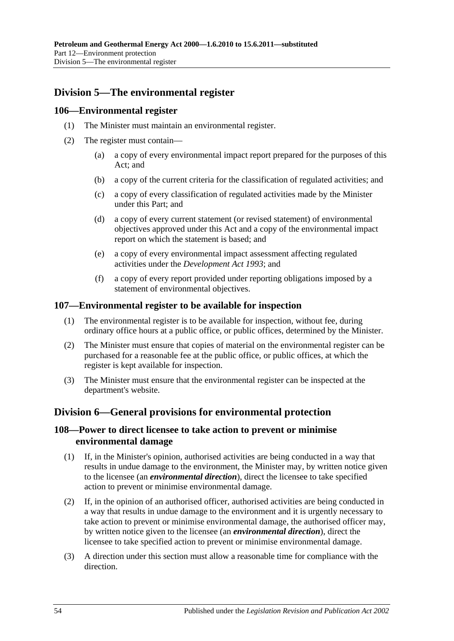## **Division 5—The environmental register**

### **106—Environmental register**

- (1) The Minister must maintain an environmental register.
- (2) The register must contain—
	- (a) a copy of every environmental impact report prepared for the purposes of this Act; and
	- (b) a copy of the current criteria for the classification of regulated activities; and
	- (c) a copy of every classification of regulated activities made by the Minister under this Part; and
	- (d) a copy of every current statement (or revised statement) of environmental objectives approved under this Act and a copy of the environmental impact report on which the statement is based; and
	- (e) a copy of every environmental impact assessment affecting regulated activities under the *[Development Act](http://www.legislation.sa.gov.au/index.aspx?action=legref&type=act&legtitle=Development%20Act%201993) 1993*; and
	- (f) a copy of every report provided under reporting obligations imposed by a statement of environmental objectives.

#### **107—Environmental register to be available for inspection**

- (1) The environmental register is to be available for inspection, without fee, during ordinary office hours at a public office, or public offices, determined by the Minister.
- (2) The Minister must ensure that copies of material on the environmental register can be purchased for a reasonable fee at the public office, or public offices, at which the register is kept available for inspection.
- (3) The Minister must ensure that the environmental register can be inspected at the department's website.

### **Division 6—General provisions for environmental protection**

### **108—Power to direct licensee to take action to prevent or minimise environmental damage**

- (1) If, in the Minister's opinion, authorised activities are being conducted in a way that results in undue damage to the environment, the Minister may, by written notice given to the licensee (an *environmental direction*), direct the licensee to take specified action to prevent or minimise environmental damage.
- (2) If, in the opinion of an authorised officer, authorised activities are being conducted in a way that results in undue damage to the environment and it is urgently necessary to take action to prevent or minimise environmental damage, the authorised officer may, by written notice given to the licensee (an *environmental direction*), direct the licensee to take specified action to prevent or minimise environmental damage.
- (3) A direction under this section must allow a reasonable time for compliance with the direction.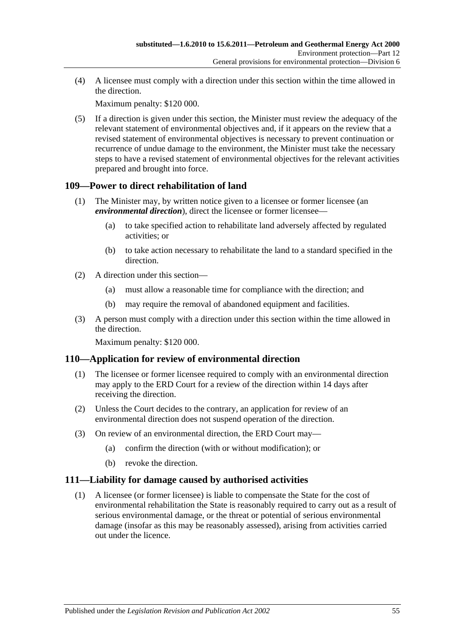(4) A licensee must comply with a direction under this section within the time allowed in the direction.

Maximum penalty: \$120 000.

(5) If a direction is given under this section, the Minister must review the adequacy of the relevant statement of environmental objectives and, if it appears on the review that a revised statement of environmental objectives is necessary to prevent continuation or recurrence of undue damage to the environment, the Minister must take the necessary steps to have a revised statement of environmental objectives for the relevant activities prepared and brought into force.

### **109—Power to direct rehabilitation of land**

- (1) The Minister may, by written notice given to a licensee or former licensee (an *environmental direction*), direct the licensee or former licensee—
	- (a) to take specified action to rehabilitate land adversely affected by regulated activities; or
	- (b) to take action necessary to rehabilitate the land to a standard specified in the direction.
- (2) A direction under this section—
	- (a) must allow a reasonable time for compliance with the direction; and
	- (b) may require the removal of abandoned equipment and facilities.
- (3) A person must comply with a direction under this section within the time allowed in the direction.

Maximum penalty: \$120 000.

### **110—Application for review of environmental direction**

- (1) The licensee or former licensee required to comply with an environmental direction may apply to the ERD Court for a review of the direction within 14 days after receiving the direction.
- (2) Unless the Court decides to the contrary, an application for review of an environmental direction does not suspend operation of the direction.
- (3) On review of an environmental direction, the ERD Court may—
	- (a) confirm the direction (with or without modification); or
	- (b) revoke the direction.

### **111—Liability for damage caused by authorised activities**

(1) A licensee (or former licensee) is liable to compensate the State for the cost of environmental rehabilitation the State is reasonably required to carry out as a result of serious environmental damage, or the threat or potential of serious environmental damage (insofar as this may be reasonably assessed), arising from activities carried out under the licence.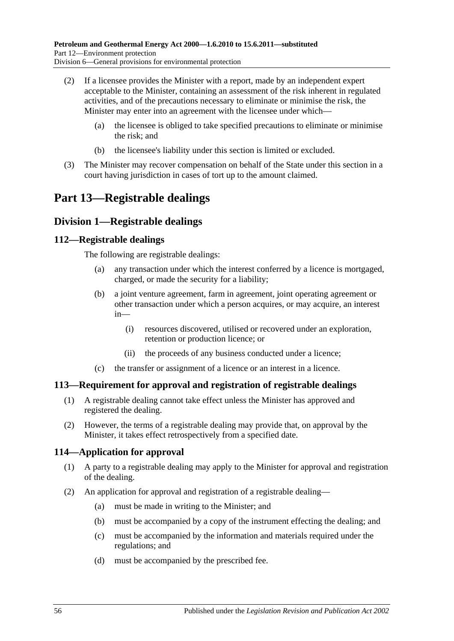- (2) If a licensee provides the Minister with a report, made by an independent expert acceptable to the Minister, containing an assessment of the risk inherent in regulated activities, and of the precautions necessary to eliminate or minimise the risk, the Minister may enter into an agreement with the licensee under which—
	- (a) the licensee is obliged to take specified precautions to eliminate or minimise the risk; and
	- (b) the licensee's liability under this section is limited or excluded.
- (3) The Minister may recover compensation on behalf of the State under this section in a court having jurisdiction in cases of tort up to the amount claimed.

# **Part 13—Registrable dealings**

### **Division 1—Registrable dealings**

### **112—Registrable dealings**

The following are registrable dealings:

- (a) any transaction under which the interest conferred by a licence is mortgaged, charged, or made the security for a liability;
- (b) a joint venture agreement, farm in agreement, joint operating agreement or other transaction under which a person acquires, or may acquire, an interest in—
	- (i) resources discovered, utilised or recovered under an exploration, retention or production licence; or
	- (ii) the proceeds of any business conducted under a licence;
- (c) the transfer or assignment of a licence or an interest in a licence.

### **113—Requirement for approval and registration of registrable dealings**

- (1) A registrable dealing cannot take effect unless the Minister has approved and registered the dealing.
- (2) However, the terms of a registrable dealing may provide that, on approval by the Minister, it takes effect retrospectively from a specified date.

### **114—Application for approval**

- (1) A party to a registrable dealing may apply to the Minister for approval and registration of the dealing.
- (2) An application for approval and registration of a registrable dealing—
	- (a) must be made in writing to the Minister; and
	- (b) must be accompanied by a copy of the instrument effecting the dealing; and
	- (c) must be accompanied by the information and materials required under the regulations; and
	- (d) must be accompanied by the prescribed fee.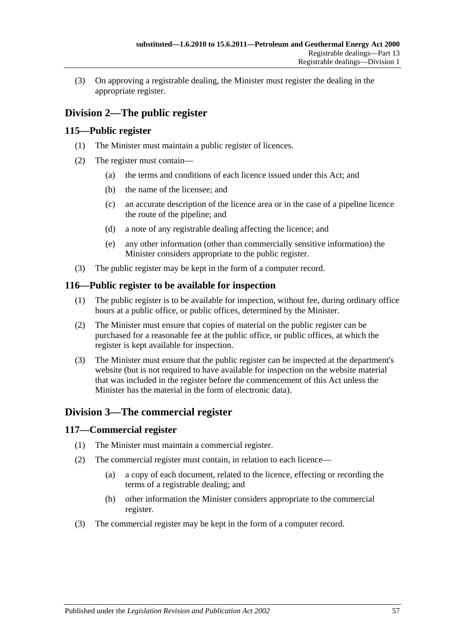(3) On approving a registrable dealing, the Minister must register the dealing in the appropriate register.

## **Division 2—The public register**

### **115—Public register**

- (1) The Minister must maintain a public register of licences.
- (2) The register must contain—
	- (a) the terms and conditions of each licence issued under this Act; and
	- (b) the name of the licensee; and
	- (c) an accurate description of the licence area or in the case of a pipeline licence the route of the pipeline; and
	- (d) a note of any registrable dealing affecting the licence; and
	- (e) any other information (other than commercially sensitive information) the Minister considers appropriate to the public register.
- (3) The public register may be kept in the form of a computer record.

### **116—Public register to be available for inspection**

- (1) The public register is to be available for inspection, without fee, during ordinary office hours at a public office, or public offices, determined by the Minister.
- (2) The Minister must ensure that copies of material on the public register can be purchased for a reasonable fee at the public office, or public offices, at which the register is kept available for inspection.
- (3) The Minister must ensure that the public register can be inspected at the department's website (but is not required to have available for inspection on the website material that was included in the register before the commencement of this Act unless the Minister has the material in the form of electronic data).

## **Division 3—The commercial register**

### **117—Commercial register**

- (1) The Minister must maintain a commercial register.
- (2) The commercial register must contain, in relation to each licence—
	- (a) a copy of each document, related to the licence, effecting or recording the terms of a registrable dealing; and
	- (b) other information the Minister considers appropriate to the commercial register.
- (3) The commercial register may be kept in the form of a computer record.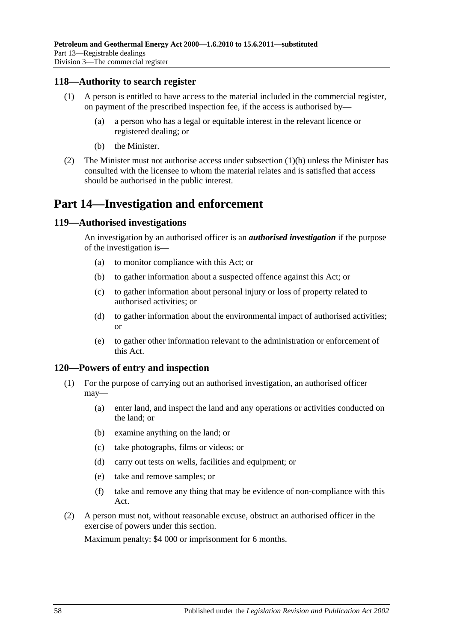#### **118—Authority to search register**

- (1) A person is entitled to have access to the material included in the commercial register, on payment of the prescribed inspection fee, if the access is authorised by—
	- (a) a person who has a legal or equitable interest in the relevant licence or registered dealing; or
	- (b) the Minister.
- <span id="page-57-0"></span>(2) The Minister must not authorise access under [subsection](#page-57-0) (1)(b) unless the Minister has consulted with the licensee to whom the material relates and is satisfied that access should be authorised in the public interest.

## **Part 14—Investigation and enforcement**

#### **119—Authorised investigations**

An investigation by an authorised officer is an *authorised investigation* if the purpose of the investigation is—

- (a) to monitor compliance with this Act; or
- (b) to gather information about a suspected offence against this Act; or
- (c) to gather information about personal injury or loss of property related to authorised activities; or
- (d) to gather information about the environmental impact of authorised activities; or
- (e) to gather other information relevant to the administration or enforcement of this Act.

#### **120—Powers of entry and inspection**

- (1) For the purpose of carrying out an authorised investigation, an authorised officer may—
	- (a) enter land, and inspect the land and any operations or activities conducted on the land; or
	- (b) examine anything on the land; or
	- (c) take photographs, films or videos; or
	- (d) carry out tests on wells, facilities and equipment; or
	- (e) take and remove samples; or
	- (f) take and remove any thing that may be evidence of non-compliance with this Act.
- (2) A person must not, without reasonable excuse, obstruct an authorised officer in the exercise of powers under this section.

Maximum penalty: \$4 000 or imprisonment for 6 months.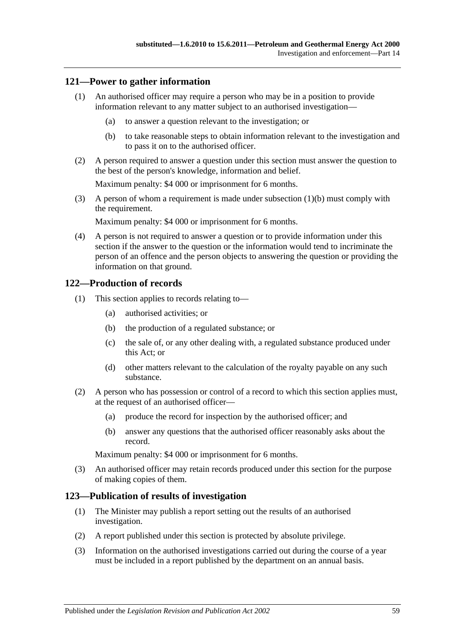### **121—Power to gather information**

- (1) An authorised officer may require a person who may be in a position to provide information relevant to any matter subject to an authorised investigation—
	- (a) to answer a question relevant to the investigation; or
	- (b) to take reasonable steps to obtain information relevant to the investigation and to pass it on to the authorised officer.
- <span id="page-58-0"></span>(2) A person required to answer a question under this section must answer the question to the best of the person's knowledge, information and belief.

Maximum penalty: \$4 000 or imprisonment for 6 months.

(3) A person of whom a requirement is made under [subsection](#page-58-0) (1)(b) must comply with the requirement.

Maximum penalty: \$4 000 or imprisonment for 6 months.

(4) A person is not required to answer a question or to provide information under this section if the answer to the question or the information would tend to incriminate the person of an offence and the person objects to answering the question or providing the information on that ground.

#### **122—Production of records**

- (1) This section applies to records relating to—
	- (a) authorised activities; or
	- (b) the production of a regulated substance; or
	- (c) the sale of, or any other dealing with, a regulated substance produced under this Act; or
	- (d) other matters relevant to the calculation of the royalty payable on any such substance.
- (2) A person who has possession or control of a record to which this section applies must, at the request of an authorised officer—
	- (a) produce the record for inspection by the authorised officer; and
	- (b) answer any questions that the authorised officer reasonably asks about the record.

Maximum penalty: \$4 000 or imprisonment for 6 months.

(3) An authorised officer may retain records produced under this section for the purpose of making copies of them.

#### **123—Publication of results of investigation**

- (1) The Minister may publish a report setting out the results of an authorised investigation.
- (2) A report published under this section is protected by absolute privilege.
- (3) Information on the authorised investigations carried out during the course of a year must be included in a report published by the department on an annual basis.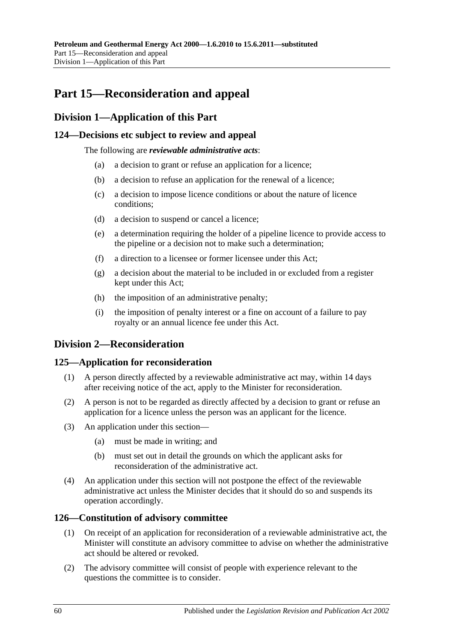# **Part 15—Reconsideration and appeal**

### **Division 1—Application of this Part**

### **124—Decisions etc subject to review and appeal**

The following are *reviewable administrative acts*:

- (a) a decision to grant or refuse an application for a licence;
- (b) a decision to refuse an application for the renewal of a licence;
- (c) a decision to impose licence conditions or about the nature of licence conditions;
- (d) a decision to suspend or cancel a licence;
- (e) a determination requiring the holder of a pipeline licence to provide access to the pipeline or a decision not to make such a determination;
- (f) a direction to a licensee or former licensee under this Act;
- (g) a decision about the material to be included in or excluded from a register kept under this Act;
- (h) the imposition of an administrative penalty;
- (i) the imposition of penalty interest or a fine on account of a failure to pay royalty or an annual licence fee under this Act.

### **Division 2—Reconsideration**

### **125—Application for reconsideration**

- (1) A person directly affected by a reviewable administrative act may, within 14 days after receiving notice of the act, apply to the Minister for reconsideration.
- (2) A person is not to be regarded as directly affected by a decision to grant or refuse an application for a licence unless the person was an applicant for the licence.
- (3) An application under this section—
	- (a) must be made in writing; and
	- (b) must set out in detail the grounds on which the applicant asks for reconsideration of the administrative act.
- (4) An application under this section will not postpone the effect of the reviewable administrative act unless the Minister decides that it should do so and suspends its operation accordingly.

#### **126—Constitution of advisory committee**

- (1) On receipt of an application for reconsideration of a reviewable administrative act, the Minister will constitute an advisory committee to advise on whether the administrative act should be altered or revoked.
- (2) The advisory committee will consist of people with experience relevant to the questions the committee is to consider.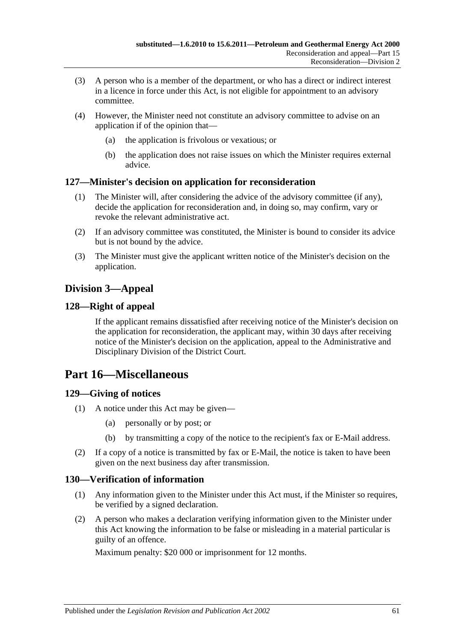- (3) A person who is a member of the department, or who has a direct or indirect interest in a licence in force under this Act, is not eligible for appointment to an advisory committee.
- (4) However, the Minister need not constitute an advisory committee to advise on an application if of the opinion that—
	- (a) the application is frivolous or vexatious; or
	- (b) the application does not raise issues on which the Minister requires external advice.

### **127—Minister's decision on application for reconsideration**

- (1) The Minister will, after considering the advice of the advisory committee (if any), decide the application for reconsideration and, in doing so, may confirm, vary or revoke the relevant administrative act.
- (2) If an advisory committee was constituted, the Minister is bound to consider its advice but is not bound by the advice.
- (3) The Minister must give the applicant written notice of the Minister's decision on the application.

## **Division 3—Appeal**

### **128—Right of appeal**

If the applicant remains dissatisfied after receiving notice of the Minister's decision on the application for reconsideration, the applicant may, within 30 days after receiving notice of the Minister's decision on the application, appeal to the Administrative and Disciplinary Division of the District Court.

## **Part 16—Miscellaneous**

### **129—Giving of notices**

- (1) A notice under this Act may be given—
	- (a) personally or by post; or
	- (b) by transmitting a copy of the notice to the recipient's fax or E-Mail address.
- (2) If a copy of a notice is transmitted by fax or E-Mail, the notice is taken to have been given on the next business day after transmission.

### **130—Verification of information**

- (1) Any information given to the Minister under this Act must, if the Minister so requires, be verified by a signed declaration.
- (2) A person who makes a declaration verifying information given to the Minister under this Act knowing the information to be false or misleading in a material particular is guilty of an offence.

Maximum penalty: \$20 000 or imprisonment for 12 months.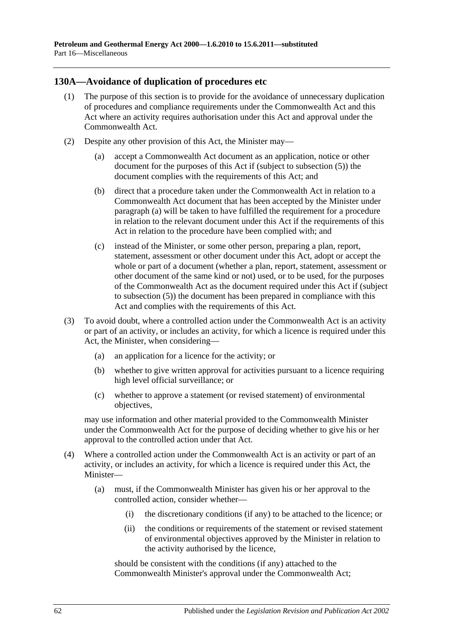### **130A—Avoidance of duplication of procedures etc**

- (1) The purpose of this section is to provide for the avoidance of unnecessary duplication of procedures and compliance requirements under the Commonwealth Act and this Act where an activity requires authorisation under this Act and approval under the Commonwealth Act.
- <span id="page-61-2"></span><span id="page-61-1"></span><span id="page-61-0"></span>(2) Despite any other provision of this Act, the Minister may—
	- (a) accept a Commonwealth Act document as an application, notice or other document for the purposes of this Act if (subject to [subsection](#page-62-0) (5)) the document complies with the requirements of this Act; and
	- (b) direct that a procedure taken under the Commonwealth Act in relation to a Commonwealth Act document that has been accepted by the Minister under [paragraph](#page-61-0) (a) will be taken to have fulfilled the requirement for a procedure in relation to the relevant document under this Act if the requirements of this Act in relation to the procedure have been complied with; and
	- (c) instead of the Minister, or some other person, preparing a plan, report, statement, assessment or other document under this Act, adopt or accept the whole or part of a document (whether a plan, report, statement, assessment or other document of the same kind or not) used, or to be used, for the purposes of the Commonwealth Act as the document required under this Act if (subject to [subsection](#page-62-0) (5)) the document has been prepared in compliance with this Act and complies with the requirements of this Act.
- (3) To avoid doubt, where a controlled action under the Commonwealth Act is an activity or part of an activity, or includes an activity, for which a licence is required under this Act, the Minister, when considering—
	- (a) an application for a licence for the activity; or
	- (b) whether to give written approval for activities pursuant to a licence requiring high level official surveillance; or
	- (c) whether to approve a statement (or revised statement) of environmental objectives,

may use information and other material provided to the Commonwealth Minister under the Commonwealth Act for the purpose of deciding whether to give his or her approval to the controlled action under that Act.

- (4) Where a controlled action under the Commonwealth Act is an activity or part of an activity, or includes an activity, for which a licence is required under this Act, the Minister—
	- (a) must, if the Commonwealth Minister has given his or her approval to the controlled action, consider whether—
		- (i) the discretionary conditions (if any) to be attached to the licence; or
		- (ii) the conditions or requirements of the statement or revised statement of environmental objectives approved by the Minister in relation to the activity authorised by the licence,

should be consistent with the conditions (if any) attached to the Commonwealth Minister's approval under the Commonwealth Act;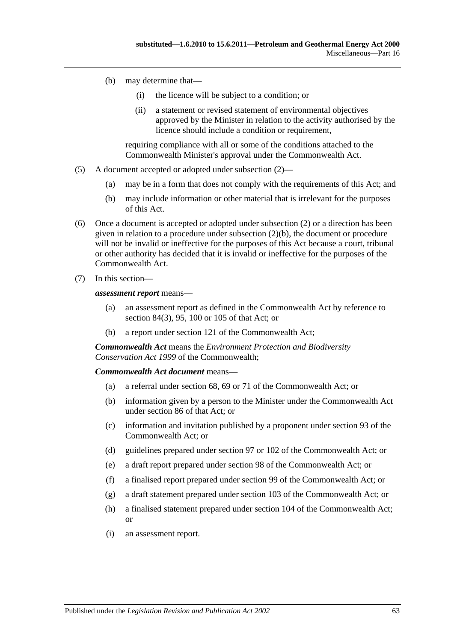- (b) may determine that—
	- (i) the licence will be subject to a condition; or
	- (ii) a statement or revised statement of environmental objectives approved by the Minister in relation to the activity authorised by the licence should include a condition or requirement.

requiring compliance with all or some of the conditions attached to the Commonwealth Minister's approval under the Commonwealth Act.

- <span id="page-62-0"></span>(5) A document accepted or adopted under [subsection](#page-61-1) (2)—
	- (a) may be in a form that does not comply with the requirements of this Act; and
	- (b) may include information or other material that is irrelevant for the purposes of this Act.
- (6) Once a document is accepted or adopted under [subsection](#page-61-1) (2) or a direction has been given in relation to a procedure under [subsection](#page-61-2) (2)(b), the document or procedure will not be invalid or ineffective for the purposes of this Act because a court, tribunal or other authority has decided that it is invalid or ineffective for the purposes of the Commonwealth Act.
- (7) In this section—

*assessment report* means—

- (a) an assessment report as defined in the Commonwealth Act by reference to section 84(3), 95, 100 or 105 of that Act; or
- (b) a report under section 121 of the Commonwealth Act;

*Commonwealth Act* means the *Environment Protection and Biodiversity Conservation Act 1999* of the Commonwealth;

#### *Commonwealth Act document* means—

- (a) a referral under section 68, 69 or 71 of the Commonwealth Act; or
- (b) information given by a person to the Minister under the Commonwealth Act under section 86 of that Act; or
- (c) information and invitation published by a proponent under section 93 of the Commonwealth Act; or
- (d) guidelines prepared under section 97 or 102 of the Commonwealth Act; or
- (e) a draft report prepared under section 98 of the Commonwealth Act; or
- (f) a finalised report prepared under section 99 of the Commonwealth Act; or
- (g) a draft statement prepared under section 103 of the Commonwealth Act; or
- (h) a finalised statement prepared under section 104 of the Commonwealth Act; or
- (i) an assessment report.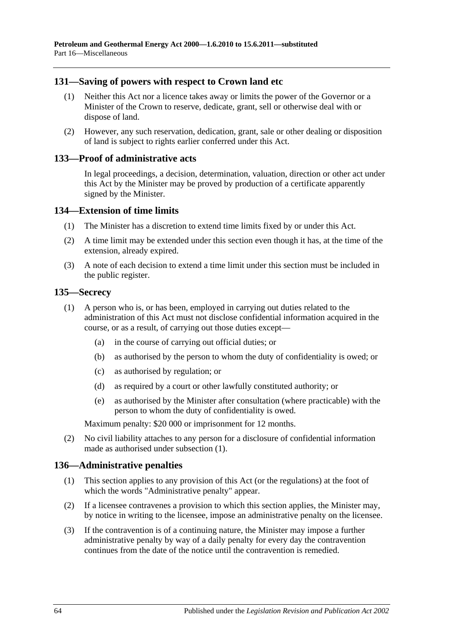### **131—Saving of powers with respect to Crown land etc**

- (1) Neither this Act nor a licence takes away or limits the power of the Governor or a Minister of the Crown to reserve, dedicate, grant, sell or otherwise deal with or dispose of land.
- (2) However, any such reservation, dedication, grant, sale or other dealing or disposition of land is subject to rights earlier conferred under this Act.

#### **133—Proof of administrative acts**

In legal proceedings, a decision, determination, valuation, direction or other act under this Act by the Minister may be proved by production of a certificate apparently signed by the Minister.

#### **134—Extension of time limits**

- (1) The Minister has a discretion to extend time limits fixed by or under this Act.
- (2) A time limit may be extended under this section even though it has, at the time of the extension, already expired.
- (3) A note of each decision to extend a time limit under this section must be included in the public register.

#### <span id="page-63-0"></span>**135—Secrecy**

- (1) A person who is, or has been, employed in carrying out duties related to the administration of this Act must not disclose confidential information acquired in the course, or as a result, of carrying out those duties except—
	- (a) in the course of carrying out official duties; or
	- (b) as authorised by the person to whom the duty of confidentiality is owed; or
	- (c) as authorised by regulation; or
	- (d) as required by a court or other lawfully constituted authority; or
	- (e) as authorised by the Minister after consultation (where practicable) with the person to whom the duty of confidentiality is owed.

Maximum penalty: \$20 000 or imprisonment for 12 months.

(2) No civil liability attaches to any person for a disclosure of confidential information made as authorised under [subsection](#page-63-0) (1).

### **136—Administrative penalties**

- (1) This section applies to any provision of this Act (or the regulations) at the foot of which the words "Administrative penalty" appear.
- (2) If a licensee contravenes a provision to which this section applies, the Minister may, by notice in writing to the licensee, impose an administrative penalty on the licensee.
- (3) If the contravention is of a continuing nature, the Minister may impose a further administrative penalty by way of a daily penalty for every day the contravention continues from the date of the notice until the contravention is remedied.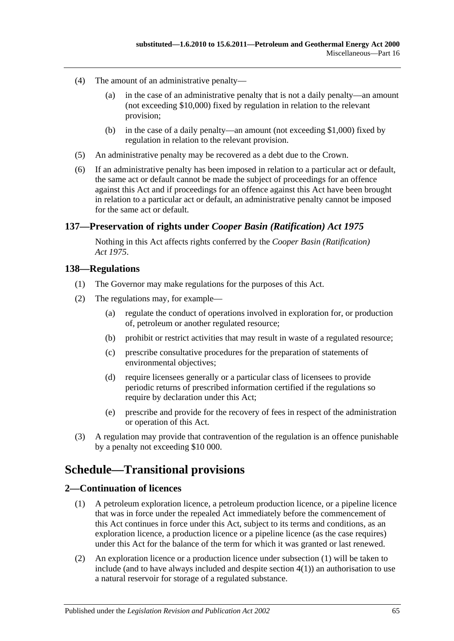- (4) The amount of an administrative penalty—
	- (a) in the case of an administrative penalty that is not a daily penalty—an amount (not exceeding \$10,000) fixed by regulation in relation to the relevant provision;
	- (b) in the case of a daily penalty—an amount (not exceeding \$1,000) fixed by regulation in relation to the relevant provision.
- (5) An administrative penalty may be recovered as a debt due to the Crown.
- (6) If an administrative penalty has been imposed in relation to a particular act or default, the same act or default cannot be made the subject of proceedings for an offence against this Act and if proceedings for an offence against this Act have been brought in relation to a particular act or default, an administrative penalty cannot be imposed for the same act or default.

### **137—Preservation of rights under** *Cooper Basin (Ratification) Act 1975*

Nothing in this Act affects rights conferred by the *[Cooper Basin \(Ratification\)](http://www.legislation.sa.gov.au/index.aspx?action=legref&type=act&legtitle=Cooper%20Basin%20(Ratification)%20Act%201975)  Act [1975](http://www.legislation.sa.gov.au/index.aspx?action=legref&type=act&legtitle=Cooper%20Basin%20(Ratification)%20Act%201975)*.

#### **138—Regulations**

- (1) The Governor may make regulations for the purposes of this Act.
- (2) The regulations may, for example—
	- (a) regulate the conduct of operations involved in exploration for, or production of, petroleum or another regulated resource;
	- (b) prohibit or restrict activities that may result in waste of a regulated resource;
	- (c) prescribe consultative procedures for the preparation of statements of environmental objectives;
	- (d) require licensees generally or a particular class of licensees to provide periodic returns of prescribed information certified if the regulations so require by declaration under this Act:
	- (e) prescribe and provide for the recovery of fees in respect of the administration or operation of this Act.
- (3) A regulation may provide that contravention of the regulation is an offence punishable by a penalty not exceeding \$10 000.

## **Schedule—Transitional provisions**

### <span id="page-64-1"></span><span id="page-64-0"></span>**2—Continuation of licences**

- (1) A petroleum exploration licence, a petroleum production licence, or a pipeline licence that was in force under the repealed Act immediately before the commencement of this Act continues in force under this Act, subject to its terms and conditions, as an exploration licence, a production licence or a pipeline licence (as the case requires) under this Act for the balance of the term for which it was granted or last renewed.
- (2) An exploration licence or a production licence under [subsection](#page-64-0) (1) will be taken to include (and to have always included and despite [section](#page-65-0) 4(1)) an authorisation to use a natural reservoir for storage of a regulated substance.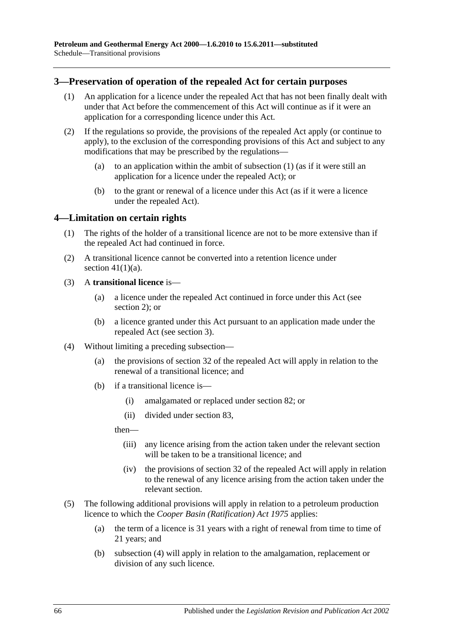### <span id="page-65-2"></span><span id="page-65-1"></span>**3—Preservation of operation of the repealed Act for certain purposes**

- (1) An application for a licence under the repealed Act that has not been finally dealt with under that Act before the commencement of this Act will continue as if it were an application for a corresponding licence under this Act.
- (2) If the regulations so provide, the provisions of the repealed Act apply (or continue to apply), to the exclusion of the corresponding provisions of this Act and subject to any modifications that may be prescribed by the regulations—
	- (a) to an application within the ambit of [subsection](#page-65-1) (1) (as if it were still an application for a licence under the repealed Act); or
	- (b) to the grant or renewal of a licence under this Act (as if it were a licence under the repealed Act).

#### <span id="page-65-0"></span>**4—Limitation on certain rights**

- (1) The rights of the holder of a transitional licence are not to be more extensive than if the repealed Act had continued in force.
- (2) A transitional licence cannot be converted into a retention licence under section  $41(1)(a)$ .

### (3) A **transitional licence** is—

- (a) a licence under the repealed Act continued in force under this Act (see [section](#page-64-1) 2); or
- (b) a licence granted under this Act pursuant to an application made under the repealed Act (see [section](#page-65-2) 3).
- <span id="page-65-3"></span>(4) Without limiting a preceding subsection—
	- (a) the provisions of section 32 of the repealed Act will apply in relation to the renewal of a transitional licence; and
	- (b) if a transitional licence is—
		- (i) amalgamated or replaced under [section](#page-43-2) 82; or
		- (ii) divided under [section](#page-43-3) 83,

then—

- (iii) any licence arising from the action taken under the relevant section will be taken to be a transitional licence; and
- (iv) the provisions of section 32 of the repealed Act will apply in relation to the renewal of any licence arising from the action taken under the relevant section.
- (5) The following additional provisions will apply in relation to a petroleum production licence to which the *[Cooper Basin \(Ratification\) Act](http://www.legislation.sa.gov.au/index.aspx?action=legref&type=act&legtitle=Cooper%20Basin%20(Ratification)%20Act%201975) 1975* applies:
	- (a) the term of a licence is 31 years with a right of renewal from time to time of 21 years; and
	- (b) [subsection](#page-65-3) (4) will apply in relation to the amalgamation, replacement or division of any such licence.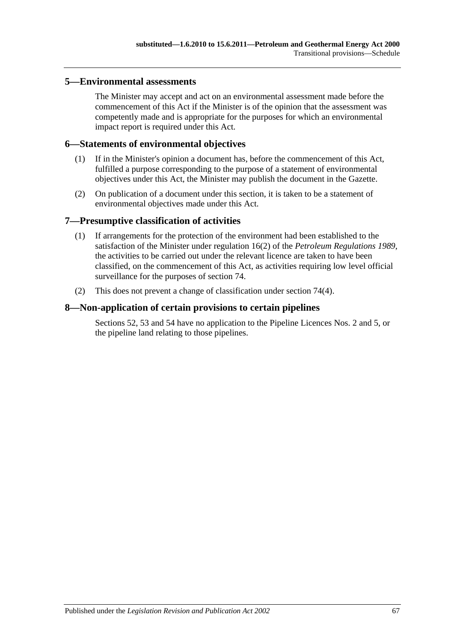### **5—Environmental assessments**

The Minister may accept and act on an environmental assessment made before the commencement of this Act if the Minister is of the opinion that the assessment was competently made and is appropriate for the purposes for which an environmental impact report is required under this Act.

#### **6—Statements of environmental objectives**

- (1) If in the Minister's opinion a document has, before the commencement of this Act, fulfilled a purpose corresponding to the purpose of a statement of environmental objectives under this Act, the Minister may publish the document in the Gazette.
- (2) On publication of a document under this section, it is taken to be a statement of environmental objectives made under this Act.

#### **7—Presumptive classification of activities**

- (1) If arrangements for the protection of the environment had been established to the satisfaction of the Minister under regulation 16(2) of the *[Petroleum Regulations](http://www.legislation.sa.gov.au/index.aspx?action=legref&type=subordleg&legtitle=Petroleum%20Regulations%201989) 1989*, the activities to be carried out under the relevant licence are taken to have been classified, on the commencement of this Act, as activities requiring low level official surveillance for the purposes of [section](#page-39-0) 74.
- (2) This does not prevent a change of classification under [section](#page-40-1) 74(4).

#### **8—Non-application of certain provisions to certain pipelines**

[Sections](#page-29-0) 52, [53](#page-29-1) and [54](#page-29-2) have no application to the Pipeline Licences Nos. 2 and 5, or the pipeline land relating to those pipelines.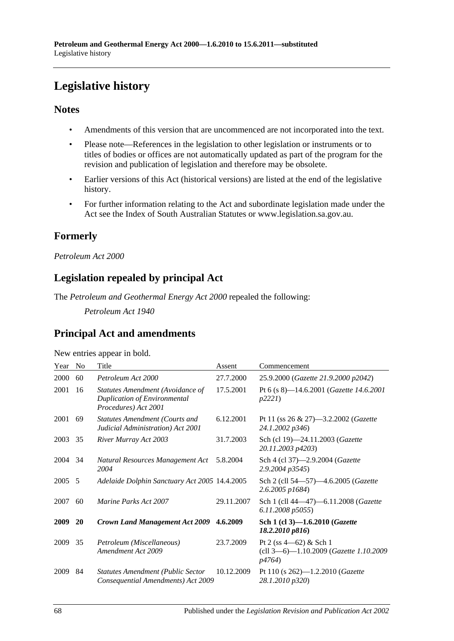# **Legislative history**

### **Notes**

- Amendments of this version that are uncommenced are not incorporated into the text.
- Please note—References in the legislation to other legislation or instruments or to titles of bodies or offices are not automatically updated as part of the program for the revision and publication of legislation and therefore may be obsolete.
- Earlier versions of this Act (historical versions) are listed at the end of the legislative history.
- For further information relating to the Act and subordinate legislation made under the Act see the Index of South Australian Statutes or www.legislation.sa.gov.au.

## **Formerly**

### *Petroleum Act 2000*

## **Legislation repealed by principal Act**

The *Petroleum and Geothermal Energy Act 2000* repealed the following:

*Petroleum Act 1940*

## **Principal Act and amendments**

| New entries appear in bold. |  |  |
|-----------------------------|--|--|

| Year | N <sub>0</sub> | Title                                                                                           | Assent     | Commencement                                                                           |
|------|----------------|-------------------------------------------------------------------------------------------------|------------|----------------------------------------------------------------------------------------|
| 2000 | 60             | Petroleum Act 2000                                                                              | 27.7.2000  | 25.9.2000 (Gazette 21.9.2000 p2042)                                                    |
| 2001 | 16             | Statutes Amendment (Avoidance of<br><b>Duplication of Environmental</b><br>Procedures) Act 2001 | 17.5.2001  | Pt 6 (s 8)-14.6.2001 (Gazette 14.6.2001<br>p2221                                       |
| 2001 | 69             | <b>Statutes Amendment (Courts and</b><br>Judicial Administration) Act 2001                      | 6.12.2001  | Pt 11 (ss $26 \& 27$ )—3.2.2002 ( <i>Gazette</i><br>24.1.2002 p346)                    |
| 2003 | 35             | River Murray Act 2003                                                                           | 31.7.2003  | Sch (cl 19)-24.11.2003 (Gazette<br>20.11.2003 p4203)                                   |
| 2004 | 34             | Natural Resources Management Act<br>2004                                                        | 5.8.2004   | Sch 4 (cl 37)-2.9.2004 (Gazette<br>2.9.2004 p3545)                                     |
| 2005 | - 5            | Adelaide Dolphin Sanctuary Act 2005 14.4.2005                                                   |            | Sch 2 (cll 54-57)-4.6.2005 (Gazette<br>2.6.2005 p1684)                                 |
| 2007 | 60             | Marine Parks Act 2007                                                                           | 29.11.2007 | Sch 1 (cll 44-47)-6.11.2008 (Gazette<br>6.11.2008 p5055)                               |
| 2009 | 20             | <b>Crown Land Management Act 2009</b>                                                           | 4.6.2009   | Sch 1 (cl 3)-1.6.2010 ( <i>Gazette</i><br>18.2.2010 p816                               |
| 2009 | 35             | Petroleum (Miscellaneous)<br>Amendment Act 2009                                                 | 23.7.2009  | Pt 2 (ss $4-62$ ) & Sch 1<br>(cll 3-6)-1.10.2009 (Gazette 1.10.2009)<br><i>p4764</i> ) |
| 2009 | 84             | <b>Statutes Amendment (Public Sector</b><br>Consequential Amendments) Act 2009                  | 10.12.2009 | Pt 110 (s $262$ )—1.2.2010 ( <i>Gazette</i><br>28.1.2010 p320)                         |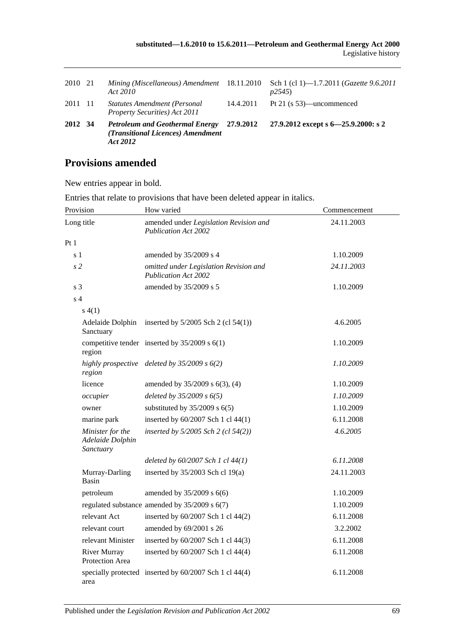| 2010 21 | Mining (Miscellaneous) Amendment 18.11.2010<br>Act 2010                                 |           | Sch 1 (cl 1)—1.7.2011 ( <i>Gazette 9.6.2011</i><br>p2545 |
|---------|-----------------------------------------------------------------------------------------|-----------|----------------------------------------------------------|
| 2011 11 | Statutes Amendment (Personal<br>Property Securities) Act 2011                           | 14.4.2011 | Pt 21 (s $53$ )—uncommenced                              |
| 2012 34 | <b>Petroleum and Geothermal Energy</b><br>(Transitional Licences) Amendment<br>Act 2012 | 27.9.2012 | 27.9.2012 except s $6 - 25.9.2000$ : s 2                 |

## **Provisions amended**

New entries appear in bold.

| Provision                                         | How varied                                                            | Commencement |
|---------------------------------------------------|-----------------------------------------------------------------------|--------------|
| Long title                                        | amended under Legislation Revision and<br><b>Publication Act 2002</b> | 24.11.2003   |
| Pt1                                               |                                                                       |              |
| s 1                                               | amended by 35/2009 s 4                                                | 1.10.2009    |
| s <sub>2</sub>                                    | omitted under Legislation Revision and<br><b>Publication Act 2002</b> | 24.11.2003   |
| s <sub>3</sub>                                    | amended by 35/2009 s 5                                                | 1.10.2009    |
| s <sub>4</sub>                                    |                                                                       |              |
| s(4(1))                                           |                                                                       |              |
| Adelaide Dolphin<br>Sanctuary                     | inserted by $5/2005$ Sch 2 (cl $54(1)$ )                              | 4.6.2005     |
| region                                            | competitive tender inserted by $35/2009$ s $6(1)$                     | 1.10.2009    |
| highly prospective<br>region                      | deleted by $35/2009 s 6(2)$                                           | 1.10.2009    |
| licence                                           | amended by 35/2009 s 6(3), (4)                                        | 1.10.2009    |
| occupier                                          | deleted by $35/2009 s 6(5)$                                           | 1.10.2009    |
| owner                                             | substituted by $35/2009$ s $6(5)$                                     | 1.10.2009    |
| marine park                                       | inserted by 60/2007 Sch 1 cl 44(1)                                    | 6.11.2008    |
| Minister for the<br>Adelaide Dolphin<br>Sanctuary | inserted by $5/2005$ Sch 2 (cl $54(2)$ )                              | 4.6.2005     |
|                                                   | deleted by $60/2007$ Sch 1 cl $44(1)$                                 | 6.11.2008    |
| Murray-Darling<br>Basin                           | inserted by 35/2003 Sch cl 19(a)                                      | 24.11.2003   |
| petroleum                                         | amended by 35/2009 s 6(6)                                             | 1.10.2009    |
|                                                   | regulated substance amended by 35/2009 s 6(7)                         | 1.10.2009    |
| relevant Act                                      | inserted by 60/2007 Sch 1 cl 44(2)                                    | 6.11.2008    |
| relevant court                                    | amended by 69/2001 s 26                                               | 3.2.2002     |
| relevant Minister                                 | inserted by 60/2007 Sch 1 cl 44(3)                                    | 6.11.2008    |
| <b>River Murray</b><br>Protection Area            | inserted by 60/2007 Sch 1 cl 44(4)                                    | 6.11.2008    |
| area                                              | specially protected inserted by 60/2007 Sch 1 cl 44(4)                | 6.11.2008    |

Entries that relate to provisions that have been deleted appear in italics.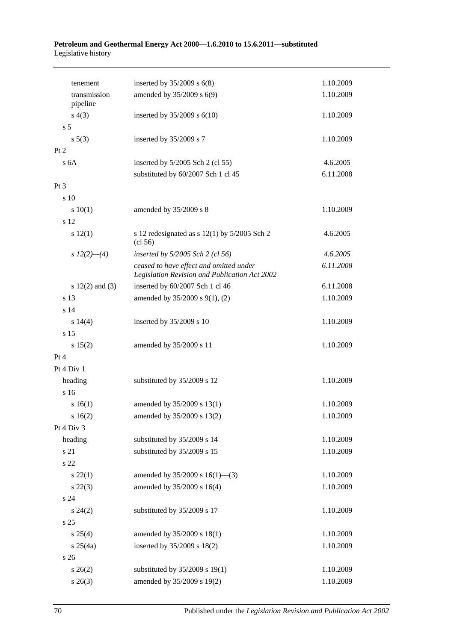#### **Petroleum and Geothermal Energy Act 2000—1.6.2010 to 15.6.2011—substituted** Legislative history

| tenement                 | inserted by $35/2009$ s $6(8)$                                                           | 1.10.2009 |
|--------------------------|------------------------------------------------------------------------------------------|-----------|
| transmission<br>pipeline | amended by 35/2009 s 6(9)                                                                | 1.10.2009 |
| s(4(3))                  | inserted by $35/2009$ s $6(10)$                                                          | 1.10.2009 |
| s <sub>5</sub>           |                                                                                          |           |
| $s\ 5(3)$                | inserted by 35/2009 s 7                                                                  | 1.10.2009 |
| Pt 2                     |                                                                                          |           |
| s <sub>6A</sub>          | inserted by $5/2005$ Sch 2 (cl 55)                                                       | 4.6.2005  |
|                          | substituted by 60/2007 Sch 1 cl 45                                                       | 6.11.2008 |
| $Pt\,3$                  |                                                                                          |           |
| s 10                     |                                                                                          |           |
| 10(1)                    | amended by 35/2009 s 8                                                                   | 1.10.2009 |
| s 12                     |                                                                                          |           |
| s 12(1)                  | s 12 redesignated as s $12(1)$ by $5/2005$ Sch 2<br>(cl 56)                              | 4.6.2005  |
| s $12(2)$ - (4)          | inserted by $5/2005$ Sch 2 (cl 56)                                                       | 4.6.2005  |
|                          | ceased to have effect and omitted under<br>Legislation Revision and Publication Act 2002 | 6.11.2008 |
| s $12(2)$ and $(3)$      | inserted by 60/2007 Sch 1 cl 46                                                          | 6.11.2008 |
| s 13                     | amended by 35/2009 s 9(1), (2)                                                           | 1.10.2009 |
| s 14                     |                                                                                          |           |
| s 14(4)                  | inserted by 35/2009 s 10                                                                 | 1.10.2009 |
| s 15                     |                                                                                          |           |
| s 15(2)                  | amended by 35/2009 s 11                                                                  | 1.10.2009 |
| Pt 4                     |                                                                                          |           |
| Pt 4 Div 1               |                                                                                          |           |
| heading                  | substituted by 35/2009 s 12                                                              | 1.10.2009 |
| s 16                     |                                                                                          |           |
| s 16(1)                  | amended by 35/2009 s 13(1)                                                               | 1.10.2009 |
| s 16(2)                  | amended by 35/2009 s 13(2)                                                               | 1.10.2009 |
| Pt 4 Div 3               |                                                                                          |           |
| heading                  | substituted by 35/2009 s 14                                                              | 1.10.2009 |
| s 21                     | substituted by 35/2009 s 15                                                              | 1.10.2009 |
| s 22                     |                                                                                          |           |
| $s\,22(1)$               | amended by $35/2009$ s $16(1)$ —(3)                                                      | 1.10.2009 |
| $s\,22(3)$               | amended by 35/2009 s 16(4)                                                               | 1.10.2009 |
| s <sub>24</sub>          |                                                                                          |           |
| $s\,24(2)$               | substituted by 35/2009 s 17                                                              | 1.10.2009 |
| s 25                     |                                                                                          |           |
| $s \; 25(4)$             | amended by 35/2009 s 18(1)                                                               | 1.10.2009 |
| $s \; 25(4a)$            | inserted by 35/2009 s 18(2)                                                              | 1.10.2009 |
| s <sub>26</sub>          |                                                                                          |           |
| $s \; 26(2)$             | substituted by 35/2009 s 19(1)                                                           | 1.10.2009 |
| $s \; 26(3)$             | amended by 35/2009 s 19(2)                                                               | 1.10.2009 |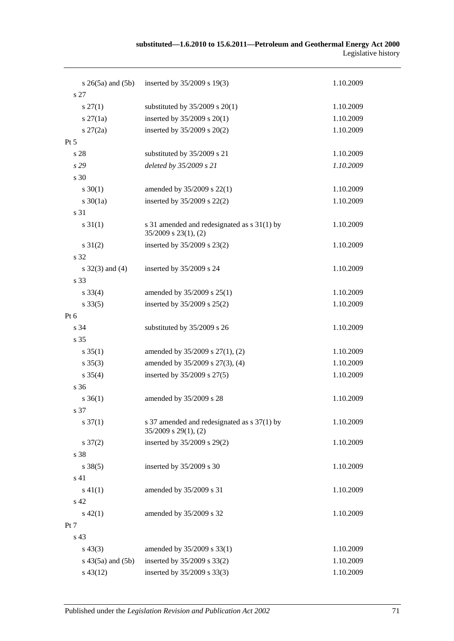#### **substituted—1.6.2010 to 15.6.2011—Petroleum and Geothermal Energy Act 2000** Legislative history

| $s \; 26(5a)$ and $(5b)$ | inserted by 35/2009 s 19(3)                                              | 1.10.2009 |
|--------------------------|--------------------------------------------------------------------------|-----------|
| s 27                     |                                                                          |           |
| $s\,27(1)$               | substituted by $35/2009$ s $20(1)$                                       | 1.10.2009 |
| $s \, 27(1a)$            | inserted by 35/2009 s 20(1)                                              | 1.10.2009 |
| $s \, 27(2a)$            | inserted by 35/2009 s 20(2)                                              | 1.10.2009 |
| $Pt\,5$                  |                                                                          |           |
| s 28                     | substituted by 35/2009 s 21                                              | 1.10.2009 |
| s 29                     | deleted by 35/2009 s 21                                                  | 1.10.2009 |
| s 30                     |                                                                          |           |
| $s \ 30(1)$              | amended by 35/2009 s 22(1)                                               | 1.10.2009 |
| $s \ 30(1a)$             | inserted by 35/2009 s 22(2)                                              | 1.10.2009 |
| s 31                     |                                                                          |           |
| $s \, 31(1)$             | s 31 amended and redesignated as s 31(1) by<br>$35/2009$ s $23(1)$ , (2) | 1.10.2009 |
| $s \ 31(2)$              | inserted by 35/2009 s 23(2)                                              | 1.10.2009 |
| s 32                     |                                                                          |           |
| s $32(3)$ and $(4)$      | inserted by 35/2009 s 24                                                 | 1.10.2009 |
| s 33                     |                                                                          |           |
| $s \, 33(4)$             | amended by 35/2009 s 25(1)                                               | 1.10.2009 |
| $s \, 33(5)$             | inserted by 35/2009 s 25(2)                                              | 1.10.2009 |
| Pt 6                     |                                                                          |           |
| s 34                     | substituted by 35/2009 s 26                                              | 1.10.2009 |
| s 35                     |                                                                          |           |
| $s \, 35(1)$             | amended by 35/2009 s 27(1), (2)                                          | 1.10.2009 |
| $s \; 35(3)$             | amended by 35/2009 s 27(3), (4)                                          | 1.10.2009 |
| $s \; 35(4)$             | inserted by 35/2009 s 27(5)                                              | 1.10.2009 |
| s 36                     |                                                                          |           |
| $s \, 36(1)$             | amended by 35/2009 s 28                                                  | 1.10.2009 |
| s 37                     |                                                                          |           |
| $s \frac{37(1)}{2}$      | s 37 amended and redesignated as s 37(1) by<br>$35/2009$ s $29(1)$ , (2) | 1.10.2009 |
| $s \frac{37(2)}{2}$      | inserted by 35/2009 s 29(2)                                              | 1.10.2009 |
| s 38                     |                                                                          |           |
| $s \, 38(5)$             | inserted by 35/2009 s 30                                                 | 1.10.2009 |
| s 41                     |                                                                          |           |
| $s\ 41(1)$               | amended by 35/2009 s 31                                                  | 1.10.2009 |
| s 42                     |                                                                          |           |
| $s\,42(1)$               | amended by 35/2009 s 32                                                  | 1.10.2009 |
| Pt 7                     |                                                                          |           |
| s 43                     |                                                                          |           |
| $s\,43(3)$               | amended by 35/2009 s 33(1)                                               | 1.10.2009 |
| $s\ 43(5a)$ and $(5b)$   | inserted by 35/2009 s 33(2)                                              | 1.10.2009 |
| $s\,43(12)$              | inserted by 35/2009 s 33(3)                                              | 1.10.2009 |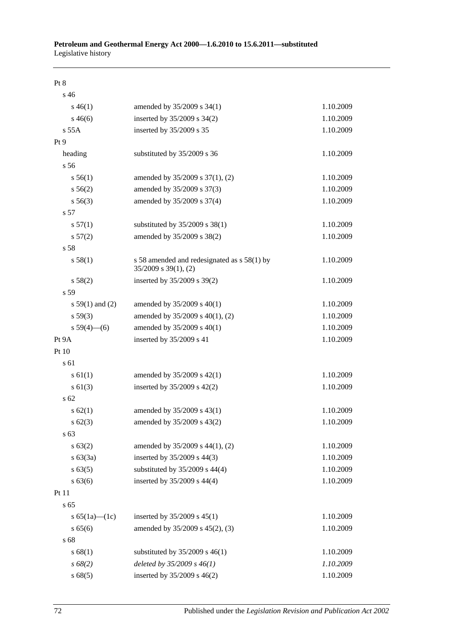Pt 8

| s <sub>46</sub>     |                                                                          |           |
|---------------------|--------------------------------------------------------------------------|-----------|
| $s\,46(1)$          | amended by 35/2009 s 34(1)                                               | 1.10.2009 |
| $s\,46(6)$          | inserted by 35/2009 s 34(2)                                              | 1.10.2009 |
| s 55A               | inserted by 35/2009 s 35                                                 | 1.10.2009 |
| Pt <sub>9</sub>     |                                                                          |           |
| heading             | substituted by 35/2009 s 36                                              | 1.10.2009 |
| s 56                |                                                                          |           |
| s 56(1)             | amended by 35/2009 s 37(1), (2)                                          | 1.10.2009 |
| s 56(2)             | amended by 35/2009 s 37(3)                                               | 1.10.2009 |
| $s\,56(3)$          | amended by 35/2009 s 37(4)                                               | 1.10.2009 |
| s 57                |                                                                          |           |
| s 57(1)             | substituted by 35/2009 s 38(1)                                           | 1.10.2009 |
| s 57(2)             | amended by 35/2009 s 38(2)                                               | 1.10.2009 |
| s 58                |                                                                          |           |
| s 58(1)             | s 58 amended and redesignated as s 58(1) by<br>$35/2009$ s $39(1)$ , (2) | 1.10.2009 |
| s 58(2)             | inserted by 35/2009 s 39(2)                                              | 1.10.2009 |
| s 59                |                                                                          |           |
| s $59(1)$ and (2)   | amended by 35/2009 s 40(1)                                               | 1.10.2009 |
| s 59(3)             | amended by 35/2009 s 40(1), (2)                                          | 1.10.2009 |
| $s 59(4)$ (6)       | amended by 35/2009 s 40(1)                                               | 1.10.2009 |
| Pt 9A               | inserted by 35/2009 s 41                                                 | 1.10.2009 |
| Pt 10               |                                                                          |           |
| s 61                |                                                                          |           |
| $s \, 61(1)$        | amended by 35/2009 s 42(1)                                               | 1.10.2009 |
| $s \ 61(3)$         | inserted by $35/2009$ s $42(2)$                                          | 1.10.2009 |
| s <sub>62</sub>     |                                                                          |           |
| $s \, 62(1)$        | amended by 35/2009 s 43(1)                                               | 1.10.2009 |
| $s \ 62(3)$         | amended by 35/2009 s 43(2)                                               | 1.10.2009 |
| s 63                |                                                                          |           |
| s 63(2)             | amended by 35/2009 s 44(1), (2)                                          | 1.10.2009 |
| s 63(3a)            | inserted by 35/2009 s 44(3)                                              | 1.10.2009 |
| s 63(5)             | substituted by 35/2009 s 44(4)                                           | 1.10.2009 |
| s 63(6)             | inserted by 35/2009 s 44(4)                                              | 1.10.2009 |
| Pt 11               |                                                                          |           |
| s 65                |                                                                          |           |
| s $65(1a)$ — $(1c)$ | inserted by 35/2009 s 45(1)                                              | 1.10.2009 |
| s 65(6)             | amended by 35/2009 s 45(2), (3)                                          | 1.10.2009 |
| s 68                |                                                                          |           |
| s 68(1)             | substituted by $35/2009$ s $46(1)$                                       | 1.10.2009 |
| $s\,68(2)$          | deleted by $35/2009 s 46(1)$                                             | 1.10.2009 |
| s 68(5)             | inserted by 35/2009 s 46(2)                                              | 1.10.2009 |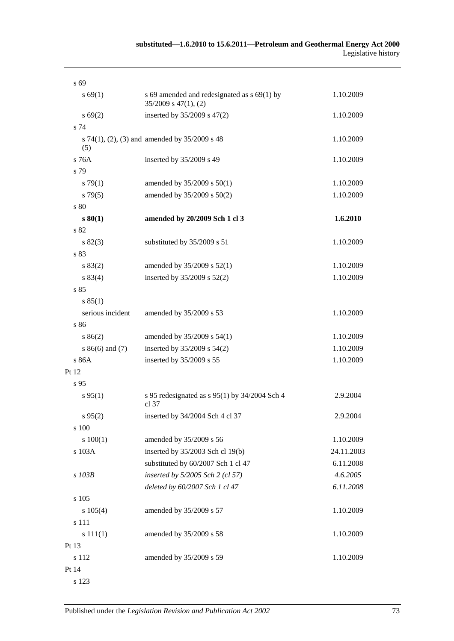| s 69             |                                                                          |            |
|------------------|--------------------------------------------------------------------------|------------|
| s 69(1)          | s 69 amended and redesignated as s 69(1) by<br>$35/2009$ s $47(1)$ , (2) | 1.10.2009  |
| s 69(2)          | inserted by 35/2009 s 47(2)                                              | 1.10.2009  |
| s 74             |                                                                          |            |
| (5)              | s 74(1), (2), (3) and amended by 35/2009 s 48                            | 1.10.2009  |
| s 76A            | inserted by 35/2009 s 49                                                 | 1.10.2009  |
| s 79             |                                                                          |            |
| s79(1)           | amended by 35/2009 s 50(1)                                               | 1.10.2009  |
| s79(5)           | amended by 35/2009 s 50(2)                                               | 1.10.2009  |
| s 80             |                                                                          |            |
| s 80(1)          | amended by 20/2009 Sch 1 cl 3                                            | 1.6.2010   |
| s 82             |                                                                          |            |
| s 82(3)          | substituted by 35/2009 s 51                                              | 1.10.2009  |
| s 83             |                                                                          |            |
| s 83(2)          | amended by 35/2009 s 52(1)                                               | 1.10.2009  |
| s 83(4)          | inserted by 35/2009 s 52(2)                                              | 1.10.2009  |
| s 85             |                                                                          |            |
| s 85(1)          |                                                                          |            |
| serious incident | amended by 35/2009 s 53                                                  | 1.10.2009  |
| s 86             |                                                                          |            |
| s 86(2)          | amended by 35/2009 s 54(1)                                               | 1.10.2009  |
| $s86(6)$ and (7) | inserted by 35/2009 s 54(2)                                              | 1.10.2009  |
| s 86A            | inserted by 35/2009 s 55                                                 | 1.10.2009  |
| Pt 12            |                                                                          |            |
| s 95             |                                                                          |            |
| s 95(1)          | s 95 redesignated as s 95(1) by $34/2004$ Sch 4<br>cl 37                 | 2.9.2004   |
| s 95(2)          | inserted by 34/2004 Sch 4 cl 37                                          | 2.9.2004   |
| s 100            |                                                                          |            |
| 100(1)           | amended by 35/2009 s 56                                                  | 1.10.2009  |
| s 103A           | inserted by 35/2003 Sch cl 19(b)                                         | 24.11.2003 |
|                  | substituted by 60/2007 Sch 1 cl 47                                       | 6.11.2008  |
| s 103B           | inserted by 5/2005 Sch 2 (cl 57)                                         | 4.6.2005   |
|                  | deleted by 60/2007 Sch 1 cl 47                                           | 6.11.2008  |
| s 105            |                                                                          |            |
| s 105(4)         | amended by 35/2009 s 57                                                  | 1.10.2009  |
| s 111            |                                                                          |            |
| s 111(1)         | amended by 35/2009 s 58                                                  | 1.10.2009  |
| Pt 13            |                                                                          |            |
| s 112            | amended by 35/2009 s 59                                                  | 1.10.2009  |
| Pt 14            |                                                                          |            |
|                  |                                                                          |            |

s 123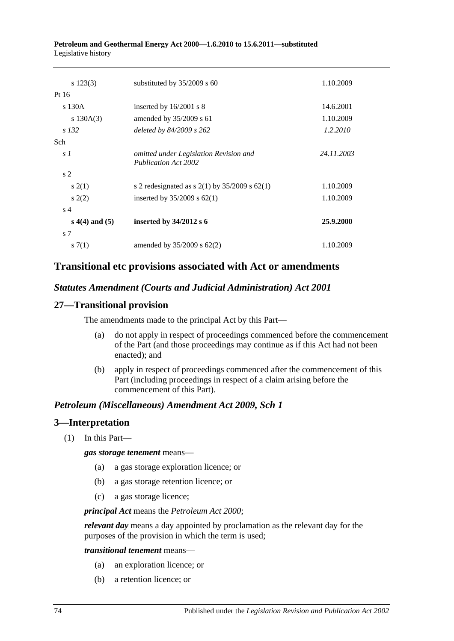#### **Petroleum and Geothermal Energy Act 2000—1.6.2010 to 15.6.2011—substituted** Legislative history

| $s\ 123(3)$      | substituted by $35/2009$ s 60                                         | 1.10.2009  |
|------------------|-----------------------------------------------------------------------|------------|
| Pt 16            |                                                                       |            |
| s 130A           | inserted by $16/2001$ s 8                                             | 14.6.2001  |
| s $130A(3)$      | amended by $35/2009$ s 61                                             | 1.10.2009  |
| s 132            | deleted by 84/2009 s 262                                              | 1.2.2010   |
| <b>Sch</b>       |                                                                       |            |
| s <sub>1</sub>   | omitted under Legislation Revision and<br><b>Publication Act 2002</b> | 24.11.2003 |
| s <sub>2</sub>   |                                                                       |            |
| s(2(1))          | s 2 redesignated as s $2(1)$ by $35/2009$ s $62(1)$                   | 1.10.2009  |
| s(2)             | inserted by $35/2009$ s $62(1)$                                       | 1.10.2009  |
| s <sub>4</sub>   |                                                                       |            |
| $s(4)$ and $(5)$ | inserted by $34/2012$ s 6                                             | 25.9.2000  |
| s <sub>7</sub>   |                                                                       |            |
| s(7(1))          | amended by $35/2009$ s $62(2)$                                        | 1.10.2009  |

## **Transitional etc provisions associated with Act or amendments**

### *Statutes Amendment (Courts and Judicial Administration) Act 2001*

### **27—Transitional provision**

The amendments made to the principal Act by this Part—

- (a) do not apply in respect of proceedings commenced before the commencement of the Part (and those proceedings may continue as if this Act had not been enacted); and
- (b) apply in respect of proceedings commenced after the commencement of this Part (including proceedings in respect of a claim arising before the commencement of this Part).

#### *Petroleum (Miscellaneous) Amendment Act 2009, Sch 1*

#### **3—Interpretation**

(1) In this Part—

*gas storage tenement* means—

- (a) a gas storage exploration licence; or
- (b) a gas storage retention licence; or
- (c) a gas storage licence;

*principal Act* means the *[Petroleum Act](http://www.legislation.sa.gov.au/index.aspx?action=legref&type=act&legtitle=Petroleum%20Act%202000) 2000*;

*relevant day* means a day appointed by proclamation as the relevant day for the purposes of the provision in which the term is used;

*transitional tenement* means—

- (a) an exploration licence; or
- (b) a retention licence; or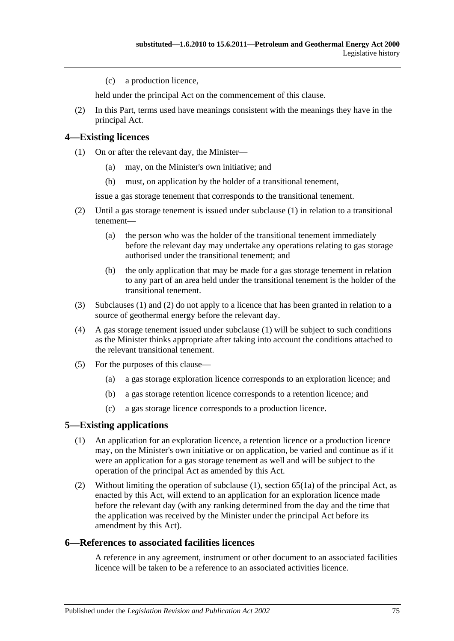(c) a production licence,

held under the principal Act on the commencement of this clause.

(2) In this Part, terms used have meanings consistent with the meanings they have in the principal Act.

#### <span id="page-74-0"></span>**4—Existing licences**

- (1) On or after the relevant day, the Minister—
	- (a) may, on the Minister's own initiative; and
	- (b) must, on application by the holder of a transitional tenement,

issue a gas storage tenement that corresponds to the transitional tenement.

- <span id="page-74-1"></span>(2) Until a gas storage tenement is issued under [subclause](#page-74-0) (1) in relation to a transitional tenement—
	- (a) the person who was the holder of the transitional tenement immediately before the relevant day may undertake any operations relating to gas storage authorised under the transitional tenement; and
	- (b) the only application that may be made for a gas storage tenement in relation to any part of an area held under the transitional tenement is the holder of the transitional tenement.
- (3) [Subclauses](#page-74-0) (1) and [\(2\)](#page-74-1) do not apply to a licence that has been granted in relation to a source of geothermal energy before the relevant day.
- (4) A gas storage tenement issued under [subclause](#page-74-0) (1) will be subject to such conditions as the Minister thinks appropriate after taking into account the conditions attached to the relevant transitional tenement.
- (5) For the purposes of this clause—
	- (a) a gas storage exploration licence corresponds to an exploration licence; and
	- (b) a gas storage retention licence corresponds to a retention licence; and
	- (c) a gas storage licence corresponds to a production licence.

#### <span id="page-74-2"></span>**5—Existing applications**

- (1) An application for an exploration licence, a retention licence or a production licence may, on the Minister's own initiative or on application, be varied and continue as if it were an application for a gas storage tenement as well and will be subject to the operation of the principal Act as amended by this Act.
- (2) Without limiting the operation of [subclause](#page-74-2) (1), section  $65(1a)$  of the principal Act, as enacted by this Act, will extend to an application for an exploration licence made before the relevant day (with any ranking determined from the day and the time that the application was received by the Minister under the principal Act before its amendment by this Act).

#### **6—References to associated facilities licences**

A reference in any agreement, instrument or other document to an associated facilities licence will be taken to be a reference to an associated activities licence.